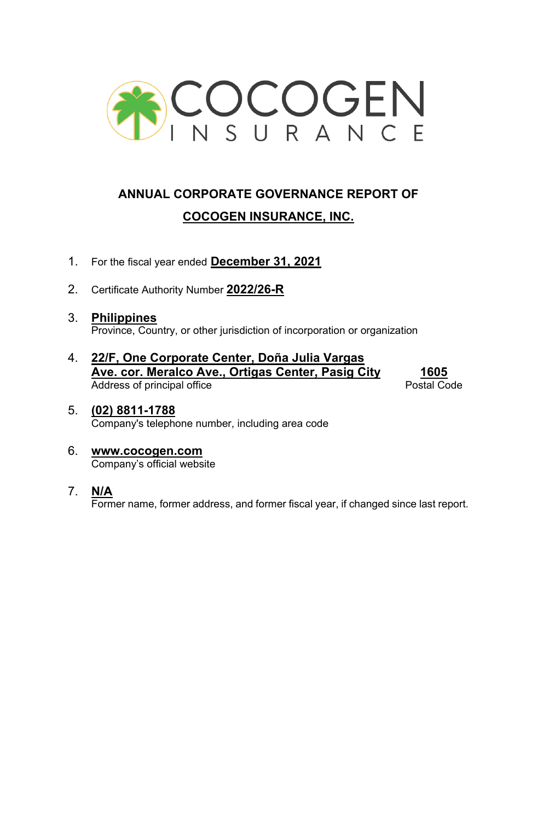

# **ANNUAL CORPORATE GOVERNANCE REPORT OF COCOGEN INSURANCE, INC.**

- 1. For the fiscal year ended **December 31, 2021**
- 2. Certificate Authority Number **2022/26-R**
- 3. **Philippines** Province, Country, or other jurisdiction of incorporation or organization
- 4. **22/F, One Corporate Center, Doña Julia Vargas Ave. cor. Meralco Ave., Ortigas Center, Pasig City 1605** Address of principal office

- 5. **(02) 8811-1788** Company's telephone number, including area code
- 6. **www.cocogen.com** Company's official website
- 7. **N/A**

Former name, former address, and former fiscal year, if changed since last report.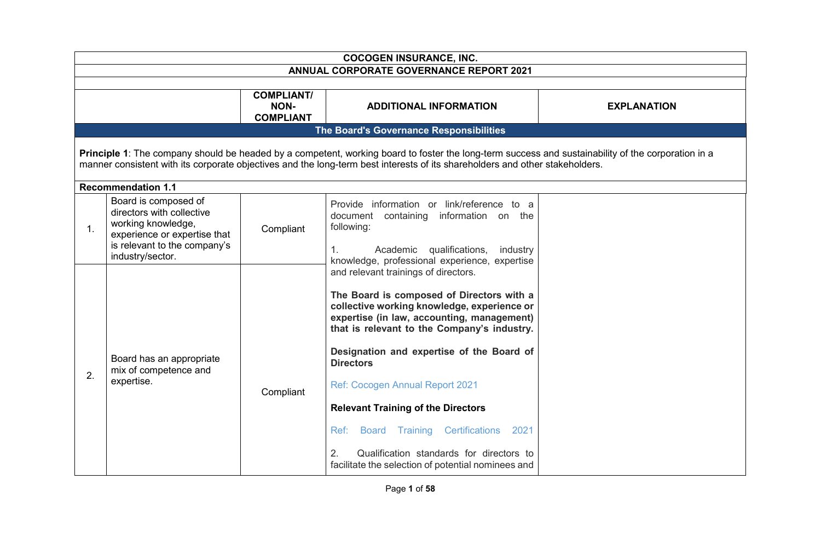|    | <b>COCOGEN INSURANCE, INC.</b>                                                                                                                                                                                                                                                     |                                                      |                                                                                                                                                                                                                                                                                                                                                                                                                                   |                    |
|----|------------------------------------------------------------------------------------------------------------------------------------------------------------------------------------------------------------------------------------------------------------------------------------|------------------------------------------------------|-----------------------------------------------------------------------------------------------------------------------------------------------------------------------------------------------------------------------------------------------------------------------------------------------------------------------------------------------------------------------------------------------------------------------------------|--------------------|
|    |                                                                                                                                                                                                                                                                                    |                                                      | <b>ANNUAL CORPORATE GOVERNANCE REPORT 2021</b>                                                                                                                                                                                                                                                                                                                                                                                    |                    |
|    |                                                                                                                                                                                                                                                                                    | <b>COMPLIANT/</b><br><b>NON-</b><br><b>COMPLIANT</b> | <b>ADDITIONAL INFORMATION</b>                                                                                                                                                                                                                                                                                                                                                                                                     | <b>EXPLANATION</b> |
|    |                                                                                                                                                                                                                                                                                    |                                                      | The Board's Governance Responsibilities                                                                                                                                                                                                                                                                                                                                                                                           |                    |
|    | Principle 1: The company should be headed by a competent, working board to foster the long-term success and sustainability of the corporation in a<br>manner consistent with its corporate objectives and the long-term best interests of its shareholders and other stakeholders. |                                                      |                                                                                                                                                                                                                                                                                                                                                                                                                                   |                    |
| 1. | <b>Recommendation 1.1</b><br>Board is composed of<br>directors with collective<br>working knowledge,<br>experience or expertise that<br>is relevant to the company's<br>industry/sector.                                                                                           | Compliant                                            | Provide information or link/reference to a<br>document containing information on the<br>following:<br>Academic qualifications,<br>$\mathbf{1}$ .<br>industry<br>knowledge, professional experience, expertise                                                                                                                                                                                                                     |                    |
| 2. | Board has an appropriate<br>mix of competence and<br>expertise.                                                                                                                                                                                                                    | Compliant                                            | and relevant trainings of directors.<br>The Board is composed of Directors with a<br>collective working knowledge, experience or<br>expertise (in law, accounting, management)<br>that is relevant to the Company's industry.<br>Designation and expertise of the Board of<br><b>Directors</b><br>Ref: Cocogen Annual Report 2021<br><b>Relevant Training of the Directors</b><br>Board Training Certifications<br>2021<br>Ref: : |                    |
|    |                                                                                                                                                                                                                                                                                    |                                                      | 2.<br>Qualification standards for directors to<br>facilitate the selection of potential nominees and                                                                                                                                                                                                                                                                                                                              |                    |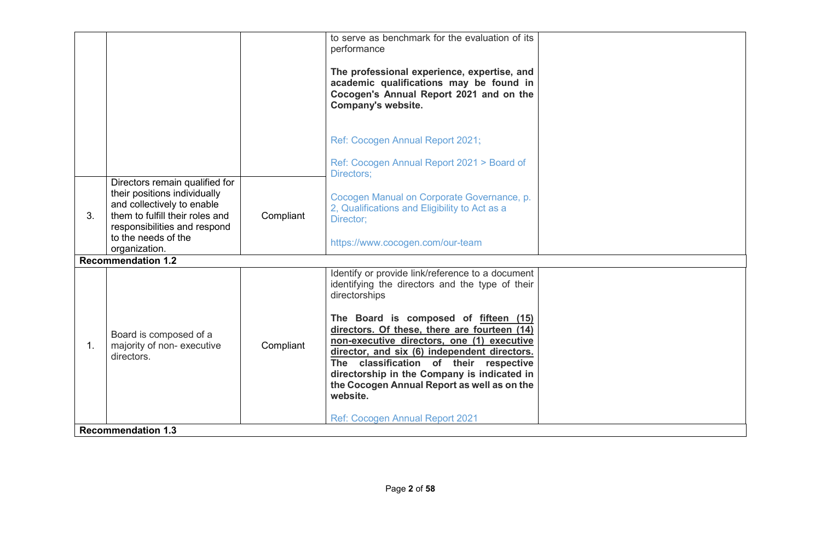|                |                                                                                                                                                                                                         |           | to serve as benchmark for the evaluation of its<br>performance<br>The professional experience, expertise, and<br>academic qualifications may be found in<br>Cocogen's Annual Report 2021 and on the<br>Company's website.<br>Ref: Cocogen Annual Report 2021;<br>Ref: Cocogen Annual Report 2021 > Board of<br>Directors;                                                                                                                                                                                 |  |
|----------------|---------------------------------------------------------------------------------------------------------------------------------------------------------------------------------------------------------|-----------|-----------------------------------------------------------------------------------------------------------------------------------------------------------------------------------------------------------------------------------------------------------------------------------------------------------------------------------------------------------------------------------------------------------------------------------------------------------------------------------------------------------|--|
| 3.             | Directors remain qualified for<br>their positions individually<br>and collectively to enable<br>them to fulfill their roles and<br>responsibilities and respond<br>to the needs of the<br>organization. | Compliant | Cocogen Manual on Corporate Governance, p.<br>2, Qualifications and Eligibility to Act as a<br>Director;<br>https://www.cocogen.com/our-team                                                                                                                                                                                                                                                                                                                                                              |  |
| $\mathbf{1}$ . | <b>Recommendation 1.2</b><br>Board is composed of a<br>majority of non-executive<br>directors.<br><b>Recommendation 1.3</b>                                                                             | Compliant | Identify or provide link/reference to a document<br>identifying the directors and the type of their<br>directorships<br>The Board is composed of fifteen (15)<br>directors. Of these, there are fourteen (14)<br>non-executive directors, one (1) executive<br>director, and six (6) independent directors.<br>The classification of their respective<br>directorship in the Company is indicated in<br>the Cocogen Annual Report as well as on the<br>website.<br><b>Ref: Cocogen Annual Report 2021</b> |  |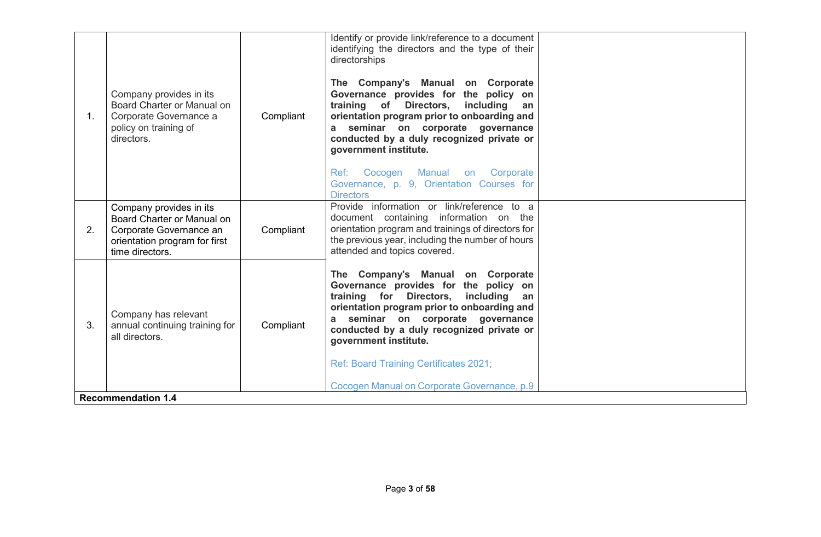| 1. | Company provides in its<br>Board Charter or Manual on<br>Corporate Governance a<br>policy on training of<br>directors.               | Compliant | Identify or provide link/reference to a document<br>identifying the directors and the type of their<br>directorships<br>The Company's Manual on Corporate<br>Governance provides for the policy on<br>training of Directors,<br>including<br>an<br>orientation program prior to onboarding and<br>a seminar on corporate governance<br>conducted by a duly recognized private or<br>government institute.<br>Cocogen Manual on Corporate<br>Ref:<br>Governance, p. 9, Orientation Courses for<br><b>Directors</b> |  |
|----|--------------------------------------------------------------------------------------------------------------------------------------|-----------|-------------------------------------------------------------------------------------------------------------------------------------------------------------------------------------------------------------------------------------------------------------------------------------------------------------------------------------------------------------------------------------------------------------------------------------------------------------------------------------------------------------------|--|
| 2. | Company provides in its<br>Board Charter or Manual on<br>Corporate Governance an<br>orientation program for first<br>time directors. | Compliant | Provide information or link/reference to a<br>document containing information on the<br>orientation program and trainings of directors for<br>the previous year, including the number of hours<br>attended and topics covered.                                                                                                                                                                                                                                                                                    |  |
| 3. | Company has relevant<br>annual continuing training for<br>all directors.                                                             | Compliant | The Company's Manual on Corporate<br>Governance provides for the policy on<br>training for Directors,<br>including<br>an<br>orientation program prior to onboarding and<br>a seminar on corporate governance<br>conducted by a duly recognized private or<br>government institute.<br>Ref: Board Training Certificates 2021;<br>Cocogen Manual on Corporate Governance, p.9                                                                                                                                       |  |
|    | <b>Recommendation 1.4</b>                                                                                                            |           |                                                                                                                                                                                                                                                                                                                                                                                                                                                                                                                   |  |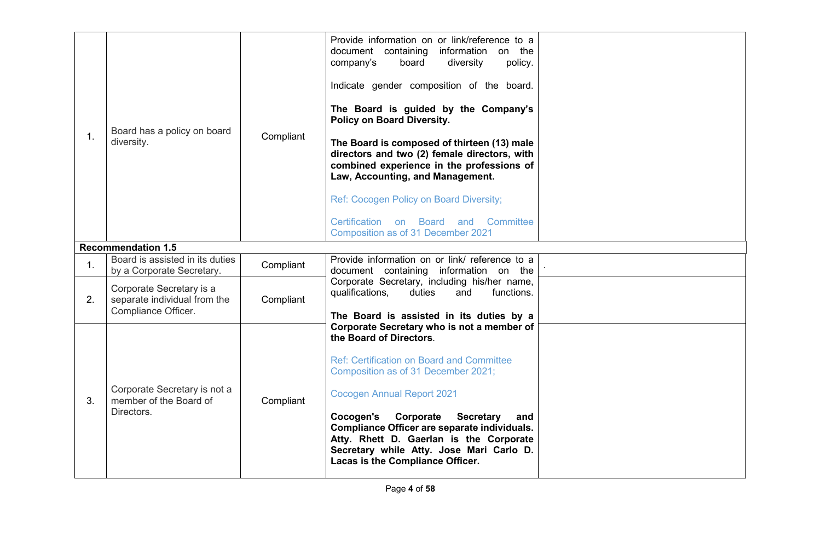| 1. | Board has a policy on board<br>diversity.                                       | Compliant | Provide information on or link/reference to a<br>document containing information on the<br>board<br>diversity<br>policy.<br>company's<br>Indicate gender composition of the board.<br>The Board is guided by the Company's<br>Policy on Board Diversity.<br>The Board is composed of thirteen (13) male<br>directors and two (2) female directors, with<br>combined experience in the professions of<br>Law, Accounting, and Management.<br>Ref: Cocogen Policy on Board Diversity;<br>Certification on<br>Board and Committee<br>Composition as of 31 December 2021 |  |
|----|---------------------------------------------------------------------------------|-----------|----------------------------------------------------------------------------------------------------------------------------------------------------------------------------------------------------------------------------------------------------------------------------------------------------------------------------------------------------------------------------------------------------------------------------------------------------------------------------------------------------------------------------------------------------------------------|--|
|    | <b>Recommendation 1.5</b><br>Board is assisted in its duties                    |           | Provide information on or link/ reference to a                                                                                                                                                                                                                                                                                                                                                                                                                                                                                                                       |  |
| 1. | by a Corporate Secretary.                                                       | Compliant | document containing information on the                                                                                                                                                                                                                                                                                                                                                                                                                                                                                                                               |  |
| 2. | Corporate Secretary is a<br>separate individual from the<br>Compliance Officer. | Compliant | Corporate Secretary, including his/her name,<br>qualifications,<br>duties<br>and<br>functions.<br>The Board is assisted in its duties by a                                                                                                                                                                                                                                                                                                                                                                                                                           |  |
| 3. | Corporate Secretary is not a<br>member of the Board of<br>Directors.            | Compliant | Corporate Secretary who is not a member of<br>the Board of Directors.<br><b>Ref: Certification on Board and Committee</b><br>Composition as of 31 December 2021;<br><b>Cocogen Annual Report 2021</b><br>Cocogen's<br>Corporate<br><b>Secretary</b><br>and<br>Compliance Officer are separate individuals.<br>Atty. Rhett D. Gaerlan is the Corporate<br>Secretary while Atty. Jose Mari Carlo D.<br>Lacas is the Compliance Officer.                                                                                                                                |  |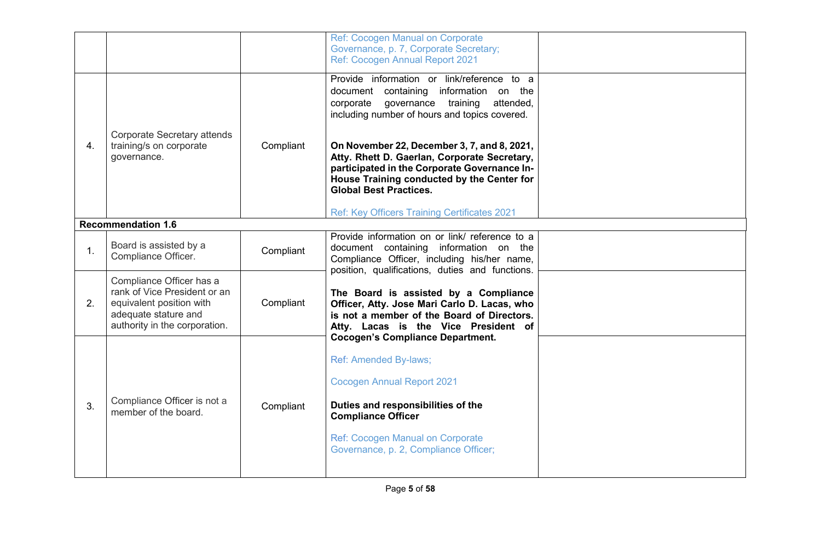|    |                                                                                                                                               |           | Ref: Cocogen Manual on Corporate<br>Governance, p. 7, Corporate Secretary;<br>Ref: Cocogen Annual Report 2021                                                                                                                                         |  |
|----|-----------------------------------------------------------------------------------------------------------------------------------------------|-----------|-------------------------------------------------------------------------------------------------------------------------------------------------------------------------------------------------------------------------------------------------------|--|
|    |                                                                                                                                               |           | Provide information or link/reference to a<br>document containing information on the<br>governance<br>training<br>attended,<br>corporate<br>including number of hours and topics covered.                                                             |  |
| 4. | <b>Corporate Secretary attends</b><br>training/s on corporate<br>governance.                                                                  | Compliant | On November 22, December 3, 7, and 8, 2021,<br>Atty. Rhett D. Gaerlan, Corporate Secretary,<br>participated in the Corporate Governance In-<br>House Training conducted by the Center for<br><b>Global Best Practices.</b>                            |  |
|    |                                                                                                                                               |           | Ref: Key Officers Training Certificates 2021                                                                                                                                                                                                          |  |
|    | <b>Recommendation 1.6</b>                                                                                                                     |           |                                                                                                                                                                                                                                                       |  |
| 1. | Board is assisted by a<br>Compliance Officer.                                                                                                 | Compliant | Provide information on or link/ reference to a<br>document containing information on the<br>Compliance Officer, including his/her name,<br>position, qualifications, duties and functions.                                                            |  |
| 2. | Compliance Officer has a<br>rank of Vice President or an<br>equivalent position with<br>adequate stature and<br>authority in the corporation. | Compliant | The Board is assisted by a Compliance<br>Officer, Atty. Jose Mari Carlo D. Lacas, who<br>is not a member of the Board of Directors.<br>Atty. Lacas is the Vice President of                                                                           |  |
| 3. | Compliance Officer is not a<br>member of the board.                                                                                           | Compliant | <b>Cocogen's Compliance Department.</b><br>Ref: Amended By-laws;<br><b>Cocogen Annual Report 2021</b><br>Duties and responsibilities of the<br><b>Compliance Officer</b><br>Ref: Cocogen Manual on Corporate<br>Governance, p. 2, Compliance Officer; |  |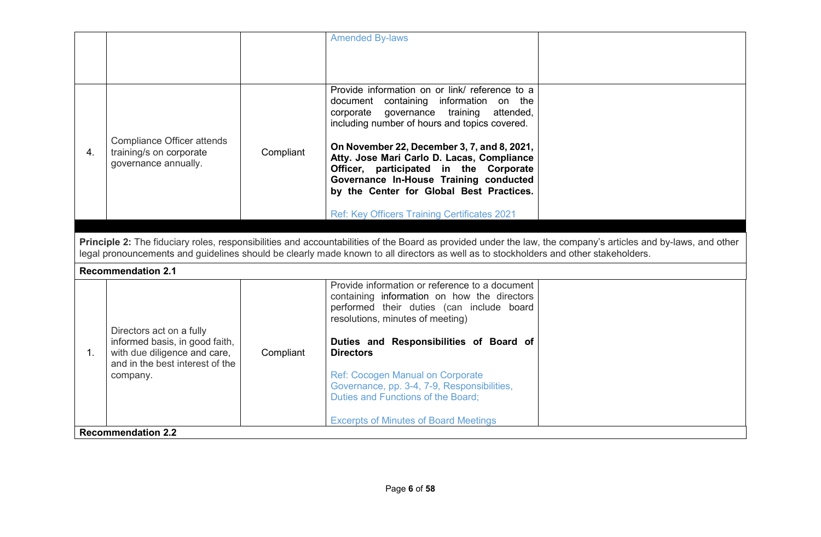|    |                                                                                                   |           | <b>Amended By-laws</b>                                                                                                                                                                                                                                                                                |  |
|----|---------------------------------------------------------------------------------------------------|-----------|-------------------------------------------------------------------------------------------------------------------------------------------------------------------------------------------------------------------------------------------------------------------------------------------------------|--|
|    |                                                                                                   |           |                                                                                                                                                                                                                                                                                                       |  |
|    |                                                                                                   |           |                                                                                                                                                                                                                                                                                                       |  |
|    | Compliance Officer attends                                                                        |           | Provide information on or link/ reference to a<br>document containing information on the<br>governance training<br>attended,<br>corporate<br>including number of hours and topics covered.<br>On November 22, December 3, 7, and 8, 2021,                                                             |  |
| 4. | training/s on corporate<br>governance annually.                                                   | Compliant | Atty. Jose Mari Carlo D. Lacas, Compliance<br>Officer, participated in the Corporate<br>Governance In-House Training conducted<br>by the Center for Global Best Practices.                                                                                                                            |  |
|    |                                                                                                   |           | Ref: Key Officers Training Certificates 2021                                                                                                                                                                                                                                                          |  |
|    |                                                                                                   |           |                                                                                                                                                                                                                                                                                                       |  |
|    |                                                                                                   |           | Principle 2: The fiduciary roles, responsibilities and accountabilities of the Board as provided under the law, the company's articles and by-laws, and other<br>legal pronouncements and guidelines should be clearly made known to all directors as well as to stockholders and other stakeholders. |  |
|    | <b>Recommendation 2.1</b>                                                                         |           |                                                                                                                                                                                                                                                                                                       |  |
|    | Directors act on a fully                                                                          |           | Provide information or reference to a document<br>containing information on how the directors<br>performed their duties (can include board<br>resolutions, minutes of meeting)                                                                                                                        |  |
| 1. | informed basis, in good faith,<br>with due diligence and care,<br>and in the best interest of the | Compliant | Duties and Responsibilities of Board of<br><b>Directors</b>                                                                                                                                                                                                                                           |  |
|    | company.                                                                                          |           | Ref: Cocogen Manual on Corporate<br>Governance, pp. 3-4, 7-9, Responsibilities,<br>Duties and Functions of the Board;                                                                                                                                                                                 |  |
|    |                                                                                                   |           | <b>Excerpts of Minutes of Board Meetings</b>                                                                                                                                                                                                                                                          |  |
|    | <b>Recommendation 2.2</b>                                                                         |           |                                                                                                                                                                                                                                                                                                       |  |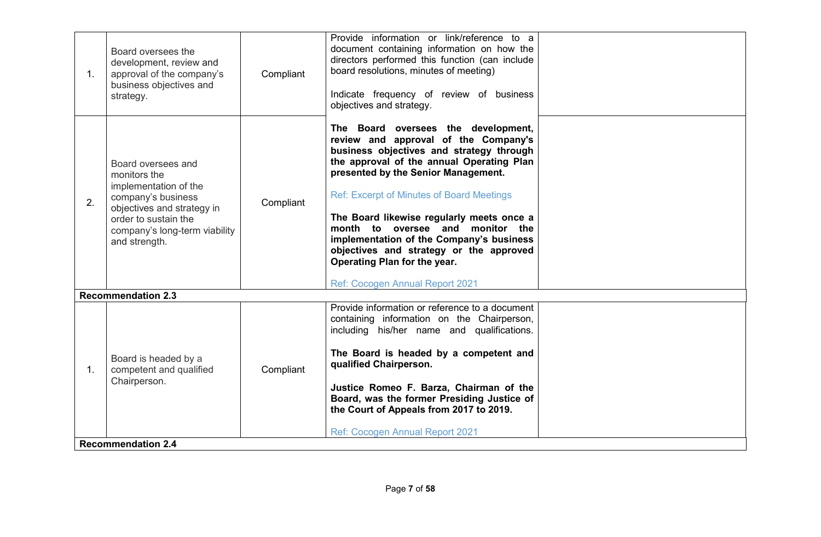| 1. | Board oversees the<br>development, review and<br>approval of the company's<br>business objectives and<br>strategy.                                                                        | Compliant | Provide information or link/reference to a<br>document containing information on how the<br>directors performed this function (can include<br>board resolutions, minutes of meeting)<br>Indicate frequency of review of business<br>objectives and strategy.                                                                                                                                                                                                                                               |  |
|----|-------------------------------------------------------------------------------------------------------------------------------------------------------------------------------------------|-----------|------------------------------------------------------------------------------------------------------------------------------------------------------------------------------------------------------------------------------------------------------------------------------------------------------------------------------------------------------------------------------------------------------------------------------------------------------------------------------------------------------------|--|
| 2. | Board oversees and<br>monitors the<br>implementation of the<br>company's business<br>objectives and strategy in<br>order to sustain the<br>company's long-term viability<br>and strength. | Compliant | The Board oversees the development,<br>review and approval of the Company's<br>business objectives and strategy through<br>the approval of the annual Operating Plan<br>presented by the Senior Management.<br><b>Ref: Excerpt of Minutes of Board Meetings</b><br>The Board likewise regularly meets once a<br>month to oversee and monitor the<br>implementation of the Company's business<br>objectives and strategy or the approved<br>Operating Plan for the year.<br>Ref: Cocogen Annual Report 2021 |  |
|    | <b>Recommendation 2.3</b>                                                                                                                                                                 |           |                                                                                                                                                                                                                                                                                                                                                                                                                                                                                                            |  |
| 1. | Board is headed by a<br>competent and qualified<br>Chairperson.                                                                                                                           | Compliant | Provide information or reference to a document<br>containing information on the Chairperson,<br>including his/her name and qualifications.<br>The Board is headed by a competent and<br>qualified Chairperson.<br>Justice Romeo F. Barza, Chairman of the<br>Board, was the former Presiding Justice of<br>the Court of Appeals from 2017 to 2019.<br>Ref: Cocogen Annual Report 2021                                                                                                                      |  |
|    | <b>Recommendation 2.4</b>                                                                                                                                                                 |           |                                                                                                                                                                                                                                                                                                                                                                                                                                                                                                            |  |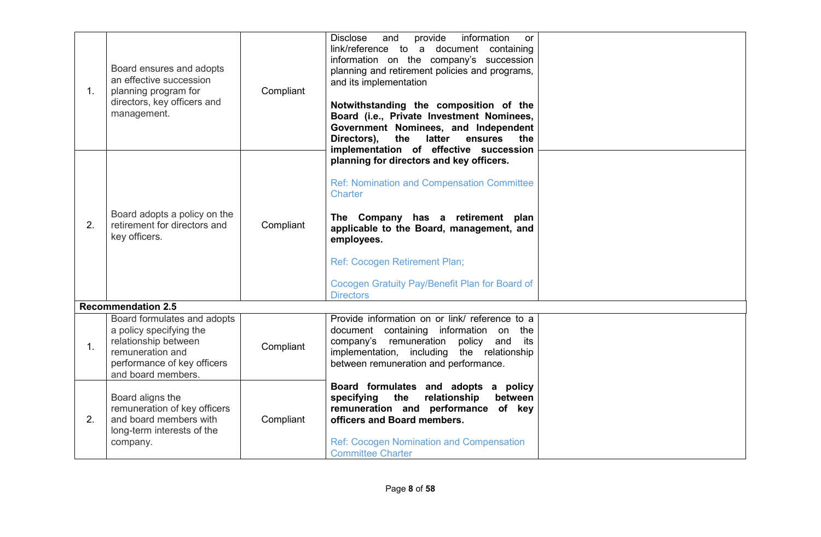| $1_{\cdot}$ | Board ensures and adopts<br>an effective succession<br>planning program for<br>directors, key officers and<br>management.                               | Compliant | <b>Disclose</b><br>provide<br>information<br>and<br><b>or</b><br>link/reference to a document containing<br>information on the company's succession<br>planning and retirement policies and programs,<br>and its implementation<br>Notwithstanding the composition of the<br>Board (i.e., Private Investment Nominees,<br>Government Nominees, and Independent<br>Directors),<br>the<br>latter<br>ensures<br>the<br>implementation of effective succession |  |
|-------------|---------------------------------------------------------------------------------------------------------------------------------------------------------|-----------|------------------------------------------------------------------------------------------------------------------------------------------------------------------------------------------------------------------------------------------------------------------------------------------------------------------------------------------------------------------------------------------------------------------------------------------------------------|--|
| 2.          | Board adopts a policy on the<br>retirement for directors and<br>key officers.                                                                           | Compliant | planning for directors and key officers.<br><b>Ref: Nomination and Compensation Committee</b><br><b>Charter</b><br>The Company has a retirement plan<br>applicable to the Board, management, and<br>employees.<br>Ref: Cocogen Retirement Plan;<br>Cocogen Gratuity Pay/Benefit Plan for Board of<br><b>Directors</b>                                                                                                                                      |  |
|             | <b>Recommendation 2.5</b>                                                                                                                               |           |                                                                                                                                                                                                                                                                                                                                                                                                                                                            |  |
| 1.          | Board formulates and adopts<br>a policy specifying the<br>relationship between<br>remuneration and<br>performance of key officers<br>and board members. | Compliant | Provide information on or link/ reference to a<br>document containing information on the<br>company's remuneration<br>policy<br>and<br>its<br>implementation, including the relationship<br>between remuneration and performance.                                                                                                                                                                                                                          |  |
| 2.          | Board aligns the<br>remuneration of key officers<br>and board members with<br>long-term interests of the<br>company.                                    | Compliant | Board formulates and adopts a policy<br>the<br>relationship<br>between<br>specifying<br>remuneration and performance of key<br>officers and Board members.<br><b>Ref: Cocogen Nomination and Compensation</b><br><b>Committee Charter</b>                                                                                                                                                                                                                  |  |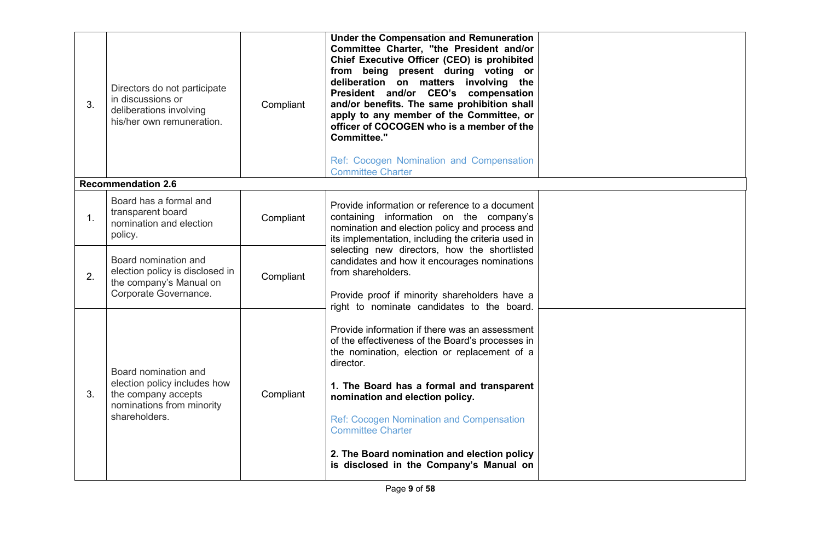| 3. | Directors do not participate<br>in discussions or<br>deliberations involving<br>his/her own remuneration.                 | Compliant | Under the Compensation and Remuneration<br>Committee Charter, "the President and/or<br>Chief Executive Officer (CEO) is prohibited<br>from being present during voting or<br>deliberation on matters involving the<br>President and/or CEO's compensation<br>and/or benefits. The same prohibition shall<br>apply to any member of the Committee, or<br>officer of COCOGEN who is a member of the<br><b>Committee."</b><br>Ref: Cocogen Nomination and Compensation<br><b>Committee Charter</b> |  |
|----|---------------------------------------------------------------------------------------------------------------------------|-----------|-------------------------------------------------------------------------------------------------------------------------------------------------------------------------------------------------------------------------------------------------------------------------------------------------------------------------------------------------------------------------------------------------------------------------------------------------------------------------------------------------|--|
|    | <b>Recommendation 2.6</b>                                                                                                 |           |                                                                                                                                                                                                                                                                                                                                                                                                                                                                                                 |  |
| 1. | Board has a formal and<br>transparent board<br>nomination and election<br>policy.                                         | Compliant | Provide information or reference to a document<br>containing information on the company's<br>nomination and election policy and process and<br>its implementation, including the criteria used in                                                                                                                                                                                                                                                                                               |  |
| 2. | Board nomination and<br>election policy is disclosed in<br>the company's Manual on<br>Corporate Governance.               | Compliant | selecting new directors, how the shortlisted<br>candidates and how it encourages nominations<br>from shareholders.<br>Provide proof if minority shareholders have a<br>right to nominate candidates to the board.                                                                                                                                                                                                                                                                               |  |
| 3. | Board nomination and<br>election policy includes how<br>the company accepts<br>nominations from minority<br>shareholders. | Compliant | Provide information if there was an assessment<br>of the effectiveness of the Board's processes in<br>the nomination, election or replacement of a<br>director.<br>1. The Board has a formal and transparent<br>nomination and election policy.<br><b>Ref: Cocogen Nomination and Compensation</b><br><b>Committee Charter</b><br>2. The Board nomination and election policy<br>is disclosed in the Company's Manual on                                                                        |  |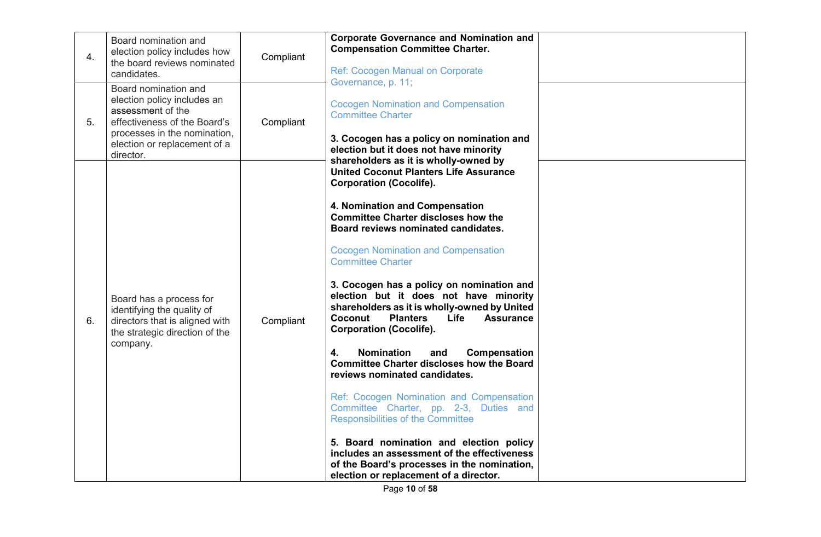| election policy includes how<br>4.<br>the board reviews nominated<br>candidates.                                                                                                            | Compliant | <b>Corporate Governance and Nomination and</b><br><b>Compensation Committee Charter.</b><br><b>Ref: Cocogen Manual on Corporate</b><br>Governance, p. 11;                                                                                                                                                                                                                                                                                                                                                                                                                                                                                                                                                                                                                                                                                                                                                                                                                                        |
|---------------------------------------------------------------------------------------------------------------------------------------------------------------------------------------------|-----------|--------------------------------------------------------------------------------------------------------------------------------------------------------------------------------------------------------------------------------------------------------------------------------------------------------------------------------------------------------------------------------------------------------------------------------------------------------------------------------------------------------------------------------------------------------------------------------------------------------------------------------------------------------------------------------------------------------------------------------------------------------------------------------------------------------------------------------------------------------------------------------------------------------------------------------------------------------------------------------------------------|
| Board nomination and<br>election policy includes an<br>assessment of the<br>effectiveness of the Board's<br>5.<br>processes in the nomination,<br>election or replacement of a<br>director. | Compliant | <b>Cocogen Nomination and Compensation</b><br><b>Committee Charter</b><br>3. Cocogen has a policy on nomination and<br>election but it does not have minority<br>shareholders as it is wholly-owned by                                                                                                                                                                                                                                                                                                                                                                                                                                                                                                                                                                                                                                                                                                                                                                                           |
| Board has a process for<br>identifying the quality of<br>directors that is aligned with<br>6.<br>the strategic direction of the<br>company.                                                 | Compliant | <b>United Coconut Planters Life Assurance</b><br><b>Corporation (Cocolife).</b><br>4. Nomination and Compensation<br><b>Committee Charter discloses how the</b><br>Board reviews nominated candidates.<br><b>Cocogen Nomination and Compensation</b><br><b>Committee Charter</b><br>3. Cocogen has a policy on nomination and<br>election but it does not have minority<br>shareholders as it is wholly-owned by United<br><b>Planters</b><br>Life<br><b>Assurance</b><br>Coconut<br><b>Corporation (Cocolife).</b><br><b>Nomination</b><br>Compensation<br>4.<br>and<br><b>Committee Charter discloses how the Board</b><br>reviews nominated candidates.<br>Ref: Cocogen Nomination and Compensation<br>Committee Charter, pp. 2-3, Duties and<br><b>Responsibilities of the Committee</b><br>5. Board nomination and election policy<br>includes an assessment of the effectiveness<br>of the Board's processes in the nomination,<br>election or replacement of a director.<br>Page 10 of 58 |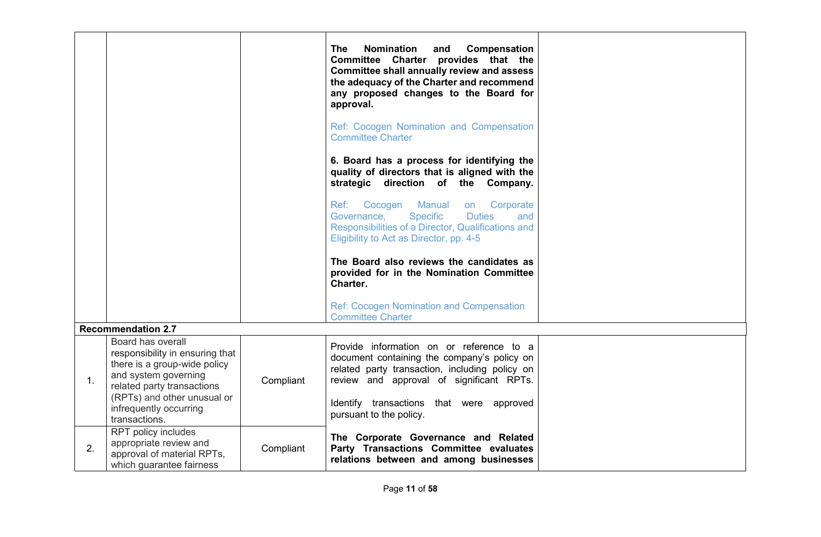|    |                                                                                                                                                                           |           | <b>The</b><br><b>Nomination</b><br>Compensation<br>and<br>Committee Charter provides that the<br><b>Committee shall annually review and assess</b><br>the adequacy of the Charter and recommend<br>any proposed changes to the Board for<br>approval. |  |
|----|---------------------------------------------------------------------------------------------------------------------------------------------------------------------------|-----------|-------------------------------------------------------------------------------------------------------------------------------------------------------------------------------------------------------------------------------------------------------|--|
|    |                                                                                                                                                                           |           | Ref: Cocogen Nomination and Compensation<br><b>Committee Charter</b>                                                                                                                                                                                  |  |
|    |                                                                                                                                                                           |           | 6. Board has a process for identifying the<br>quality of directors that is aligned with the<br>strategic direction of the Company.                                                                                                                    |  |
|    |                                                                                                                                                                           |           | <b>Manual</b><br>Ref: Cocogen<br>Corporate<br>on<br><b>Specific</b><br><b>Duties</b><br>and<br>Governance,<br>Responsibilities of a Director, Qualifications and<br>Eligibility to Act as Director, pp. 4-5                                           |  |
|    |                                                                                                                                                                           |           | The Board also reviews the candidates as<br>provided for in the Nomination Committee<br>Charter.                                                                                                                                                      |  |
|    |                                                                                                                                                                           |           | <b>Ref: Cocogen Nomination and Compensation</b><br><b>Committee Charter</b>                                                                                                                                                                           |  |
|    | <b>Recommendation 2.7</b>                                                                                                                                                 |           |                                                                                                                                                                                                                                                       |  |
| 1. | Board has overall<br>responsibility in ensuring that<br>there is a group-wide policy<br>and system governing<br>related party transactions<br>(RPTs) and other unusual or | Compliant | Provide information on or reference to a<br>document containing the company's policy on<br>related party transaction, including policy on<br>review and approval of significant RPTs.                                                                 |  |
|    | infrequently occurring<br>transactions.                                                                                                                                   |           | Identify transactions that were approved<br>pursuant to the policy.                                                                                                                                                                                   |  |
| 2. | RPT policy includes<br>appropriate review and<br>approval of material RPTs,<br>which guarantee fairness                                                                   | Compliant | The Corporate Governance and Related<br>Party Transactions Committee evaluates<br>relations between and among businesses                                                                                                                              |  |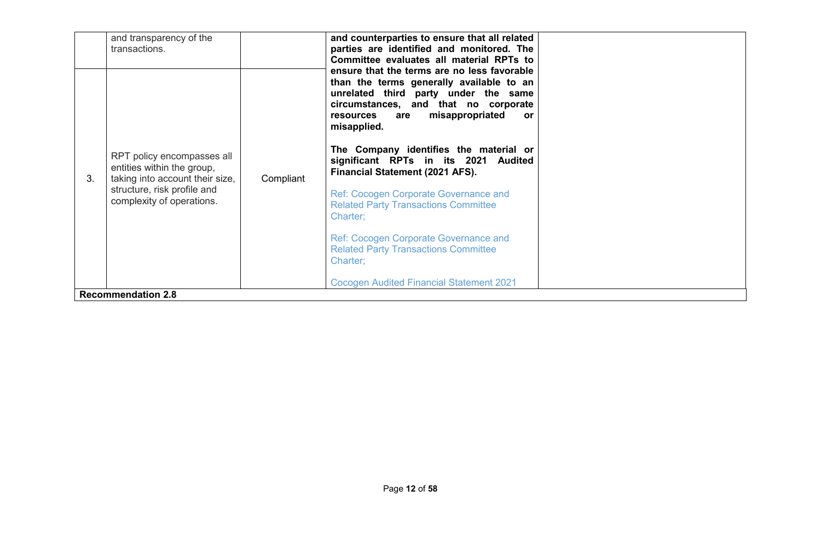|    | and transparency of the<br>transactions.                                                    |           | and counterparties to ensure that all related<br>parties are identified and monitored. The<br>Committee evaluates all material RPTs to<br>ensure that the terms are no less favorable |  |
|----|---------------------------------------------------------------------------------------------|-----------|---------------------------------------------------------------------------------------------------------------------------------------------------------------------------------------|--|
|    |                                                                                             |           | than the terms generally available to an<br>unrelated third party under the same<br>circumstances, and that no corporate<br>misappropriated<br>resources<br>are<br>or<br>misapplied.  |  |
| 3. | RPT policy encompasses all<br>entities within the group,<br>taking into account their size, | Compliant | The Company identifies the material or<br>significant RPTs in its 2021<br>Audited<br>Financial Statement (2021 AFS).                                                                  |  |
|    | structure, risk profile and<br>complexity of operations.                                    |           | <b>Ref: Cocogen Corporate Governance and</b><br><b>Related Party Transactions Committee</b><br>Charter:                                                                               |  |
|    |                                                                                             |           | Ref: Cocogen Corporate Governance and<br><b>Related Party Transactions Committee</b><br>Charter:                                                                                      |  |
|    |                                                                                             |           | <b>Cocogen Audited Financial Statement 2021</b>                                                                                                                                       |  |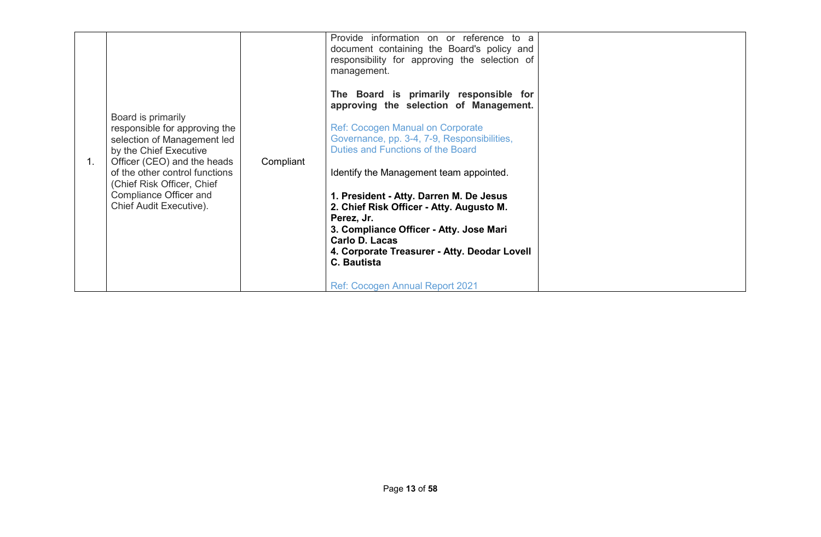| 1. | Board is primarily<br>responsible for approving the<br>selection of Management led<br>by the Chief Executive<br>Officer (CEO) and the heads<br>of the other control functions<br>(Chief Risk Officer, Chief<br>Compliance Officer and<br>Chief Audit Executive). | Compliant | Provide information on or reference to a<br>document containing the Board's policy and<br>responsibility for approving the selection of<br>management.<br>The Board is primarily responsible for<br>approving the selection of Management.<br><b>Ref: Cocogen Manual on Corporate</b><br>Governance, pp. 3-4, 7-9, Responsibilities,<br>Duties and Functions of the Board<br>Identify the Management team appointed.<br>1. President - Atty. Darren M. De Jesus<br>2. Chief Risk Officer - Atty. Augusto M.<br>Perez, Jr.<br>3. Compliance Officer - Atty. Jose Mari<br>Carlo D. Lacas<br>4. Corporate Treasurer - Atty. Deodar Lovell<br>C. Bautista<br><b>Ref: Cocogen Annual Report 2021</b> |  |
|----|------------------------------------------------------------------------------------------------------------------------------------------------------------------------------------------------------------------------------------------------------------------|-----------|-------------------------------------------------------------------------------------------------------------------------------------------------------------------------------------------------------------------------------------------------------------------------------------------------------------------------------------------------------------------------------------------------------------------------------------------------------------------------------------------------------------------------------------------------------------------------------------------------------------------------------------------------------------------------------------------------|--|
|----|------------------------------------------------------------------------------------------------------------------------------------------------------------------------------------------------------------------------------------------------------------------|-----------|-------------------------------------------------------------------------------------------------------------------------------------------------------------------------------------------------------------------------------------------------------------------------------------------------------------------------------------------------------------------------------------------------------------------------------------------------------------------------------------------------------------------------------------------------------------------------------------------------------------------------------------------------------------------------------------------------|--|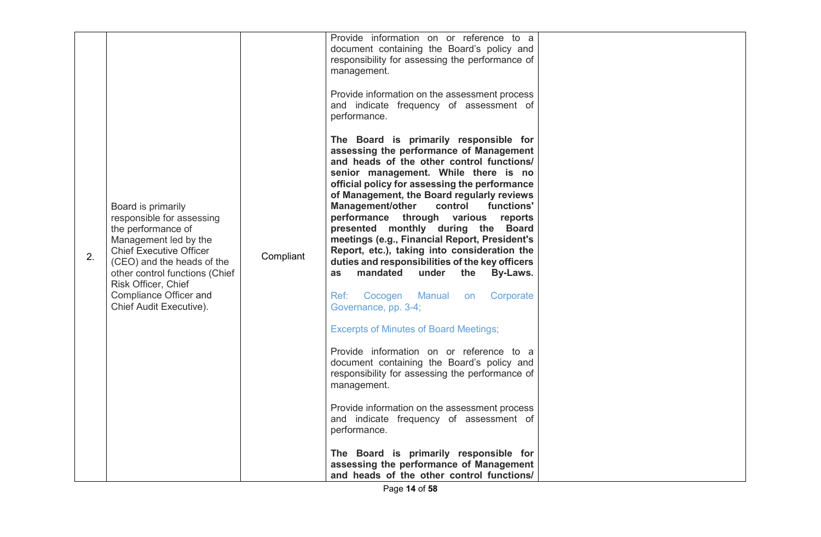| 2. | Board is primarily<br>responsible for assessing<br>the performance of<br>Management led by the<br><b>Chief Executive Officer</b><br>(CEO) and the heads of the<br>other control functions (Chief<br>Risk Officer, Chief<br>Compliance Officer and<br>Chief Audit Executive). | Compliant | document containing the Board's policy and<br>responsibility for assessing the performance of<br>management.<br>Provide information on the assessment process<br>and indicate frequency of assessment of<br>performance.<br>The Board is primarily responsible for<br>assessing the performance of Management<br>and heads of the other control functions/<br>senior management. While there is no<br>official policy for assessing the performance<br>of Management, the Board regularly reviews<br><b>Management/other</b><br>control<br>functions'<br>performance through various reports<br>presented monthly during the Board<br>meetings (e.g., Financial Report, President's<br>Report, etc.), taking into consideration the<br>duties and responsibilities of the key officers<br>mandated<br>under<br>the<br>By-Laws.<br>as<br>Ref:<br>Cocogen Manual<br>Corporate<br>on<br>Governance, pp. 3-4;<br><b>Excerpts of Minutes of Board Meetings;</b><br>Provide information on or reference to a<br>document containing the Board's policy and<br>responsibility for assessing the performance of<br>management.<br>Provide information on the assessment process<br>and indicate frequency of assessment of<br>performance.<br>The Board is primarily responsible for<br>assessing the performance of Management<br>and heads of the other control functions/ |  |
|----|------------------------------------------------------------------------------------------------------------------------------------------------------------------------------------------------------------------------------------------------------------------------------|-----------|----------------------------------------------------------------------------------------------------------------------------------------------------------------------------------------------------------------------------------------------------------------------------------------------------------------------------------------------------------------------------------------------------------------------------------------------------------------------------------------------------------------------------------------------------------------------------------------------------------------------------------------------------------------------------------------------------------------------------------------------------------------------------------------------------------------------------------------------------------------------------------------------------------------------------------------------------------------------------------------------------------------------------------------------------------------------------------------------------------------------------------------------------------------------------------------------------------------------------------------------------------------------------------------------------------------------------------------------------------------------|--|
|----|------------------------------------------------------------------------------------------------------------------------------------------------------------------------------------------------------------------------------------------------------------------------------|-----------|----------------------------------------------------------------------------------------------------------------------------------------------------------------------------------------------------------------------------------------------------------------------------------------------------------------------------------------------------------------------------------------------------------------------------------------------------------------------------------------------------------------------------------------------------------------------------------------------------------------------------------------------------------------------------------------------------------------------------------------------------------------------------------------------------------------------------------------------------------------------------------------------------------------------------------------------------------------------------------------------------------------------------------------------------------------------------------------------------------------------------------------------------------------------------------------------------------------------------------------------------------------------------------------------------------------------------------------------------------------------|--|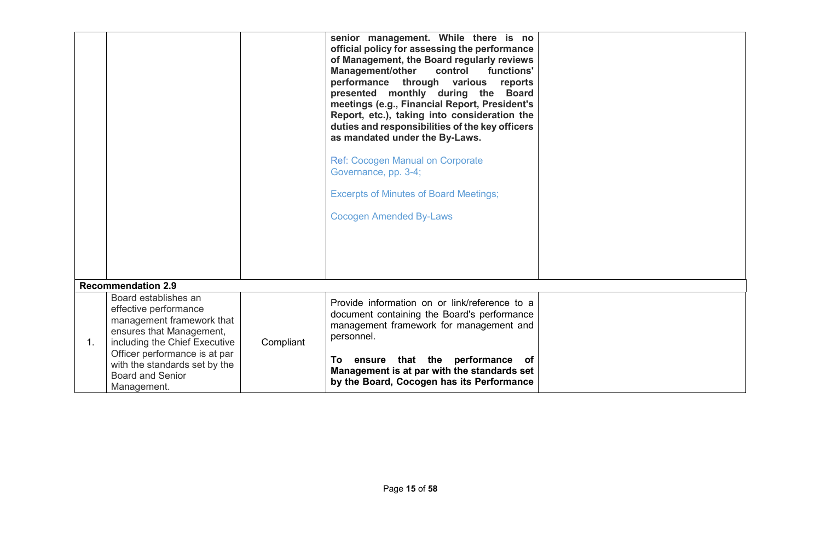|    |                                                                                                                                                                                                                                                     |           | senior management. While there is no<br>official policy for assessing the performance<br>of Management, the Board regularly reviews<br><b>Management/other</b><br>control<br>functions'<br>performance through various reports<br>presented monthly during the Board<br>meetings (e.g., Financial Report, President's<br>Report, etc.), taking into consideration the<br>duties and responsibilities of the key officers<br>as mandated under the By-Laws.<br><b>Ref: Cocogen Manual on Corporate</b><br>Governance, pp. 3-4;<br><b>Excerpts of Minutes of Board Meetings;</b><br><b>Cocogen Amended By-Laws</b> |  |
|----|-----------------------------------------------------------------------------------------------------------------------------------------------------------------------------------------------------------------------------------------------------|-----------|------------------------------------------------------------------------------------------------------------------------------------------------------------------------------------------------------------------------------------------------------------------------------------------------------------------------------------------------------------------------------------------------------------------------------------------------------------------------------------------------------------------------------------------------------------------------------------------------------------------|--|
|    | <b>Recommendation 2.9</b>                                                                                                                                                                                                                           |           |                                                                                                                                                                                                                                                                                                                                                                                                                                                                                                                                                                                                                  |  |
| 1. | Board establishes an<br>effective performance<br>management framework that<br>ensures that Management,<br>including the Chief Executive<br>Officer performance is at par<br>with the standards set by the<br><b>Board and Senior</b><br>Management. | Compliant | Provide information on or link/reference to a<br>document containing the Board's performance<br>management framework for management and<br>personnel.<br>ensure that the performance<br>To<br>of<br>Management is at par with the standards set<br>by the Board, Cocogen has its Performance                                                                                                                                                                                                                                                                                                                     |  |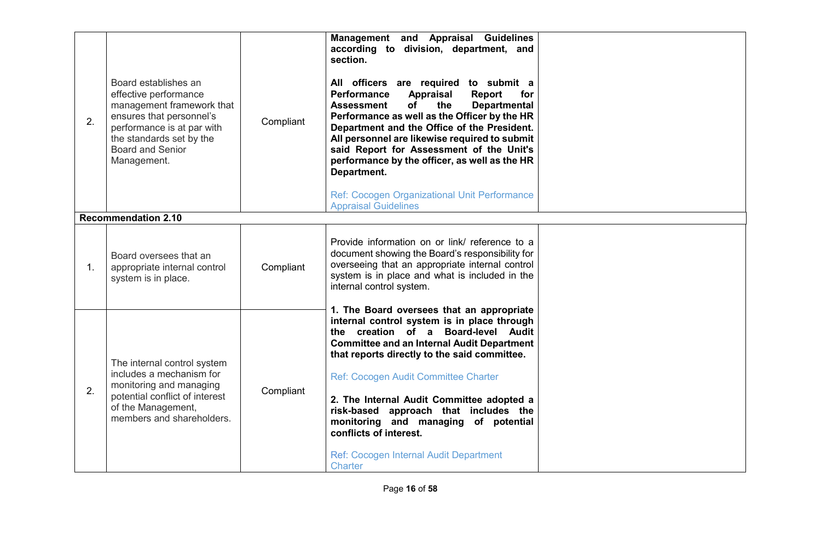| 2. | Board establishes an<br>effective performance<br>management framework that<br>ensures that personnel's<br>performance is at par with<br>the standards set by the<br><b>Board and Senior</b><br>Management. | Compliant | Management and Appraisal Guidelines<br>according to division, department, and<br>section.<br>All officers are required to submit a<br><b>Performance</b><br>Appraisal<br><b>Report</b><br>for<br><b>Assessment</b><br>of<br>the<br><b>Departmental</b><br>Performance as well as the Officer by the HR<br>Department and the Office of the President.<br>All personnel are likewise required to submit<br>said Report for Assessment of the Unit's<br>performance by the officer, as well as the HR<br>Department.<br>Ref: Cocogen Organizational Unit Performance<br><b>Appraisal Guidelines</b> |  |
|----|------------------------------------------------------------------------------------------------------------------------------------------------------------------------------------------------------------|-----------|---------------------------------------------------------------------------------------------------------------------------------------------------------------------------------------------------------------------------------------------------------------------------------------------------------------------------------------------------------------------------------------------------------------------------------------------------------------------------------------------------------------------------------------------------------------------------------------------------|--|
|    | <b>Recommendation 2.10</b>                                                                                                                                                                                 |           |                                                                                                                                                                                                                                                                                                                                                                                                                                                                                                                                                                                                   |  |
| 1. | Board oversees that an<br>appropriate internal control<br>system is in place.                                                                                                                              | Compliant | Provide information on or link/ reference to a<br>document showing the Board's responsibility for<br>overseeing that an appropriate internal control<br>system is in place and what is included in the<br>internal control system.                                                                                                                                                                                                                                                                                                                                                                |  |
| 2. | The internal control system<br>includes a mechanism for<br>monitoring and managing<br>potential conflict of interest<br>of the Management,<br>members and shareholders.                                    | Compliant | 1. The Board oversees that an appropriate<br>internal control system is in place through<br>the creation of a Board-level Audit<br><b>Committee and an Internal Audit Department</b><br>that reports directly to the said committee.<br>Ref: Cocogen Audit Committee Charter<br>2. The Internal Audit Committee adopted a<br>risk-based approach that includes the<br>monitoring and managing of potential<br>conflicts of interest.<br>Ref: Cocogen Internal Audit Department<br><b>Charter</b>                                                                                                  |  |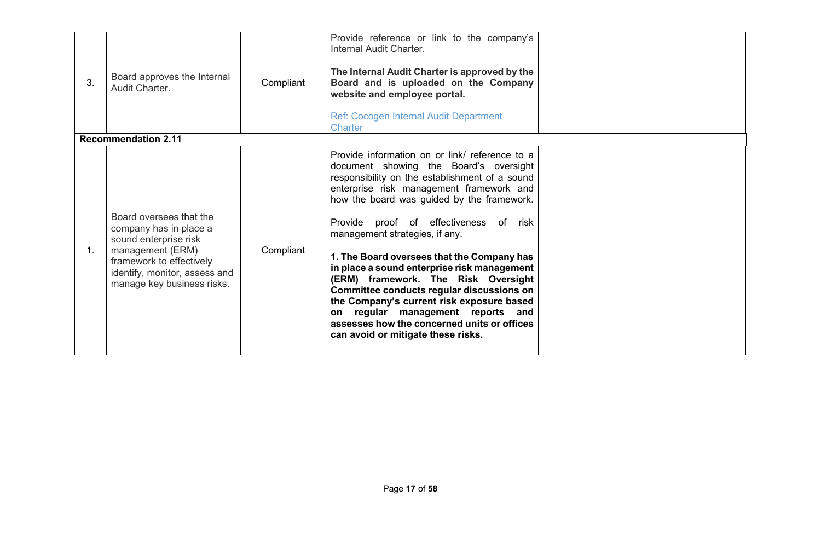| 3. | Board approves the Internal<br>Audit Charter.<br><b>Recommendation 2.11</b>                                                                                                               | Compliant | Provide reference or link to the company's<br>Internal Audit Charter.<br>The Internal Audit Charter is approved by the<br>Board and is uploaded on the Company<br>website and employee portal.<br>Ref: Cocogen Internal Audit Department<br><b>Charter</b>                                                                                                                                                                                                                                                                                                                                                                                                               |  |
|----|-------------------------------------------------------------------------------------------------------------------------------------------------------------------------------------------|-----------|--------------------------------------------------------------------------------------------------------------------------------------------------------------------------------------------------------------------------------------------------------------------------------------------------------------------------------------------------------------------------------------------------------------------------------------------------------------------------------------------------------------------------------------------------------------------------------------------------------------------------------------------------------------------------|--|
|    |                                                                                                                                                                                           |           |                                                                                                                                                                                                                                                                                                                                                                                                                                                                                                                                                                                                                                                                          |  |
| 1. | Board oversees that the<br>company has in place a<br>sound enterprise risk<br>management (ERM)<br>framework to effectively<br>identify, monitor, assess and<br>manage key business risks. | Compliant | Provide information on or link/ reference to a<br>document showing the Board's oversight<br>responsibility on the establishment of a sound<br>enterprise risk management framework and<br>how the board was guided by the framework.<br>Provide proof of effectiveness of risk<br>management strategies, if any.<br>1. The Board oversees that the Company has<br>in place a sound enterprise risk management<br>(ERM) framework. The Risk Oversight<br>Committee conducts regular discussions on<br>the Company's current risk exposure based<br>on regular management reports and<br>assesses how the concerned units or offices<br>can avoid or mitigate these risks. |  |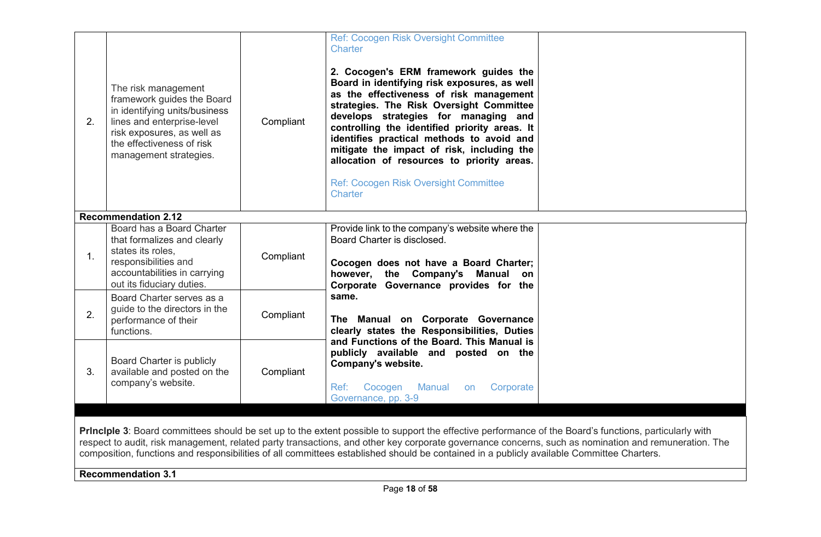| 2.                                                                                                                                                                                                                                                                                                                                                                                                                                                                                       | The risk management<br>framework guides the Board<br>in identifying units/business<br>lines and enterprise-level<br>risk exposures, as well as<br>the effectiveness of risk<br>management strategies. | Compliant | Ref: Cocogen Risk Oversight Committee<br>Charter<br>2. Cocogen's ERM framework guides the<br>Board in identifying risk exposures, as well<br>as the effectiveness of risk management<br>strategies. The Risk Oversight Committee<br>develops strategies for managing and<br>controlling the identified priority areas. It<br>identifies practical methods to avoid and<br>mitigate the impact of risk, including the<br>allocation of resources to priority areas.<br>Ref: Cocogen Risk Oversight Committee<br>Charter |  |  |
|------------------------------------------------------------------------------------------------------------------------------------------------------------------------------------------------------------------------------------------------------------------------------------------------------------------------------------------------------------------------------------------------------------------------------------------------------------------------------------------|-------------------------------------------------------------------------------------------------------------------------------------------------------------------------------------------------------|-----------|------------------------------------------------------------------------------------------------------------------------------------------------------------------------------------------------------------------------------------------------------------------------------------------------------------------------------------------------------------------------------------------------------------------------------------------------------------------------------------------------------------------------|--|--|
|                                                                                                                                                                                                                                                                                                                                                                                                                                                                                          | <b>Recommendation 2.12</b>                                                                                                                                                                            |           |                                                                                                                                                                                                                                                                                                                                                                                                                                                                                                                        |  |  |
| 1.                                                                                                                                                                                                                                                                                                                                                                                                                                                                                       | Board has a Board Charter<br>that formalizes and clearly<br>states its roles,<br>responsibilities and<br>accountabilities in carrying<br>out its fiduciary duties.                                    | Compliant | Provide link to the company's website where the<br>Board Charter is disclosed.<br>Cocogen does not have a Board Charter;<br>however, the Company's Manual on<br>Corporate Governance provides for the<br>same.<br>The Manual on Corporate Governance<br>clearly states the Responsibilities, Duties<br>and Functions of the Board. This Manual is                                                                                                                                                                      |  |  |
| 2.                                                                                                                                                                                                                                                                                                                                                                                                                                                                                       | Board Charter serves as a<br>guide to the directors in the<br>performance of their<br>functions.                                                                                                      | Compliant |                                                                                                                                                                                                                                                                                                                                                                                                                                                                                                                        |  |  |
| 3.                                                                                                                                                                                                                                                                                                                                                                                                                                                                                       | Board Charter is publicly<br>available and posted on the<br>company's website.                                                                                                                        | Compliant | publicly available and posted on the<br>Company's website.<br>Corporate<br>Cocogen<br>Manual<br>Ref:<br>on<br>Governance, pp. 3-9                                                                                                                                                                                                                                                                                                                                                                                      |  |  |
|                                                                                                                                                                                                                                                                                                                                                                                                                                                                                          |                                                                                                                                                                                                       |           |                                                                                                                                                                                                                                                                                                                                                                                                                                                                                                                        |  |  |
| Principle 3: Board committees should be set up to the extent possible to support the effective performance of the Board's functions, particularly with<br>respect to audit, risk management, related party transactions, and other key corporate governance concerns, such as nomination and remuneration. The<br>composition, functions and responsibilities of all committees established should be contained in a publicly available Committee Charters.<br><b>Recommendation 3.1</b> |                                                                                                                                                                                                       |           |                                                                                                                                                                                                                                                                                                                                                                                                                                                                                                                        |  |  |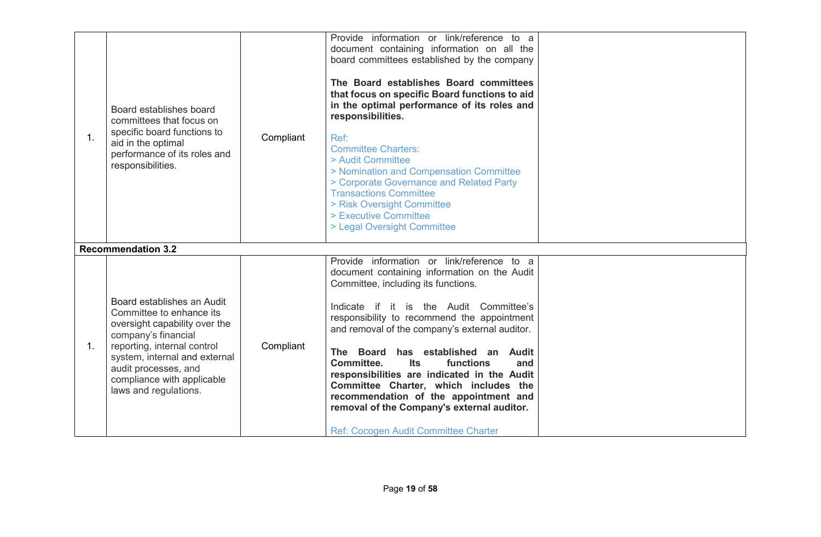| 1. | Board establishes board<br>committees that focus on<br>specific board functions to<br>aid in the optimal<br>performance of its roles and<br>responsibilities.                                                                                                 | Compliant | Provide information or link/reference to a<br>document containing information on all the<br>board committees established by the company<br>The Board establishes Board committees<br>that focus on specific Board functions to aid<br>in the optimal performance of its roles and<br>responsibilities.<br>Ref:<br><b>Committee Charters:</b><br>> Audit Committee<br>> Nomination and Compensation Committee<br>> Corporate Governance and Related Party<br><b>Transactions Committee</b><br>> Risk Oversight Committee<br>> Executive Committee<br>> Legal Oversight Committee            |  |
|----|---------------------------------------------------------------------------------------------------------------------------------------------------------------------------------------------------------------------------------------------------------------|-----------|--------------------------------------------------------------------------------------------------------------------------------------------------------------------------------------------------------------------------------------------------------------------------------------------------------------------------------------------------------------------------------------------------------------------------------------------------------------------------------------------------------------------------------------------------------------------------------------------|--|
|    | <b>Recommendation 3.2</b>                                                                                                                                                                                                                                     |           |                                                                                                                                                                                                                                                                                                                                                                                                                                                                                                                                                                                            |  |
| 1. | Board establishes an Audit<br>Committee to enhance its<br>oversight capability over the<br>company's financial<br>reporting, internal control<br>system, internal and external<br>audit processes, and<br>compliance with applicable<br>laws and regulations. | Compliant | Provide information or link/reference to a<br>document containing information on the Audit<br>Committee, including its functions.<br>Indicate if it is the Audit Committee's<br>responsibility to recommend the appointment<br>and removal of the company's external auditor.<br>The Board has established an Audit<br>Committee.<br><b>Its</b><br>functions<br>and<br>responsibilities are indicated in the Audit<br>Committee Charter, which includes the<br>recommendation of the appointment and<br>removal of the Company's external auditor.<br>Ref: Cocogen Audit Committee Charter |  |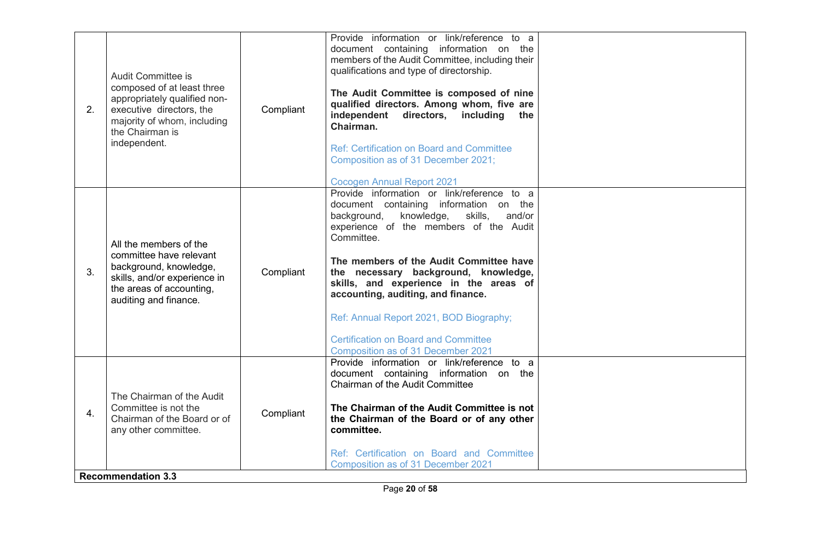| 2.               | Audit Committee is<br>composed of at least three<br>appropriately qualified non-<br>executive directors, the<br>majority of whom, including<br>the Chairman is<br>independent. | Compliant | Provide information or link/reference to a<br>document containing information on the<br>members of the Audit Committee, including their<br>qualifications and type of directorship.<br>The Audit Committee is composed of nine<br>qualified directors. Among whom, five are<br>independent<br>directors,<br>including<br>the<br>Chairman.<br><b>Ref: Certification on Board and Committee</b><br>Composition as of 31 December 2021;<br><b>Cocogen Annual Report 2021</b>                         |  |
|------------------|--------------------------------------------------------------------------------------------------------------------------------------------------------------------------------|-----------|---------------------------------------------------------------------------------------------------------------------------------------------------------------------------------------------------------------------------------------------------------------------------------------------------------------------------------------------------------------------------------------------------------------------------------------------------------------------------------------------------|--|
| 3.               | All the members of the<br>committee have relevant<br>background, knowledge,<br>skills, and/or experience in<br>the areas of accounting,<br>auditing and finance.               | Compliant | Provide information or link/reference to a<br>document containing information on the<br>background,<br>knowledge,<br>skills,<br>and/or<br>experience of the members of the Audit<br>Committee.<br>The members of the Audit Committee have<br>the necessary background, knowledge,<br>skills, and experience in the areas of<br>accounting, auditing, and finance.<br>Ref: Annual Report 2021, BOD Biography;<br><b>Certification on Board and Committee</b><br>Composition as of 31 December 2021 |  |
| $\overline{4}$ . | The Chairman of the Audit<br>Committee is not the<br>Chairman of the Board or of<br>any other committee.<br><b>Recommendation 3.3</b>                                          | Compliant | Provide information or link/reference to a<br>document containing information on the<br>Chairman of the Audit Committee<br>The Chairman of the Audit Committee is not<br>the Chairman of the Board or of any other<br>committee.<br>Ref: Certification on Board and Committee<br>Composition as of 31 December 2021                                                                                                                                                                               |  |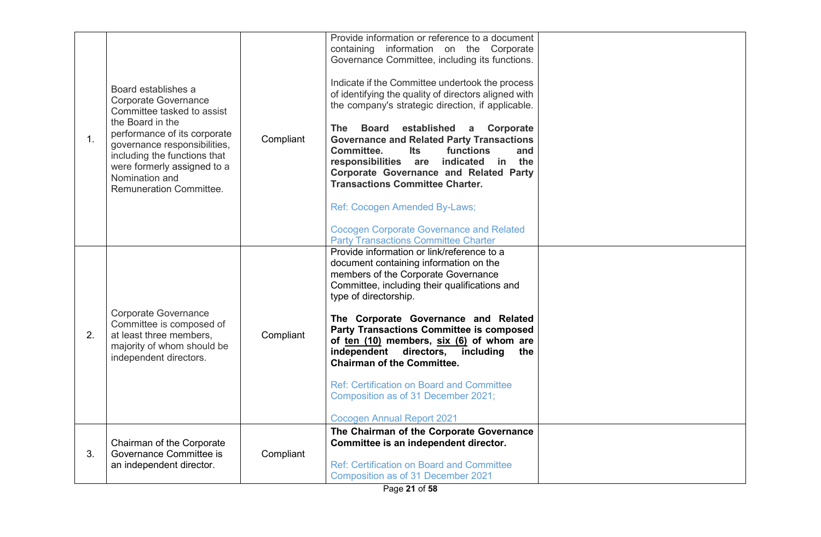| 1 <sub>1</sub> | Board establishes a<br><b>Corporate Governance</b><br>Committee tasked to assist<br>the Board in the<br>performance of its corporate<br>governance responsibilities,<br>including the functions that<br>were formerly assigned to a<br>Nomination and<br><b>Remuneration Committee.</b> | Compliant | Provide information or reference to a document<br>containing information on the Corporate<br>Governance Committee, including its functions.<br>Indicate if the Committee undertook the process<br>of identifying the quality of directors aligned with<br>the company's strategic direction, if applicable.<br><b>Board</b><br>established a Corporate<br>The<br><b>Governance and Related Party Transactions</b><br>Committee.<br>functions<br>Its<br>and<br>responsibilities are indicated in the<br><b>Corporate Governance and Related Party</b><br><b>Transactions Committee Charter.</b><br>Ref: Cocogen Amended By-Laws;<br><b>Cocogen Corporate Governance and Related</b><br><b>Party Transactions Committee Charter</b> |  |
|----------------|-----------------------------------------------------------------------------------------------------------------------------------------------------------------------------------------------------------------------------------------------------------------------------------------|-----------|-----------------------------------------------------------------------------------------------------------------------------------------------------------------------------------------------------------------------------------------------------------------------------------------------------------------------------------------------------------------------------------------------------------------------------------------------------------------------------------------------------------------------------------------------------------------------------------------------------------------------------------------------------------------------------------------------------------------------------------|--|
| 2.             | <b>Corporate Governance</b><br>Committee is composed of<br>at least three members,<br>majority of whom should be<br>independent directors.                                                                                                                                              | Compliant | Provide information or link/reference to a<br>document containing information on the<br>members of the Corporate Governance<br>Committee, including their qualifications and<br>type of directorship.<br>The Corporate Governance and Related<br><b>Party Transactions Committee is composed</b><br>of ten (10) members, six (6) of whom are<br>independent directors,<br>including<br>the<br><b>Chairman of the Committee.</b><br><b>Ref: Certification on Board and Committee</b><br>Composition as of 31 December 2021;<br><b>Cocogen Annual Report 2021</b>                                                                                                                                                                   |  |
| 3.             | Chairman of the Corporate<br>Governance Committee is<br>an independent director.                                                                                                                                                                                                        | Compliant | The Chairman of the Corporate Governance<br>Committee is an independent director.<br>Ref: Certification on Board and Committee<br>Composition as of 31 December 2021                                                                                                                                                                                                                                                                                                                                                                                                                                                                                                                                                              |  |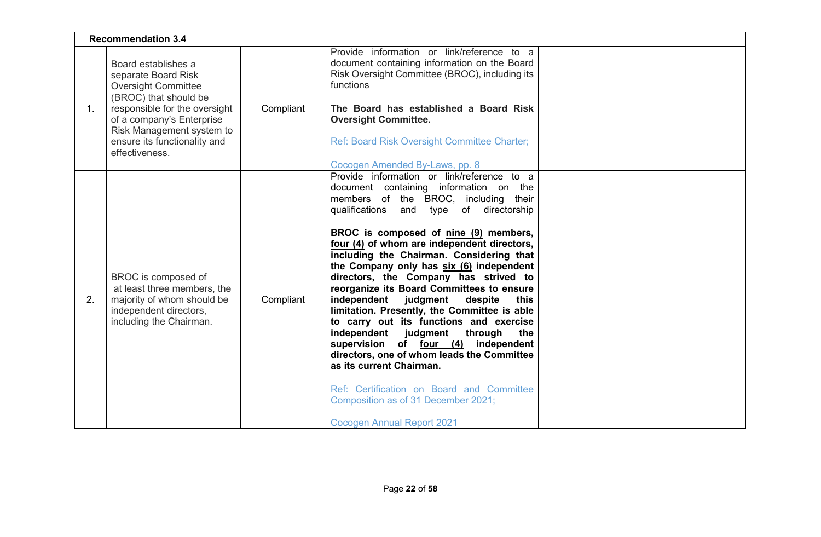|             | <b>Recommendation 3.4</b>                                                                                                                                                                                                                      |           |                                                                                                                                                                                                                                                                                                                                                                                                                                                                                                                                                                                                                                                                                                                                                                                                                                                                            |  |  |
|-------------|------------------------------------------------------------------------------------------------------------------------------------------------------------------------------------------------------------------------------------------------|-----------|----------------------------------------------------------------------------------------------------------------------------------------------------------------------------------------------------------------------------------------------------------------------------------------------------------------------------------------------------------------------------------------------------------------------------------------------------------------------------------------------------------------------------------------------------------------------------------------------------------------------------------------------------------------------------------------------------------------------------------------------------------------------------------------------------------------------------------------------------------------------------|--|--|
| $1_{\cdot}$ | Board establishes a<br>separate Board Risk<br><b>Oversight Committee</b><br>(BROC) that should be<br>responsible for the oversight<br>of a company's Enterprise<br>Risk Management system to<br>ensure its functionality and<br>effectiveness. | Compliant | Provide information or link/reference to a<br>document containing information on the Board<br>Risk Oversight Committee (BROC), including its<br>functions<br>The Board has established a Board Risk<br><b>Oversight Committee.</b><br>Ref: Board Risk Oversight Committee Charter;<br>Cocogen Amended By-Laws, pp. 8                                                                                                                                                                                                                                                                                                                                                                                                                                                                                                                                                       |  |  |
| 2.          | BROC is composed of<br>at least three members, the<br>majority of whom should be<br>independent directors,<br>including the Chairman.                                                                                                          | Compliant | Provide information or link/reference to a<br>document containing information on the<br>members of the BROC, including their<br>qualifications and type of directorship<br>BROC is composed of nine (9) members,<br>four (4) of whom are independent directors,<br>including the Chairman. Considering that<br>the Company only has six (6) independent<br>directors, the Company has strived to<br>reorganize its Board Committees to ensure<br>independent<br>judgment<br>despite<br>this<br>limitation. Presently, the Committee is able<br>to carry out its functions and exercise<br>independent judgment<br>through<br>the<br>supervision of four (4) independent<br>directors, one of whom leads the Committee<br>as its current Chairman.<br>Ref: Certification on Board and Committee<br>Composition as of 31 December 2021;<br><b>Cocogen Annual Report 2021</b> |  |  |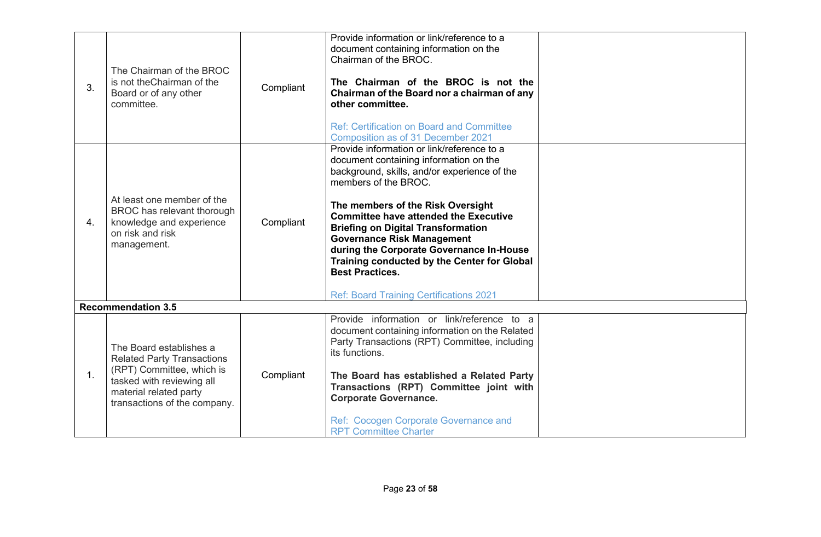| 3. | The Chairman of the BROC<br>is not the Chairman of the<br>Board or of any other<br>committee.                                                                                    | Compliant | Provide information or link/reference to a<br>document containing information on the<br>Chairman of the BROC.<br>The Chairman of the BROC is not the<br>Chairman of the Board nor a chairman of any<br>other committee.<br><b>Ref: Certification on Board and Committee</b><br>Composition as of 31 December 2021                                                                                                                                                                                          |  |
|----|----------------------------------------------------------------------------------------------------------------------------------------------------------------------------------|-----------|------------------------------------------------------------------------------------------------------------------------------------------------------------------------------------------------------------------------------------------------------------------------------------------------------------------------------------------------------------------------------------------------------------------------------------------------------------------------------------------------------------|--|
| 4. | At least one member of the<br>BROC has relevant thorough<br>knowledge and experience<br>on risk and risk<br>management.                                                          | Compliant | Provide information or link/reference to a<br>document containing information on the<br>background, skills, and/or experience of the<br>members of the BROC.<br>The members of the Risk Oversight<br><b>Committee have attended the Executive</b><br><b>Briefing on Digital Transformation</b><br><b>Governance Risk Management</b><br>during the Corporate Governance In-House<br>Training conducted by the Center for Global<br><b>Best Practices.</b><br><b>Ref: Board Training Certifications 2021</b> |  |
|    | <b>Recommendation 3.5</b>                                                                                                                                                        |           |                                                                                                                                                                                                                                                                                                                                                                                                                                                                                                            |  |
| 1. | The Board establishes a<br><b>Related Party Transactions</b><br>(RPT) Committee, which is<br>tasked with reviewing all<br>material related party<br>transactions of the company. | Compliant | Provide information or link/reference to a<br>document containing information on the Related<br>Party Transactions (RPT) Committee, including<br>its functions.<br>The Board has established a Related Party<br>Transactions (RPT) Committee joint with<br><b>Corporate Governance.</b><br>Ref: Cocogen Corporate Governance and<br><b>RPT Committee Charter</b>                                                                                                                                           |  |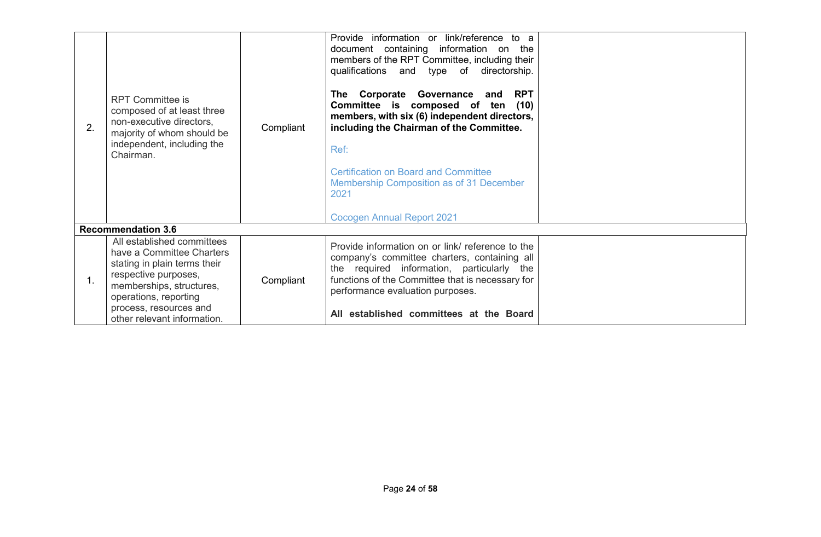| 2. | <b>RPT Committee is</b><br>composed of at least three<br>non-executive directors,<br>majority of whom should be<br>independent, including the<br>Chairman.                                                                    | Compliant | Provide information or link/reference to a<br>document containing information on the<br>members of the RPT Committee, including their<br>qualifications and type of directorship.<br>The Corporate Governance and RPT<br>Committee is composed of ten (10)<br>members, with six (6) independent directors,<br>including the Chairman of the Committee.<br>Ref:<br><b>Certification on Board and Committee</b><br>Membership Composition as of 31 December<br>2021<br><b>Cocogen Annual Report 2021</b> |  |
|----|-------------------------------------------------------------------------------------------------------------------------------------------------------------------------------------------------------------------------------|-----------|--------------------------------------------------------------------------------------------------------------------------------------------------------------------------------------------------------------------------------------------------------------------------------------------------------------------------------------------------------------------------------------------------------------------------------------------------------------------------------------------------------|--|
|    | <b>Recommendation 3.6</b>                                                                                                                                                                                                     |           |                                                                                                                                                                                                                                                                                                                                                                                                                                                                                                        |  |
| 1. | All established committees<br>have a Committee Charters<br>stating in plain terms their<br>respective purposes,<br>memberships, structures,<br>operations, reporting<br>process, resources and<br>other relevant information. | Compliant | Provide information on or link/ reference to the<br>company's committee charters, containing all<br>the required information, particularly the<br>functions of the Committee that is necessary for<br>performance evaluation purposes.<br>All established committees at the Board                                                                                                                                                                                                                      |  |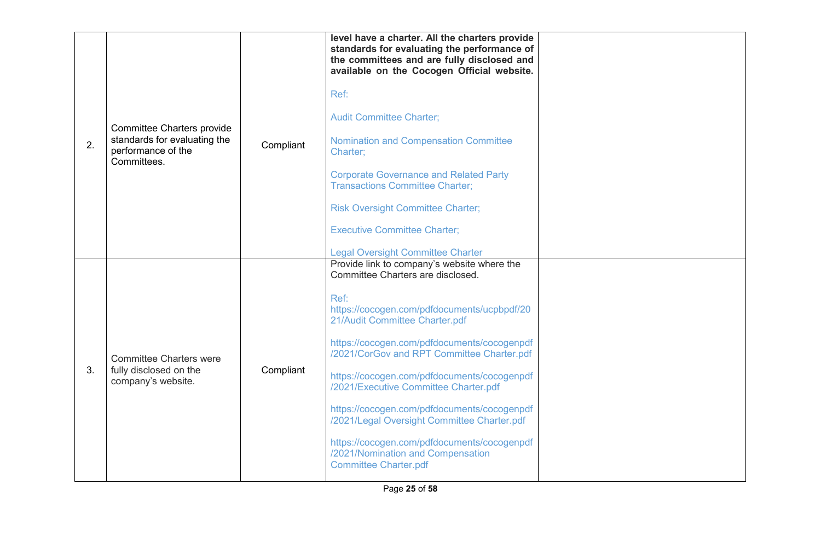| 2. | <b>Committee Charters provide</b><br>standards for evaluating the<br>performance of the<br>Committees. | Compliant | level have a charter. All the charters provide<br>standards for evaluating the performance of<br>the committees and are fully disclosed and<br>available on the Cocogen Official website.<br>Ref:<br><b>Audit Committee Charter;</b><br><b>Nomination and Compensation Committee</b><br>Charter;<br><b>Corporate Governance and Related Party</b><br><b>Transactions Committee Charter;</b><br><b>Risk Oversight Committee Charter;</b><br><b>Executive Committee Charter;</b><br><b>Legal Oversight Committee Charter</b>                                                       |  |
|----|--------------------------------------------------------------------------------------------------------|-----------|----------------------------------------------------------------------------------------------------------------------------------------------------------------------------------------------------------------------------------------------------------------------------------------------------------------------------------------------------------------------------------------------------------------------------------------------------------------------------------------------------------------------------------------------------------------------------------|--|
| 3. | <b>Committee Charters were</b><br>fully disclosed on the<br>company's website.                         | Compliant | Provide link to company's website where the<br>Committee Charters are disclosed.<br>Ref:<br>https://cocogen.com/pdfdocuments/ucpbpdf/20<br>21/Audit Committee Charter.pdf<br>https://cocogen.com/pdfdocuments/cocogenpdf<br>/2021/CorGov and RPT Committee Charter.pdf<br>https://cocogen.com/pdfdocuments/cocogenpdf<br>/2021/Executive Committee Charter.pdf<br>https://cocogen.com/pdfdocuments/cocogenpdf<br>/2021/Legal Oversight Committee Charter.pdf<br>https://cocogen.com/pdfdocuments/cocogenpdf<br>/2021/Nomination and Compensation<br><b>Committee Charter.pdf</b> |  |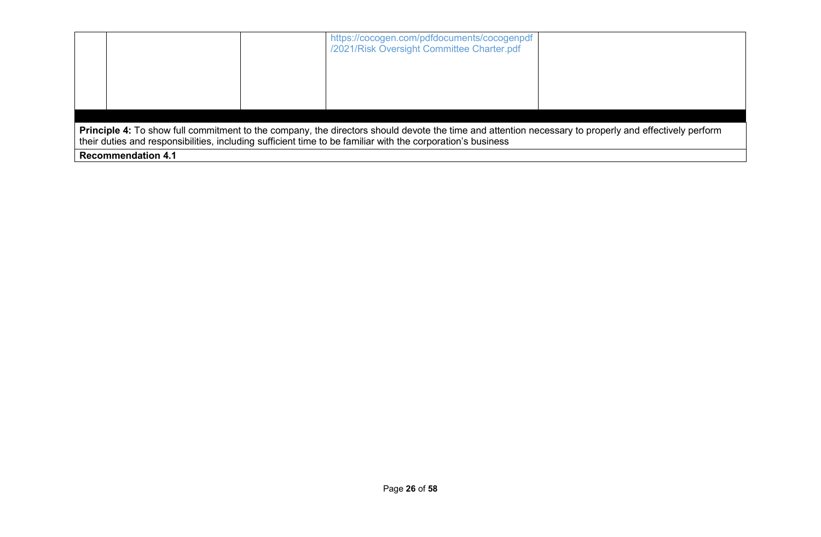|                                                                                                                                                                                                                                                                             |  |                           | https://cocogen.com/pdfdocuments/cocogenpdf<br>/2021/Risk Oversight Committee Charter.pdf |  |  |  |
|-----------------------------------------------------------------------------------------------------------------------------------------------------------------------------------------------------------------------------------------------------------------------------|--|---------------------------|-------------------------------------------------------------------------------------------|--|--|--|
|                                                                                                                                                                                                                                                                             |  |                           |                                                                                           |  |  |  |
| <b>Principle 4:</b> To show full commitment to the company, the directors should devote the time and attention necessary to properly and effectively perform<br>their duties and responsibilities, including sufficient time to be familiar with the corporation's business |  |                           |                                                                                           |  |  |  |
|                                                                                                                                                                                                                                                                             |  | <b>Recommendation 4.1</b> |                                                                                           |  |  |  |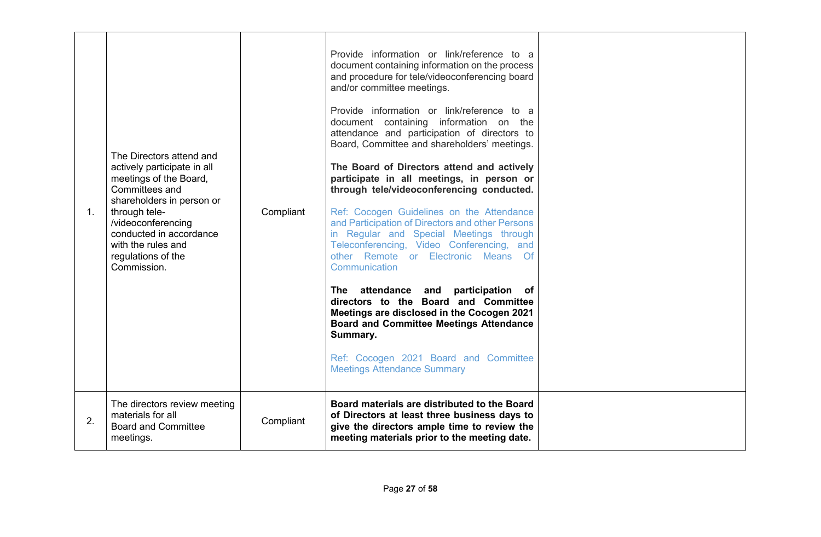| $1_{-}$ | The Directors attend and<br>actively participate in all<br>meetings of the Board,<br>Committees and<br>shareholders in person or<br>through tele-<br>/videoconferencing<br>conducted in accordance<br>with the rules and<br>regulations of the<br>Commission. | Compliant | Provide information or link/reference to a<br>document containing information on the process<br>and procedure for tele/videoconferencing board<br>and/or committee meetings.<br>Provide information or link/reference to a<br>document containing information on the<br>attendance and participation of directors to<br>Board, Committee and shareholders' meetings.<br>The Board of Directors attend and actively<br>participate in all meetings, in person or<br>through tele/videoconferencing conducted.<br>Ref: Cocogen Guidelines on the Attendance<br>and Participation of Directors and other Persons<br>in Regular and Special Meetings through<br>Teleconferencing, Video Conferencing, and<br>other Remote or Electronic Means Of<br>Communication<br>participation of<br>The attendance and<br>directors to the Board and Committee<br>Meetings are disclosed in the Cocogen 2021<br><b>Board and Committee Meetings Attendance</b><br>Summary.<br>Ref: Cocogen 2021 Board and Committee<br><b>Meetings Attendance Summary</b> |  |
|---------|---------------------------------------------------------------------------------------------------------------------------------------------------------------------------------------------------------------------------------------------------------------|-----------|--------------------------------------------------------------------------------------------------------------------------------------------------------------------------------------------------------------------------------------------------------------------------------------------------------------------------------------------------------------------------------------------------------------------------------------------------------------------------------------------------------------------------------------------------------------------------------------------------------------------------------------------------------------------------------------------------------------------------------------------------------------------------------------------------------------------------------------------------------------------------------------------------------------------------------------------------------------------------------------------------------------------------------------------|--|
| 2.      | The directors review meeting<br>materials for all<br><b>Board and Committee</b><br>meetings.                                                                                                                                                                  | Compliant | Board materials are distributed to the Board<br>of Directors at least three business days to<br>give the directors ample time to review the<br>meeting materials prior to the meeting date.                                                                                                                                                                                                                                                                                                                                                                                                                                                                                                                                                                                                                                                                                                                                                                                                                                                |  |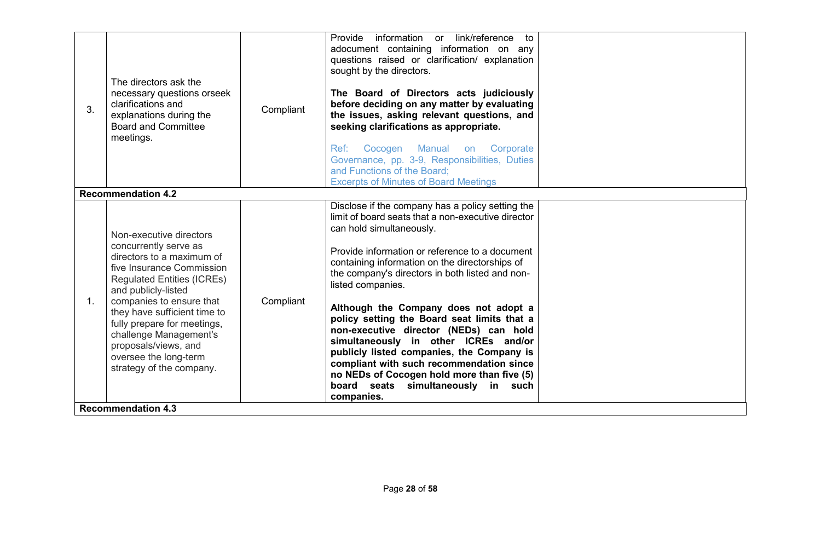| 3. | The directors ask the<br>necessary questions orseek<br>clarifications and<br>explanations during the<br><b>Board and Committee</b><br>meetings.                                                                                                                                                                                                                                                       | Compliant | Provide<br>information or link/reference<br>to<br>adocument containing information on any<br>questions raised or clarification/ explanation<br>sought by the directors.<br>The Board of Directors acts judiciously<br>before deciding on any matter by evaluating<br>the issues, asking relevant questions, and<br>seeking clarifications as appropriate.<br>Ref:<br>Cocogen Manual on Corporate<br>Governance, pp. 3-9, Responsibilities, Duties<br>and Functions of the Board:<br><b>Excerpts of Minutes of Board Meetings</b>                                                                                                                                                    |  |
|----|-------------------------------------------------------------------------------------------------------------------------------------------------------------------------------------------------------------------------------------------------------------------------------------------------------------------------------------------------------------------------------------------------------|-----------|-------------------------------------------------------------------------------------------------------------------------------------------------------------------------------------------------------------------------------------------------------------------------------------------------------------------------------------------------------------------------------------------------------------------------------------------------------------------------------------------------------------------------------------------------------------------------------------------------------------------------------------------------------------------------------------|--|
|    | <b>Recommendation 4.2</b>                                                                                                                                                                                                                                                                                                                                                                             |           |                                                                                                                                                                                                                                                                                                                                                                                                                                                                                                                                                                                                                                                                                     |  |
| 1. | Non-executive directors<br>concurrently serve as<br>directors to a maximum of<br>five Insurance Commission<br><b>Regulated Entities (ICREs)</b><br>and publicly-listed<br>companies to ensure that<br>they have sufficient time to<br>fully prepare for meetings,<br>challenge Management's<br>proposals/views, and<br>oversee the long-term<br>strategy of the company.<br><b>Recommendation 4.3</b> | Compliant | Disclose if the company has a policy setting the<br>limit of board seats that a non-executive director<br>can hold simultaneously.<br>Provide information or reference to a document<br>containing information on the directorships of<br>the company's directors in both listed and non-<br>listed companies.<br>Although the Company does not adopt a<br>policy setting the Board seat limits that a<br>non-executive director (NEDs) can hold<br>simultaneously in other ICREs and/or<br>publicly listed companies, the Company is<br>compliant with such recommendation since<br>no NEDs of Cocogen hold more than five (5)<br>board seats simultaneously in such<br>companies. |  |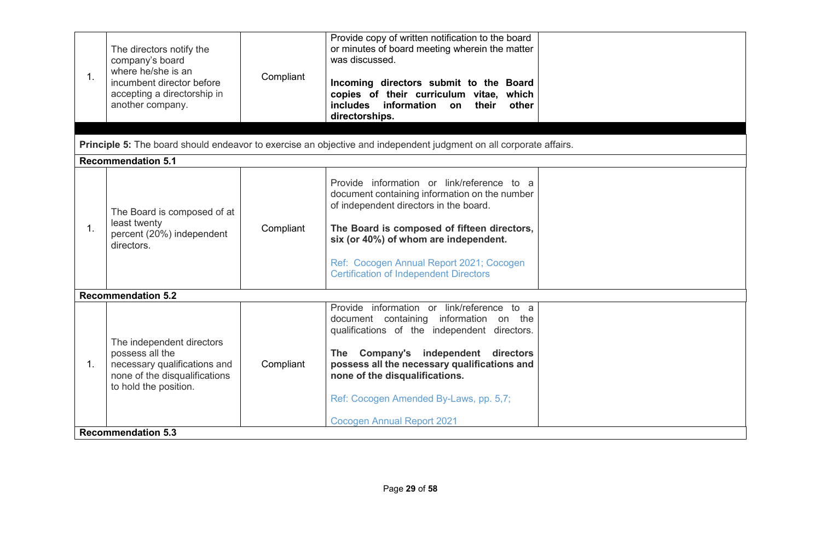| 1. | The directors notify the<br>company's board<br>where he/she is an<br>incumbent director before<br>accepting a directorship in<br>another company. | Compliant | Provide copy of written notification to the board<br>or minutes of board meeting wherein the matter<br>was discussed.<br>Incoming directors submit to the Board<br>copies of their curriculum vitae, which<br>includes information on<br>their<br>other<br>directorships.                                                                    |  |
|----|---------------------------------------------------------------------------------------------------------------------------------------------------|-----------|----------------------------------------------------------------------------------------------------------------------------------------------------------------------------------------------------------------------------------------------------------------------------------------------------------------------------------------------|--|
|    |                                                                                                                                                   |           | Principle 5: The board should endeavor to exercise an objective and independent judgment on all corporate affairs.                                                                                                                                                                                                                           |  |
|    | <b>Recommendation 5.1</b>                                                                                                                         |           |                                                                                                                                                                                                                                                                                                                                              |  |
| 1. | The Board is composed of at<br>least twenty<br>percent (20%) independent<br>directors.                                                            | Compliant | Provide information or link/reference to a<br>document containing information on the number<br>of independent directors in the board.<br>The Board is composed of fifteen directors,<br>six (or 40%) of whom are independent.<br>Ref: Cocogen Annual Report 2021; Cocogen<br><b>Certification of Independent Directors</b>                   |  |
|    | <b>Recommendation 5.2</b>                                                                                                                         |           |                                                                                                                                                                                                                                                                                                                                              |  |
| 1. | The independent directors<br>possess all the<br>necessary qualifications and<br>none of the disqualifications<br>to hold the position.            | Compliant | Provide information or link/reference to a<br>document containing information on the<br>qualifications of the independent directors.<br>The Company's independent directors<br>possess all the necessary qualifications and<br>none of the disqualifications.<br>Ref: Cocogen Amended By-Laws, pp. 5,7;<br><b>Cocogen Annual Report 2021</b> |  |
|    | <b>Recommendation 5.3</b>                                                                                                                         |           |                                                                                                                                                                                                                                                                                                                                              |  |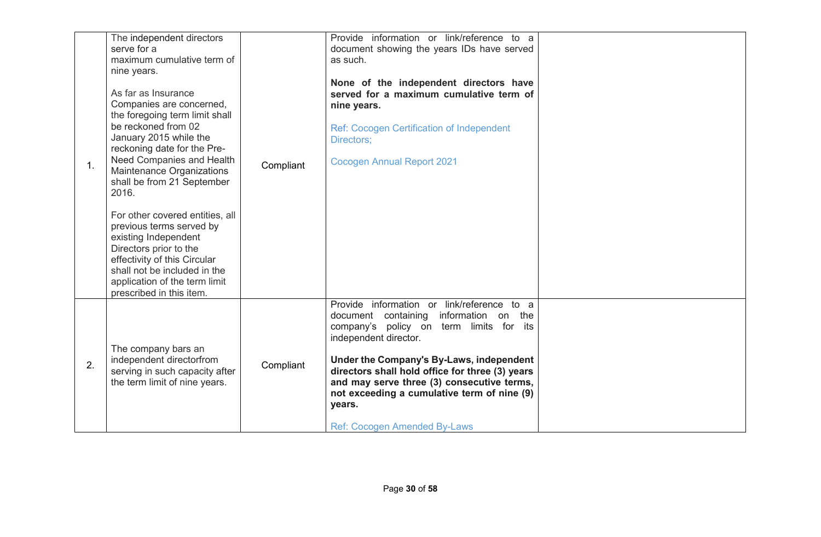| 1. | The independent directors<br>serve for a<br>maximum cumulative term of<br>nine years.<br>As far as Insurance<br>Companies are concerned,<br>the foregoing term limit shall<br>be reckoned from 02<br>January 2015 while the<br>reckoning date for the Pre-<br>Need Companies and Health<br>Maintenance Organizations<br>shall be from 21 September<br>2016.<br>For other covered entities, all<br>previous terms served by<br>existing Independent<br>Directors prior to the<br>effectivity of this Circular<br>shall not be included in the<br>application of the term limit<br>prescribed in this item. | Compliant | Provide information or link/reference to a<br>document showing the years IDs have served<br>as such.<br>None of the independent directors have<br>served for a maximum cumulative term of<br>nine years.<br><b>Ref: Cocogen Certification of Independent</b><br>Directors;<br><b>Cocogen Annual Report 2021</b>                                                                                          |  |
|----|-----------------------------------------------------------------------------------------------------------------------------------------------------------------------------------------------------------------------------------------------------------------------------------------------------------------------------------------------------------------------------------------------------------------------------------------------------------------------------------------------------------------------------------------------------------------------------------------------------------|-----------|----------------------------------------------------------------------------------------------------------------------------------------------------------------------------------------------------------------------------------------------------------------------------------------------------------------------------------------------------------------------------------------------------------|--|
| 2. | The company bars an<br>independent directorfrom<br>serving in such capacity after<br>the term limit of nine years.                                                                                                                                                                                                                                                                                                                                                                                                                                                                                        | Compliant | Provide information or link/reference to a<br>document containing<br>information on the<br>company's policy on term limits for its<br>independent director.<br>Under the Company's By-Laws, independent<br>directors shall hold office for three (3) years<br>and may serve three (3) consecutive terms,<br>not exceeding a cumulative term of nine (9)<br>years.<br><b>Ref: Cocogen Amended By-Laws</b> |  |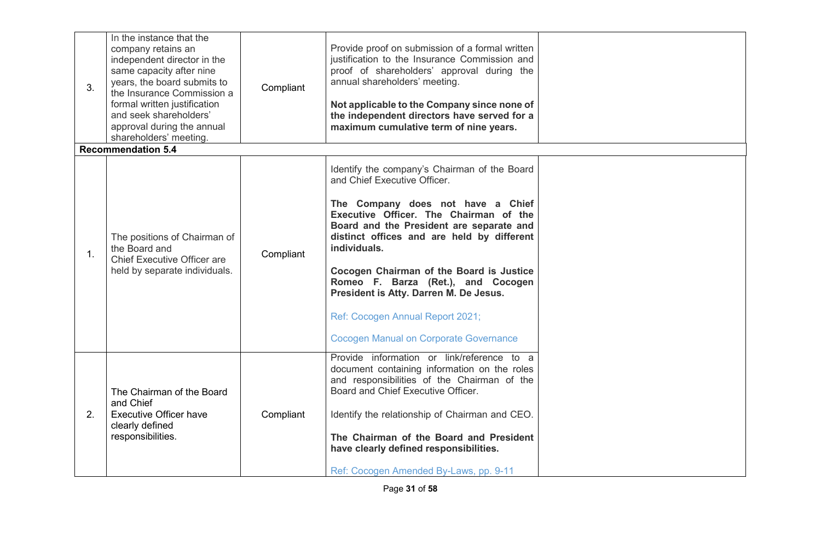| 3. | In the instance that the<br>company retains an<br>independent director in the<br>same capacity after nine<br>years, the board submits to<br>the Insurance Commission a<br>formal written justification<br>and seek shareholders'<br>approval during the annual<br>shareholders' meeting.<br><b>Recommendation 5.4</b> | Compliant | Provide proof on submission of a formal written<br>justification to the Insurance Commission and<br>proof of shareholders' approval during the<br>annual shareholders' meeting.<br>Not applicable to the Company since none of<br>the independent directors have served for a<br>maximum cumulative term of nine years.                                                                                |  |
|----|-----------------------------------------------------------------------------------------------------------------------------------------------------------------------------------------------------------------------------------------------------------------------------------------------------------------------|-----------|--------------------------------------------------------------------------------------------------------------------------------------------------------------------------------------------------------------------------------------------------------------------------------------------------------------------------------------------------------------------------------------------------------|--|
|    |                                                                                                                                                                                                                                                                                                                       |           | Identify the company's Chairman of the Board<br>and Chief Executive Officer.                                                                                                                                                                                                                                                                                                                           |  |
| 1. | The positions of Chairman of<br>the Board and<br><b>Chief Executive Officer are</b><br>held by separate individuals.                                                                                                                                                                                                  | Compliant | The Company does not have a Chief<br>Executive Officer. The Chairman of the<br>Board and the President are separate and<br>distinct offices and are held by different<br>individuals.<br>Cocogen Chairman of the Board is Justice<br>Romeo F. Barza (Ret.), and Cocogen<br>President is Atty. Darren M. De Jesus.<br>Ref: Cocogen Annual Report 2021;<br><b>Cocogen Manual on Corporate Governance</b> |  |
| 2. | The Chairman of the Board<br>and Chief<br><b>Executive Officer have</b><br>clearly defined<br>responsibilities.                                                                                                                                                                                                       | Compliant | Provide information or link/reference to a<br>document containing information on the roles<br>and responsibilities of the Chairman of the<br>Board and Chief Executive Officer.<br>Identify the relationship of Chairman and CEO.<br>The Chairman of the Board and President<br>have clearly defined responsibilities.<br>Ref: Cocogen Amended By-Laws, pp. 9-11                                       |  |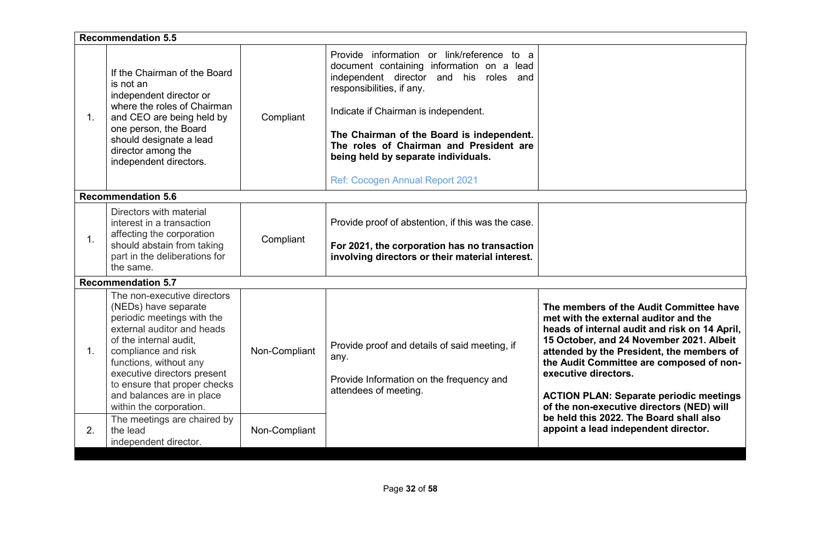|    |                                                                                                                                                                                                                                                                                                                   | <b>Recommendation 5.5</b> |                                                                                                                                                                                                                                                                                                                                                                          |                                                                                                                                                                                                                                                                                                                                                                                               |  |  |
|----|-------------------------------------------------------------------------------------------------------------------------------------------------------------------------------------------------------------------------------------------------------------------------------------------------------------------|---------------------------|--------------------------------------------------------------------------------------------------------------------------------------------------------------------------------------------------------------------------------------------------------------------------------------------------------------------------------------------------------------------------|-----------------------------------------------------------------------------------------------------------------------------------------------------------------------------------------------------------------------------------------------------------------------------------------------------------------------------------------------------------------------------------------------|--|--|
| 1. | If the Chairman of the Board<br>is not an<br>independent director or<br>where the roles of Chairman<br>and CEO are being held by<br>one person, the Board<br>should designate a lead<br>director among the<br>independent directors.                                                                              | Compliant                 | Provide information or link/reference to a<br>document containing information on a lead<br>independent director and his roles and<br>responsibilities, if any.<br>Indicate if Chairman is independent.<br>The Chairman of the Board is independent.<br>The roles of Chairman and President are<br>being held by separate individuals.<br>Ref: Cocogen Annual Report 2021 |                                                                                                                                                                                                                                                                                                                                                                                               |  |  |
|    | <b>Recommendation 5.6</b>                                                                                                                                                                                                                                                                                         |                           |                                                                                                                                                                                                                                                                                                                                                                          |                                                                                                                                                                                                                                                                                                                                                                                               |  |  |
| 1. | Directors with material<br>interest in a transaction<br>affecting the corporation<br>should abstain from taking<br>part in the deliberations for<br>the same.                                                                                                                                                     | Compliant                 | Provide proof of abstention, if this was the case.<br>For 2021, the corporation has no transaction<br>involving directors or their material interest.                                                                                                                                                                                                                    |                                                                                                                                                                                                                                                                                                                                                                                               |  |  |
|    | <b>Recommendation 5.7</b>                                                                                                                                                                                                                                                                                         |                           |                                                                                                                                                                                                                                                                                                                                                                          |                                                                                                                                                                                                                                                                                                                                                                                               |  |  |
| 1. | The non-executive directors<br>(NEDs) have separate<br>periodic meetings with the<br>external auditor and heads<br>of the internal audit.<br>compliance and risk<br>functions, without any<br>executive directors present<br>to ensure that proper checks<br>and balances are in place<br>within the corporation. | Non-Compliant             | Provide proof and details of said meeting, if<br>any.<br>Provide Information on the frequency and<br>attendees of meeting.                                                                                                                                                                                                                                               | The members of the Audit Committee have<br>met with the external auditor and the<br>heads of internal audit and risk on 14 April,<br>15 October, and 24 November 2021. Albeit<br>attended by the President, the members of<br>the Audit Committee are composed of non-<br>executive directors.<br><b>ACTION PLAN: Separate periodic meetings</b><br>of the non-executive directors (NED) will |  |  |
| 2. | The meetings are chaired by<br>the lead<br>independent director.                                                                                                                                                                                                                                                  | Non-Compliant             |                                                                                                                                                                                                                                                                                                                                                                          | be held this 2022. The Board shall also<br>appoint a lead independent director.                                                                                                                                                                                                                                                                                                               |  |  |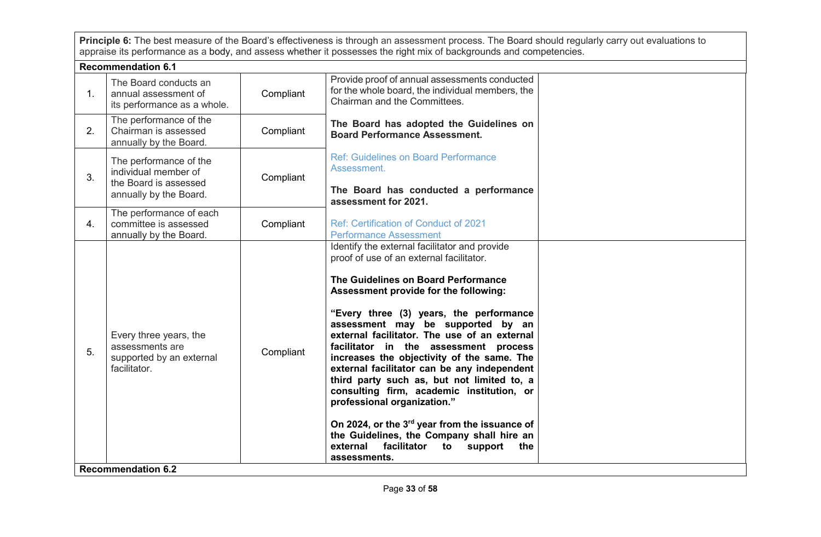**Principle 6:** The best measure of the Board's effectiveness is through an assessment process. The Board should regularly carry out evaluations to appraise its performance as a body, and assess whether it possesses the right mix of backgrounds and competencies.

|                           | <b>Recommendation 6.1</b>                                                                         |           |                                                                                                                                                                                                                                                                                                                                                                                                                                                                                                                                                                                                                                                                                                                                            |  |
|---------------------------|---------------------------------------------------------------------------------------------------|-----------|--------------------------------------------------------------------------------------------------------------------------------------------------------------------------------------------------------------------------------------------------------------------------------------------------------------------------------------------------------------------------------------------------------------------------------------------------------------------------------------------------------------------------------------------------------------------------------------------------------------------------------------------------------------------------------------------------------------------------------------------|--|
| 1 <sub>1</sub>            | The Board conducts an<br>annual assessment of<br>its performance as a whole.                      | Compliant | Provide proof of annual assessments conducted<br>for the whole board, the individual members, the<br>Chairman and the Committees.                                                                                                                                                                                                                                                                                                                                                                                                                                                                                                                                                                                                          |  |
| 2.                        | The performance of the<br>Chairman is assessed<br>annually by the Board.                          | Compliant | The Board has adopted the Guidelines on<br><b>Board Performance Assessment.</b>                                                                                                                                                                                                                                                                                                                                                                                                                                                                                                                                                                                                                                                            |  |
| 3.                        | The performance of the<br>individual member of<br>the Board is assessed<br>annually by the Board. | Compliant | <b>Ref: Guidelines on Board Performance</b><br>Assessment.<br>The Board has conducted a performance<br>assessment for 2021.                                                                                                                                                                                                                                                                                                                                                                                                                                                                                                                                                                                                                |  |
| 4.                        | The performance of each<br>committee is assessed<br>annually by the Board.                        | Compliant | <b>Ref: Certification of Conduct of 2021</b><br><b>Performance Assessment</b>                                                                                                                                                                                                                                                                                                                                                                                                                                                                                                                                                                                                                                                              |  |
| 5.                        | Every three years, the<br>assessments are<br>supported by an external<br>facilitator.             | Compliant | Identify the external facilitator and provide<br>proof of use of an external facilitator.<br>The Guidelines on Board Performance<br>Assessment provide for the following:<br>"Every three (3) years, the performance<br>assessment may be supported by an<br>external facilitator. The use of an external<br>facilitator in the assessment process<br>increases the objectivity of the same. The<br>external facilitator can be any independent<br>third party such as, but not limited to, a<br>consulting firm, academic institution, or<br>professional organization."<br>On 2024, or the 3rd year from the issuance of<br>the Guidelines, the Company shall hire an<br>facilitator<br>external<br>to<br>support<br>the<br>assessments. |  |
| <b>Recommendation 6.2</b> |                                                                                                   |           |                                                                                                                                                                                                                                                                                                                                                                                                                                                                                                                                                                                                                                                                                                                                            |  |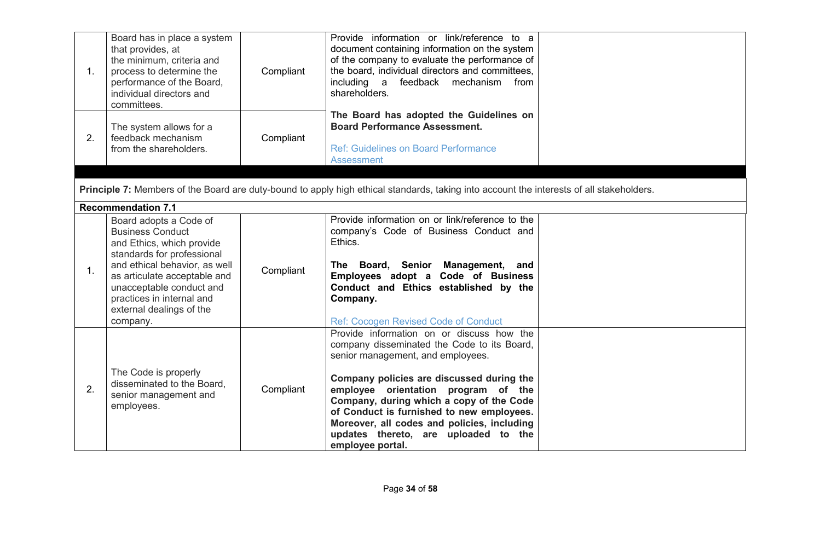| 1. | Board has in place a system<br>that provides, at<br>the minimum, criteria and<br>process to determine the<br>performance of the Board,<br>individual directors and<br>committees.                                                                                              | Compliant | Provide information or link/reference to a<br>document containing information on the system<br>of the company to evaluate the performance of<br>the board, individual directors and committees,<br>including a feedback mechanism from<br>shareholders.                                                                                                                                                               |  |
|----|--------------------------------------------------------------------------------------------------------------------------------------------------------------------------------------------------------------------------------------------------------------------------------|-----------|-----------------------------------------------------------------------------------------------------------------------------------------------------------------------------------------------------------------------------------------------------------------------------------------------------------------------------------------------------------------------------------------------------------------------|--|
| 2. | The system allows for a<br>feedback mechanism<br>from the shareholders.                                                                                                                                                                                                        | Compliant | The Board has adopted the Guidelines on<br><b>Board Performance Assessment.</b><br><b>Ref: Guidelines on Board Performance</b><br><b>Assessment</b>                                                                                                                                                                                                                                                                   |  |
|    |                                                                                                                                                                                                                                                                                |           | Principle 7: Members of the Board are duty-bound to apply high ethical standards, taking into account the interests of all stakeholders.                                                                                                                                                                                                                                                                              |  |
|    | <b>Recommendation 7.1</b>                                                                                                                                                                                                                                                      |           |                                                                                                                                                                                                                                                                                                                                                                                                                       |  |
| 1. | Board adopts a Code of<br><b>Business Conduct</b><br>and Ethics, which provide<br>standards for professional<br>and ethical behavior, as well<br>as articulate acceptable and<br>unacceptable conduct and<br>practices in internal and<br>external dealings of the<br>company. | Compliant | Provide information on or link/reference to the<br>company's Code of Business Conduct and<br>Ethics.<br>The Board, Senior Management, and<br>Employees adopt a Code of Business<br>Conduct and Ethics established by the<br>Company.<br>Ref: Cocogen Revised Code of Conduct                                                                                                                                          |  |
| 2. | The Code is properly<br>disseminated to the Board,<br>senior management and<br>employees.                                                                                                                                                                                      | Compliant | Provide information on or discuss how the<br>company disseminated the Code to its Board,<br>senior management, and employees.<br>Company policies are discussed during the<br>employee orientation program of the<br>Company, during which a copy of the Code<br>of Conduct is furnished to new employees.<br>Moreover, all codes and policies, including<br>updates thereto, are uploaded to the<br>employee portal. |  |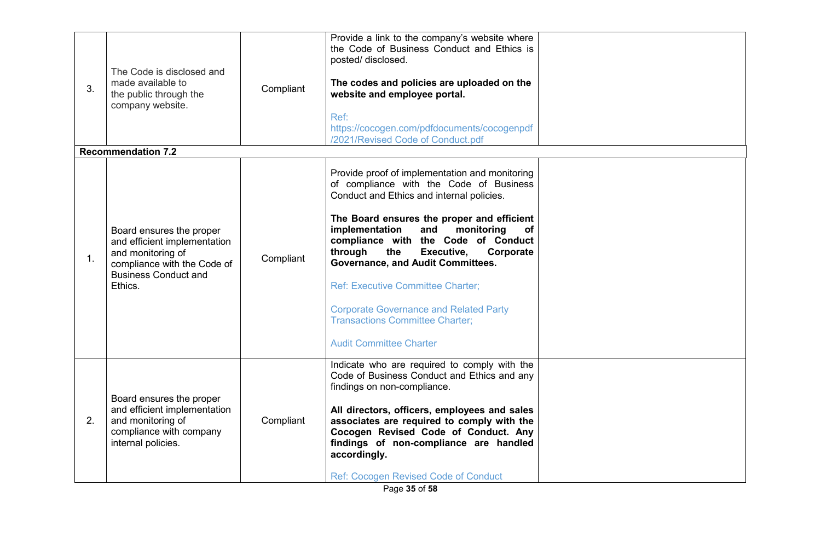| 3. | The Code is disclosed and<br>made available to<br>the public through the<br>company website.                                                           | Compliant | Provide a link to the company's website where<br>the Code of Business Conduct and Ethics is<br>posted/disclosed.<br>The codes and policies are uploaded on the<br>website and employee portal.<br>Ref:<br>https://cocogen.com/pdfdocuments/cocogenpdf<br>/2021/Revised Code of Conduct.pdf                                                                                                                                                                                                                                                 |  |
|----|--------------------------------------------------------------------------------------------------------------------------------------------------------|-----------|--------------------------------------------------------------------------------------------------------------------------------------------------------------------------------------------------------------------------------------------------------------------------------------------------------------------------------------------------------------------------------------------------------------------------------------------------------------------------------------------------------------------------------------------|--|
|    | <b>Recommendation 7.2</b>                                                                                                                              |           |                                                                                                                                                                                                                                                                                                                                                                                                                                                                                                                                            |  |
| 1. | Board ensures the proper<br>and efficient implementation<br>and monitoring of<br>compliance with the Code of<br><b>Business Conduct and</b><br>Ethics. | Compliant | Provide proof of implementation and monitoring<br>of compliance with the Code of Business<br>Conduct and Ethics and internal policies.<br>The Board ensures the proper and efficient<br>implementation<br>monitoring<br>and<br>of<br>compliance with the Code of Conduct<br>through<br>Executive,<br>Corporate<br>the<br><b>Governance, and Audit Committees.</b><br><b>Ref: Executive Committee Charter;</b><br><b>Corporate Governance and Related Party</b><br><b>Transactions Committee Charter:</b><br><b>Audit Committee Charter</b> |  |
| 2. | Board ensures the proper<br>and efficient implementation<br>and monitoring of<br>compliance with company<br>internal policies.                         | Compliant | Indicate who are required to comply with the<br>Code of Business Conduct and Ethics and any<br>findings on non-compliance.<br>All directors, officers, employees and sales<br>associates are required to comply with the<br>Cocogen Revised Code of Conduct. Any<br>findings of non-compliance are handled<br>accordingly.<br><b>Ref: Cocogen Revised Code of Conduct</b>                                                                                                                                                                  |  |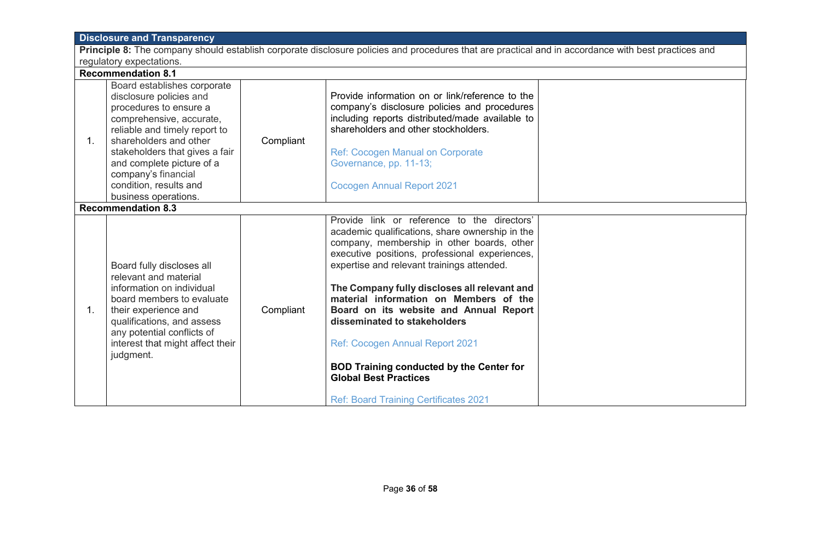| <b>Disclosure and Transparency</b>                                                                                                                  |                                                                                                                                                                                                                                                                                                                 |           |                                                                                                                                                                                                                                                                                                                                                                                                                                                                                                                                                                                        |  |  |
|-----------------------------------------------------------------------------------------------------------------------------------------------------|-----------------------------------------------------------------------------------------------------------------------------------------------------------------------------------------------------------------------------------------------------------------------------------------------------------------|-----------|----------------------------------------------------------------------------------------------------------------------------------------------------------------------------------------------------------------------------------------------------------------------------------------------------------------------------------------------------------------------------------------------------------------------------------------------------------------------------------------------------------------------------------------------------------------------------------------|--|--|
| Principle 8: The company should establish corporate disclosure policies and procedures that are practical and in accordance with best practices and |                                                                                                                                                                                                                                                                                                                 |           |                                                                                                                                                                                                                                                                                                                                                                                                                                                                                                                                                                                        |  |  |
|                                                                                                                                                     | regulatory expectations.                                                                                                                                                                                                                                                                                        |           |                                                                                                                                                                                                                                                                                                                                                                                                                                                                                                                                                                                        |  |  |
|                                                                                                                                                     | <b>Recommendation 8.1</b>                                                                                                                                                                                                                                                                                       |           |                                                                                                                                                                                                                                                                                                                                                                                                                                                                                                                                                                                        |  |  |
| 1.                                                                                                                                                  | Board establishes corporate<br>disclosure policies and<br>procedures to ensure a<br>comprehensive, accurate,<br>reliable and timely report to<br>shareholders and other<br>stakeholders that gives a fair<br>and complete picture of a<br>company's financial<br>condition, results and<br>business operations. | Compliant | Provide information on or link/reference to the<br>company's disclosure policies and procedures<br>including reports distributed/made available to<br>shareholders and other stockholders.<br>Ref: Cocogen Manual on Corporate<br>Governance, pp. 11-13;<br><b>Cocogen Annual Report 2021</b>                                                                                                                                                                                                                                                                                          |  |  |
|                                                                                                                                                     | <b>Recommendation 8.3</b>                                                                                                                                                                                                                                                                                       |           |                                                                                                                                                                                                                                                                                                                                                                                                                                                                                                                                                                                        |  |  |
| $1_{-}$                                                                                                                                             | Board fully discloses all<br>relevant and material<br>information on individual<br>board members to evaluate<br>their experience and<br>qualifications, and assess<br>any potential conflicts of<br>interest that might affect their<br>judgment.                                                               | Compliant | Provide link or reference to the directors'<br>academic qualifications, share ownership in the<br>company, membership in other boards, other<br>executive positions, professional experiences,<br>expertise and relevant trainings attended.<br>The Company fully discloses all relevant and<br>material information on Members of the<br>Board on its website and Annual Report<br>disseminated to stakeholders<br>Ref: Cocogen Annual Report 2021<br><b>BOD Training conducted by the Center for</b><br><b>Global Best Practices</b><br><b>Ref: Board Training Certificates 2021</b> |  |  |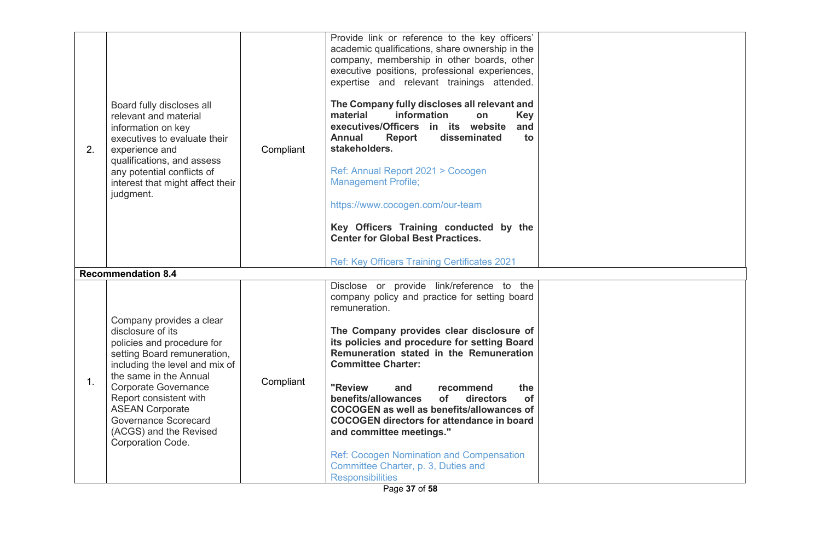| 2. | Board fully discloses all<br>relevant and material<br>information on key<br>executives to evaluate their<br>experience and<br>qualifications, and assess<br>any potential conflicts of<br>interest that might affect their<br>judgment.                                                                                                 | Compliant | Provide link or reference to the key officers'<br>academic qualifications, share ownership in the<br>company, membership in other boards, other<br>executive positions, professional experiences,<br>expertise and relevant trainings attended.<br>The Company fully discloses all relevant and<br>information<br>material<br>on<br><b>Key</b><br>executives/Officers in its website<br>and<br><b>Annual</b><br>Report<br>disseminated<br>to<br>stakeholders.<br>Ref: Annual Report 2021 > Cocogen<br><b>Management Profile;</b><br>https://www.cocogen.com/our-team<br>Key Officers Training conducted by the<br><b>Center for Global Best Practices.</b><br>Ref: Key Officers Training Certificates 2021 |  |
|----|-----------------------------------------------------------------------------------------------------------------------------------------------------------------------------------------------------------------------------------------------------------------------------------------------------------------------------------------|-----------|------------------------------------------------------------------------------------------------------------------------------------------------------------------------------------------------------------------------------------------------------------------------------------------------------------------------------------------------------------------------------------------------------------------------------------------------------------------------------------------------------------------------------------------------------------------------------------------------------------------------------------------------------------------------------------------------------------|--|
|    | <b>Recommendation 8.4</b>                                                                                                                                                                                                                                                                                                               |           |                                                                                                                                                                                                                                                                                                                                                                                                                                                                                                                                                                                                                                                                                                            |  |
| 1. | Company provides a clear<br>disclosure of its<br>policies and procedure for<br>setting Board remuneration,<br>including the level and mix of<br>the same in the Annual<br><b>Corporate Governance</b><br>Report consistent with<br><b>ASEAN Corporate</b><br><b>Governance Scorecard</b><br>(ACGS) and the Revised<br>Corporation Code. | Compliant | Disclose or provide link/reference to the<br>company policy and practice for setting board<br>remuneration.<br>The Company provides clear disclosure of<br>its policies and procedure for setting Board<br>Remuneration stated in the Remuneration<br><b>Committee Charter:</b><br>"Review<br>the<br>and<br>recommend<br>benefits/allowances<br>directors<br><b>of</b><br>of<br>COCOGEN as well as benefits/allowances of<br><b>COCOGEN directors for attendance in board</b><br>and committee meetings."<br><b>Ref: Cocogen Nomination and Compensation</b><br>Committee Charter, p. 3, Duties and<br><b>Responsibilities</b>                                                                             |  |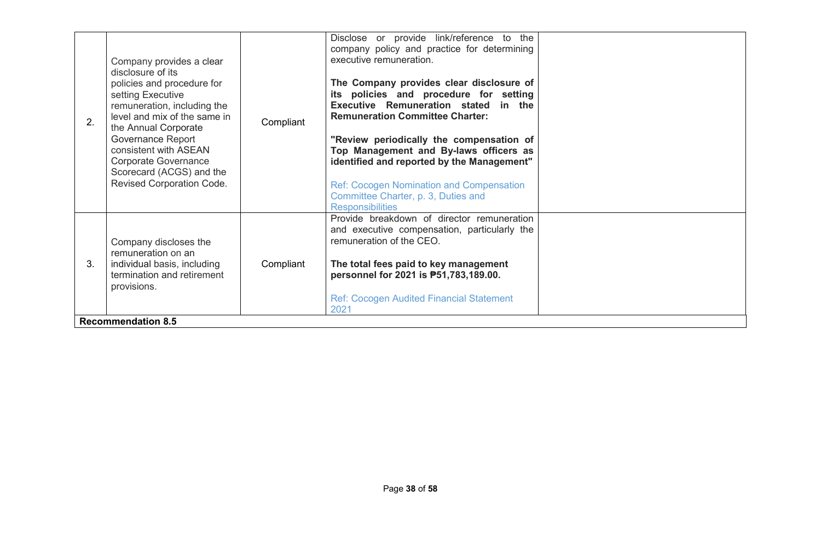| Executive Remuneration stated in the<br>remuneration, including the<br><b>Remuneration Committee Charter:</b><br>level and mix of the same in<br>2.<br>Compliant<br>the Annual Corporate<br>Governance Report<br>"Review periodically the compensation of<br>consistent with ASEAN<br>Top Management and By-laws officers as<br><b>Corporate Governance</b><br>identified and reported by the Management"<br>Scorecard (ACGS) and the<br>Revised Corporation Code.<br><b>Ref: Cocogen Nomination and Compensation</b><br>Committee Charter, p. 3, Duties and<br><b>Responsibilities</b> | The Company provides clear disclosure of<br>its policies and procedure for setting | policies and procedure for<br>setting Executive |  |
|-----------------------------------------------------------------------------------------------------------------------------------------------------------------------------------------------------------------------------------------------------------------------------------------------------------------------------------------------------------------------------------------------------------------------------------------------------------------------------------------------------------------------------------------------------------------------------------------|------------------------------------------------------------------------------------|-------------------------------------------------|--|
| Provide breakdown of director remuneration<br>and executive compensation, particularly the<br>remuneration of the CEO.<br>Company discloses the<br>remuneration on an<br>individual basis, including<br>3.<br>Compliant<br>The total fees paid to key management<br>termination and retirement<br>personnel for 2021 is P51,783,189.00.<br>provisions.<br><b>Ref: Cocogen Audited Financial Statement</b><br>2021<br><b>Recommendation 8.5</b>                                                                                                                                          |                                                                                    |                                                 |  |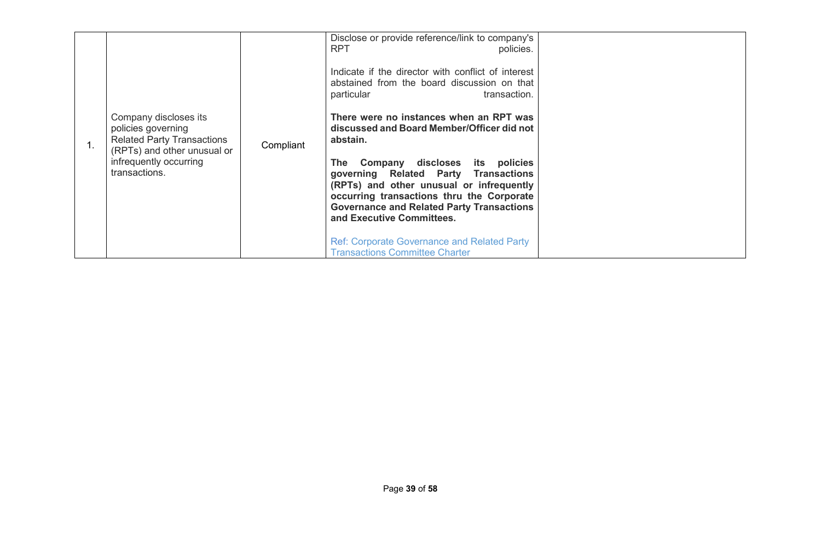|  | Company discloses its<br>policies governing<br><b>Related Party Transactions</b><br>(RPTs) and other unusual or<br>infrequently occurring<br>transactions. | Compliant | Disclose or provide reference/link to company's<br><b>RPT</b><br>policies.<br>Indicate if the director with conflict of interest<br>abstained from the board discussion on that<br>particular<br>transaction.<br>There were no instances when an RPT was<br>discussed and Board Member/Officer did not<br>abstain.<br>The Company discloses its policies<br>governing Related Party Transactions<br>(RPTs) and other unusual or infrequently<br>occurring transactions thru the Corporate<br><b>Governance and Related Party Transactions</b><br>and Executive Committees.<br><b>Ref: Corporate Governance and Related Party</b><br><b>Transactions Committee Charter</b> |  |
|--|------------------------------------------------------------------------------------------------------------------------------------------------------------|-----------|---------------------------------------------------------------------------------------------------------------------------------------------------------------------------------------------------------------------------------------------------------------------------------------------------------------------------------------------------------------------------------------------------------------------------------------------------------------------------------------------------------------------------------------------------------------------------------------------------------------------------------------------------------------------------|--|
|--|------------------------------------------------------------------------------------------------------------------------------------------------------------|-----------|---------------------------------------------------------------------------------------------------------------------------------------------------------------------------------------------------------------------------------------------------------------------------------------------------------------------------------------------------------------------------------------------------------------------------------------------------------------------------------------------------------------------------------------------------------------------------------------------------------------------------------------------------------------------------|--|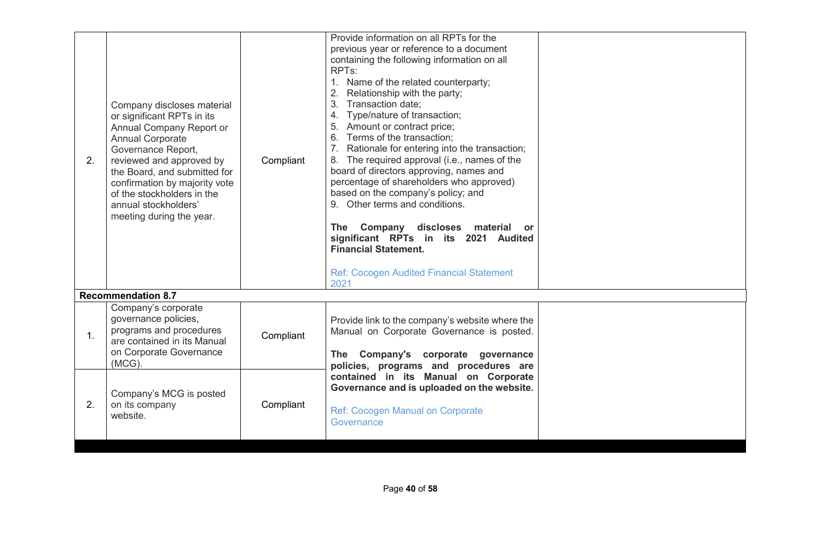| 2. | Company discloses material<br>or significant RPTs in its<br>Annual Company Report or<br><b>Annual Corporate</b><br>Governance Report,<br>reviewed and approved by<br>the Board, and submitted for<br>confirmation by majority vote<br>of the stockholders in the<br>annual stockholders'<br>meeting during the year. | Compliant | Provide information on all RPTs for the<br>previous year or reference to a document<br>containing the following information on all<br>RPT <sub>s</sub> :<br>1. Name of the related counterparty;<br>Relationship with the party;<br>Transaction date;<br>3.<br>4. Type/nature of transaction;<br>5. Amount or contract price;<br>6. Terms of the transaction;<br>7. Rationale for entering into the transaction;<br>8. The required approval (i.e., names of the<br>board of directors approving, names and<br>percentage of shareholders who approved)<br>based on the company's policy; and<br>9. Other terms and conditions.<br>The Company discloses material<br><b>or</b><br>significant RPTs in its 2021 Audited<br><b>Financial Statement.</b><br><b>Ref: Cocogen Audited Financial Statement</b><br>2021 |  |
|----|----------------------------------------------------------------------------------------------------------------------------------------------------------------------------------------------------------------------------------------------------------------------------------------------------------------------|-----------|------------------------------------------------------------------------------------------------------------------------------------------------------------------------------------------------------------------------------------------------------------------------------------------------------------------------------------------------------------------------------------------------------------------------------------------------------------------------------------------------------------------------------------------------------------------------------------------------------------------------------------------------------------------------------------------------------------------------------------------------------------------------------------------------------------------|--|
|    | <b>Recommendation 8.7</b>                                                                                                                                                                                                                                                                                            |           |                                                                                                                                                                                                                                                                                                                                                                                                                                                                                                                                                                                                                                                                                                                                                                                                                  |  |
| 1. | Company's corporate<br>governance policies,<br>programs and procedures<br>are contained in its Manual<br>on Corporate Governance<br>$(MCG)$ .                                                                                                                                                                        | Compliant | Provide link to the company's website where the<br>Manual on Corporate Governance is posted.<br>Company's corporate governance<br><b>The</b><br>policies, programs and procedures are                                                                                                                                                                                                                                                                                                                                                                                                                                                                                                                                                                                                                            |  |
| 2. | Company's MCG is posted<br>on its company<br>website.                                                                                                                                                                                                                                                                | Compliant | contained in its Manual on Corporate<br>Governance and is uploaded on the website.<br><b>Ref: Cocogen Manual on Corporate</b><br>Governance                                                                                                                                                                                                                                                                                                                                                                                                                                                                                                                                                                                                                                                                      |  |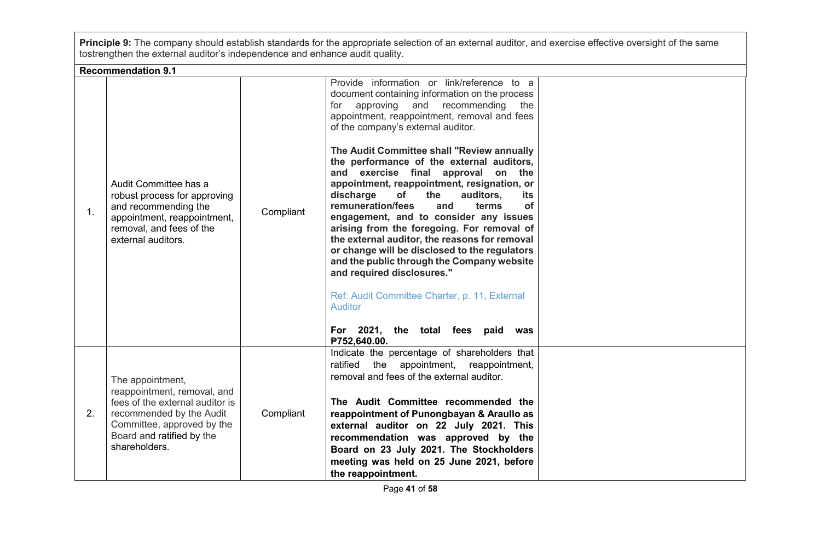**Principle 9:** The company should establish standards for the appropriate selection of an external auditor, and exercise effective oversight of the same tostrengthen the external auditor's independence and enhance audit quality.

**Recommendation 9.1**

|                | RECOMMENDANON 3.                                                                                                                                                                           |           |                                                                                                                                                                                                                                                                                                                                                                                                                                                                                                                                                                                                                                                                                                                                                                                                                                                                                                                         |  |
|----------------|--------------------------------------------------------------------------------------------------------------------------------------------------------------------------------------------|-----------|-------------------------------------------------------------------------------------------------------------------------------------------------------------------------------------------------------------------------------------------------------------------------------------------------------------------------------------------------------------------------------------------------------------------------------------------------------------------------------------------------------------------------------------------------------------------------------------------------------------------------------------------------------------------------------------------------------------------------------------------------------------------------------------------------------------------------------------------------------------------------------------------------------------------------|--|
| 1 <sub>1</sub> | Audit Committee has a<br>robust process for approving<br>and recommending the<br>appointment, reappointment,<br>removal, and fees of the<br>external auditors.                             | Compliant | Provide information or link/reference to a<br>document containing information on the process<br>approving<br>and recommending<br>for<br>the<br>appointment, reappointment, removal and fees<br>of the company's external auditor.<br>The Audit Committee shall "Review annually"<br>the performance of the external auditors,<br>and exercise final approval on the<br>appointment, reappointment, resignation, or<br>discharge<br><b>of</b><br>the<br>auditors,<br>its<br>remuneration/fees<br>and<br>terms<br><b>of</b><br>engagement, and to consider any issues<br>arising from the foregoing. For removal of<br>the external auditor, the reasons for removal<br>or change will be disclosed to the regulators<br>and the public through the Company website<br>and required disclosures."<br>Ref: Audit Committee Charter, p. 11, External<br><b>Auditor</b><br>For 2021, the total fees paid was<br>₱752,640.00. |  |
| 2.             | The appointment,<br>reappointment, removal, and<br>fees of the external auditor is<br>recommended by the Audit<br>Committee, approved by the<br>Board and ratified by the<br>shareholders. | Compliant | Indicate the percentage of shareholders that<br>ratified the appointment, reappointment,<br>removal and fees of the external auditor.<br>The Audit Committee recommended the<br>reappointment of Punongbayan & Araullo as<br>external auditor on 22 July 2021. This<br>recommendation was approved by the<br>Board on 23 July 2021. The Stockholders<br>meeting was held on 25 June 2021, before<br>the reappointment.                                                                                                                                                                                                                                                                                                                                                                                                                                                                                                  |  |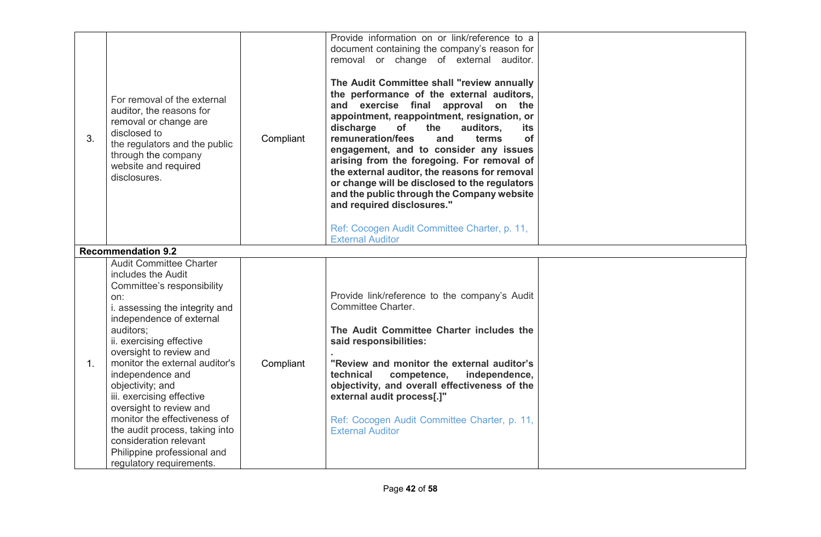| 3. | For removal of the external<br>auditor, the reasons for<br>removal or change are<br>disclosed to<br>the regulators and the public<br>through the company<br>website and required<br>disclosures.                                                                                                                                                                                                                                                                                                                     | Compliant | Provide information on or link/reference to a<br>document containing the company's reason for<br>removal or change of external auditor.<br>The Audit Committee shall "review annually<br>the performance of the external auditors,<br>and exercise final approval on the<br>appointment, reappointment, resignation, or<br>of<br>discharge<br>the<br>auditors,<br>its<br>remuneration/fees<br>of<br>and<br>terms<br>engagement, and to consider any issues<br>arising from the foregoing. For removal of<br>the external auditor, the reasons for removal<br>or change will be disclosed to the regulators<br>and the public through the Company website<br>and required disclosures."<br>Ref: Cocogen Audit Committee Charter, p. 11,<br><b>External Auditor</b> |  |
|----|----------------------------------------------------------------------------------------------------------------------------------------------------------------------------------------------------------------------------------------------------------------------------------------------------------------------------------------------------------------------------------------------------------------------------------------------------------------------------------------------------------------------|-----------|-------------------------------------------------------------------------------------------------------------------------------------------------------------------------------------------------------------------------------------------------------------------------------------------------------------------------------------------------------------------------------------------------------------------------------------------------------------------------------------------------------------------------------------------------------------------------------------------------------------------------------------------------------------------------------------------------------------------------------------------------------------------|--|
|    | <b>Recommendation 9.2</b>                                                                                                                                                                                                                                                                                                                                                                                                                                                                                            |           |                                                                                                                                                                                                                                                                                                                                                                                                                                                                                                                                                                                                                                                                                                                                                                   |  |
| 1. | <b>Audit Committee Charter</b><br>includes the Audit<br>Committee's responsibility<br>on:<br>i. assessing the integrity and<br>independence of external<br>auditors;<br>ii. exercising effective<br>oversight to review and<br>monitor the external auditor's<br>independence and<br>objectivity; and<br>iii. exercising effective<br>oversight to review and<br>monitor the effectiveness of<br>the audit process, taking into<br>consideration relevant<br>Philippine professional and<br>regulatory requirements. | Compliant | Provide link/reference to the company's Audit<br>Committee Charter.<br>The Audit Committee Charter includes the<br>said responsibilities:<br>"Review and monitor the external auditor's<br>technical<br>competence,<br>independence,<br>objectivity, and overall effectiveness of the<br>external audit process[.]"<br>Ref: Cocogen Audit Committee Charter, p. 11,<br><b>External Auditor</b>                                                                                                                                                                                                                                                                                                                                                                    |  |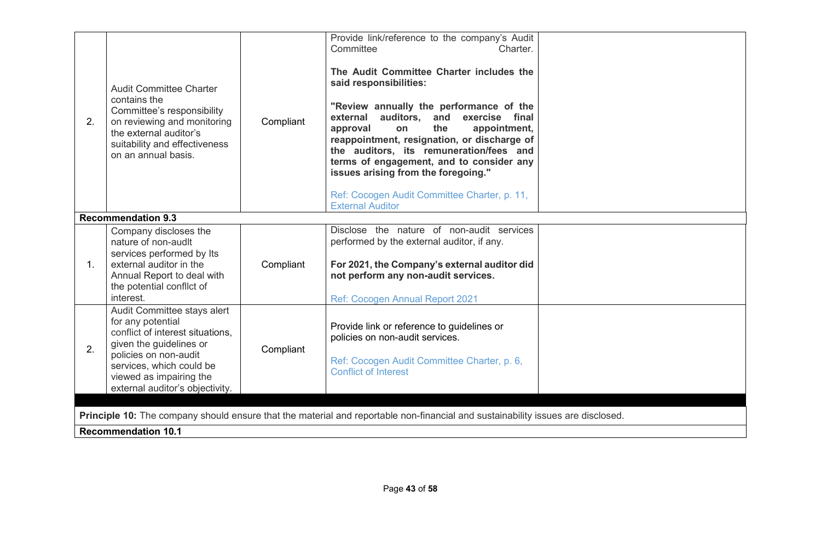| 2.             | <b>Audit Committee Charter</b><br>contains the<br>Committee's responsibility<br>on reviewing and monitoring<br>the external auditor's<br>suitability and effectiveness<br>on an annual basis.                                      | Compliant | Provide link/reference to the company's Audit<br>Committee<br>Charter.<br>The Audit Committee Charter includes the<br>said responsibilities:<br>"Review annually the performance of the<br>external auditors,<br>and<br>exercise final<br>the<br>appointment,<br>approval<br>on<br>reappointment, resignation, or discharge of<br>the auditors, its remuneration/fees and<br>terms of engagement, and to consider any<br>issues arising from the foregoing."<br>Ref: Cocogen Audit Committee Charter, p. 11,<br><b>External Auditor</b> |  |  |  |
|----------------|------------------------------------------------------------------------------------------------------------------------------------------------------------------------------------------------------------------------------------|-----------|-----------------------------------------------------------------------------------------------------------------------------------------------------------------------------------------------------------------------------------------------------------------------------------------------------------------------------------------------------------------------------------------------------------------------------------------------------------------------------------------------------------------------------------------|--|--|--|
|                | <b>Recommendation 9.3</b>                                                                                                                                                                                                          |           |                                                                                                                                                                                                                                                                                                                                                                                                                                                                                                                                         |  |  |  |
| $\mathbf{1}$ . | Company discloses the<br>nature of non-audit<br>services performed by Its<br>external auditor in the<br>Annual Report to deal with<br>the potential conflict of<br>interest.                                                       | Compliant | Disclose the nature of non-audit services<br>performed by the external auditor, if any.<br>For 2021, the Company's external auditor did<br>not perform any non-audit services.<br><b>Ref: Cocogen Annual Report 2021</b>                                                                                                                                                                                                                                                                                                                |  |  |  |
| 2.             | Audit Committee stays alert<br>for any potential<br>conflict of interest situations.<br>given the guidelines or<br>policies on non-audit<br>services, which could be<br>viewed as impairing the<br>external auditor's objectivity. | Compliant | Provide link or reference to guidelines or<br>policies on non-audit services.<br>Ref: Cocogen Audit Committee Charter, p. 6,<br><b>Conflict of Interest</b>                                                                                                                                                                                                                                                                                                                                                                             |  |  |  |
|                |                                                                                                                                                                                                                                    |           |                                                                                                                                                                                                                                                                                                                                                                                                                                                                                                                                         |  |  |  |
|                |                                                                                                                                                                                                                                    |           | Principle 10: The company should ensure that the material and reportable non-financial and sustainability issues are disclosed.                                                                                                                                                                                                                                                                                                                                                                                                         |  |  |  |
|                | <b>Recommendation 10.1</b>                                                                                                                                                                                                         |           |                                                                                                                                                                                                                                                                                                                                                                                                                                                                                                                                         |  |  |  |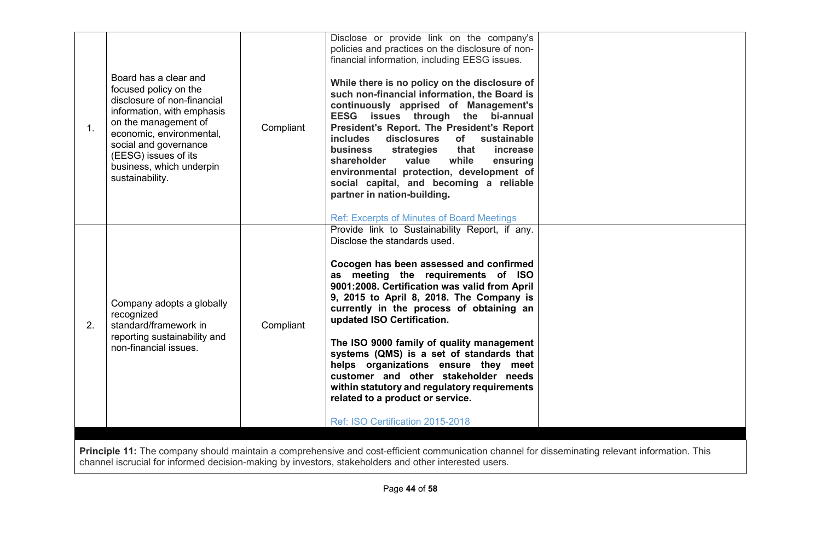| 1 <sub>1</sub> | Board has a clear and<br>focused policy on the<br>disclosure of non-financial<br>information, with emphasis<br>on the management of<br>economic, environmental,<br>social and governance<br>(EESG) issues of its<br>business, which underpin<br>sustainability. | Compliant | Disclose or provide link on the company's<br>policies and practices on the disclosure of non-<br>financial information, including EESG issues.<br>While there is no policy on the disclosure of<br>such non-financial information, the Board is<br>continuously apprised of Management's<br>EESG issues through the bi-annual<br>President's Report. The President's Report<br>includes disclosures of sustainable<br>business<br>strategies<br>that<br>increase<br>while<br>shareholder<br>value<br>ensuring<br>environmental protection, development of<br>social capital, and becoming a reliable<br>partner in nation-building.<br><b>Ref: Excerpts of Minutes of Board Meetings</b> |  |
|----------------|-----------------------------------------------------------------------------------------------------------------------------------------------------------------------------------------------------------------------------------------------------------------|-----------|------------------------------------------------------------------------------------------------------------------------------------------------------------------------------------------------------------------------------------------------------------------------------------------------------------------------------------------------------------------------------------------------------------------------------------------------------------------------------------------------------------------------------------------------------------------------------------------------------------------------------------------------------------------------------------------|--|
| 2.             | Company adopts a globally<br>recognized<br>standard/framework in<br>reporting sustainability and<br>non-financial issues.                                                                                                                                       | Compliant | Provide link to Sustainability Report, if any.<br>Disclose the standards used.<br>Cocogen has been assessed and confirmed<br>as meeting the requirements of ISO<br>9001:2008. Certification was valid from April<br>9, 2015 to April 8, 2018. The Company is<br>currently in the process of obtaining an<br>updated ISO Certification.<br>The ISO 9000 family of quality management<br>systems (QMS) is a set of standards that<br>helps organizations ensure they meet<br>customer and other stakeholder needs<br>within statutory and regulatory requirements<br>related to a product or service.<br>Ref: ISO Certification 2015-2018                                                  |  |
|                |                                                                                                                                                                                                                                                                 |           |                                                                                                                                                                                                                                                                                                                                                                                                                                                                                                                                                                                                                                                                                          |  |
|                |                                                                                                                                                                                                                                                                 |           |                                                                                                                                                                                                                                                                                                                                                                                                                                                                                                                                                                                                                                                                                          |  |
|                |                                                                                                                                                                                                                                                                 |           | Principle 11: The company should maintain a comprehensive and cost-efficient communication channel for disseminating relevant information. This                                                                                                                                                                                                                                                                                                                                                                                                                                                                                                                                          |  |
|                | channel iscrucial for informed decision-making by investors, stakeholders and other interested users.                                                                                                                                                           |           |                                                                                                                                                                                                                                                                                                                                                                                                                                                                                                                                                                                                                                                                                          |  |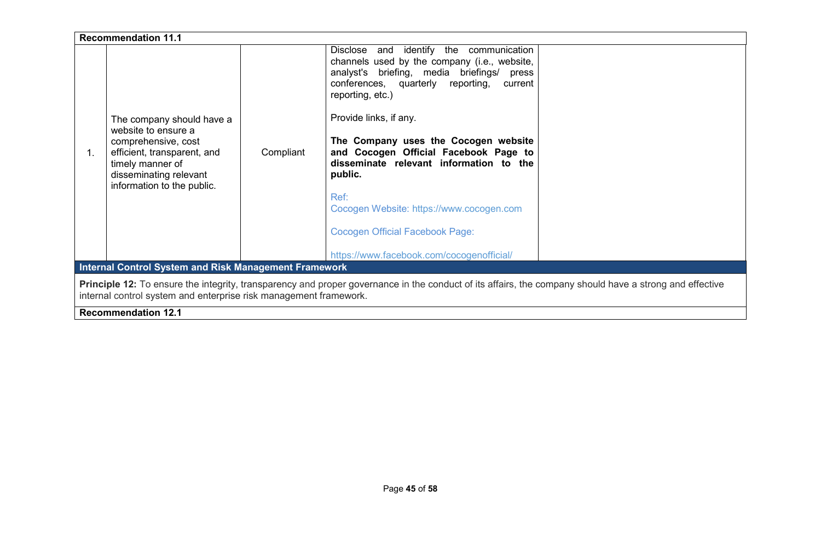|                                                                                                                                                                                                                              | <b>Recommendation 11.1</b>                                                                                                                                                         |           |                                                                                                                                                                                                                                                                                                                                                                                                                                                                                                                       |  |  |
|------------------------------------------------------------------------------------------------------------------------------------------------------------------------------------------------------------------------------|------------------------------------------------------------------------------------------------------------------------------------------------------------------------------------|-----------|-----------------------------------------------------------------------------------------------------------------------------------------------------------------------------------------------------------------------------------------------------------------------------------------------------------------------------------------------------------------------------------------------------------------------------------------------------------------------------------------------------------------------|--|--|
| 1.                                                                                                                                                                                                                           | The company should have a<br>website to ensure a<br>comprehensive, cost<br>efficient, transparent, and<br>timely manner of<br>disseminating relevant<br>information to the public. | Compliant | Disclose and identify the communication<br>channels used by the company (i.e., website,<br>analyst's briefing, media briefings/ press<br>conferences, quarterly reporting,<br>current<br>reporting, etc.)<br>Provide links, if any.<br>The Company uses the Cocogen website<br>and Cocogen Official Facebook Page to<br>disseminate relevant information to the<br>public.<br>Ref:<br>Cocogen Website: https://www.cocogen.com<br><b>Cocogen Official Facebook Page:</b><br>https://www.facebook.com/cocogenofficial/ |  |  |
| <b>Internal Control System and Risk Management Framework</b>                                                                                                                                                                 |                                                                                                                                                                                    |           |                                                                                                                                                                                                                                                                                                                                                                                                                                                                                                                       |  |  |
| Principle 12: To ensure the integrity, transparency and proper governance in the conduct of its affairs, the company should have a strong and effective<br>internal control system and enterprise risk management framework. |                                                                                                                                                                                    |           |                                                                                                                                                                                                                                                                                                                                                                                                                                                                                                                       |  |  |
|                                                                                                                                                                                                                              | <b>Recommendation 12.1</b>                                                                                                                                                         |           |                                                                                                                                                                                                                                                                                                                                                                                                                                                                                                                       |  |  |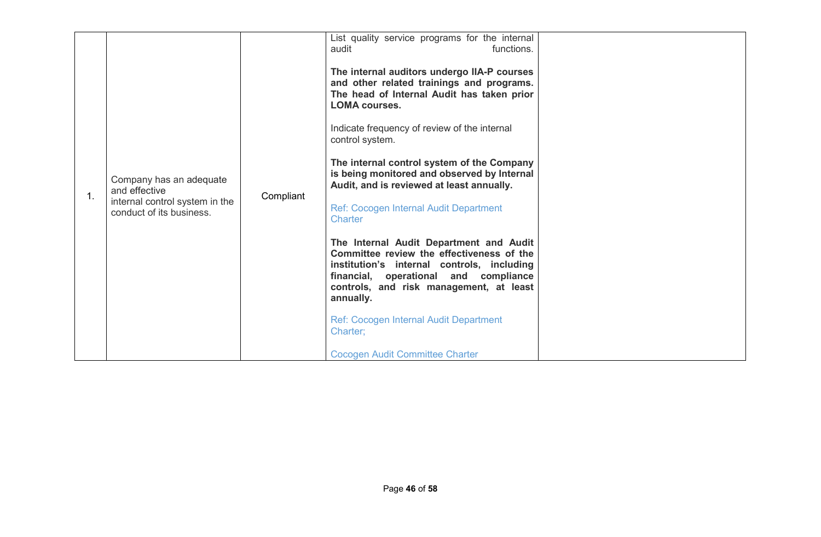|  | Company has an adequate<br>and effective<br>internal control system in the<br>conduct of its business. | Compliant | List quality service programs for the internal<br>functions.<br>audit<br>The internal auditors undergo IIA-P courses<br>and other related trainings and programs.<br>The head of Internal Audit has taken prior<br><b>LOMA courses.</b><br>Indicate frequency of review of the internal<br>control system.<br>The internal control system of the Company<br>is being monitored and observed by Internal<br>Audit, and is reviewed at least annually.<br>Ref: Cocogen Internal Audit Department<br><b>Charter</b><br>The Internal Audit Department and Audit<br>Committee review the effectiveness of the<br>institution's internal controls, including<br>financial, operational and compliance<br>controls, and risk management, at least<br>annually.<br><b>Ref: Cocogen Internal Audit Department</b><br>Charter;<br><b>Cocogen Audit Committee Charter</b> |  |
|--|--------------------------------------------------------------------------------------------------------|-----------|----------------------------------------------------------------------------------------------------------------------------------------------------------------------------------------------------------------------------------------------------------------------------------------------------------------------------------------------------------------------------------------------------------------------------------------------------------------------------------------------------------------------------------------------------------------------------------------------------------------------------------------------------------------------------------------------------------------------------------------------------------------------------------------------------------------------------------------------------------------|--|
|--|--------------------------------------------------------------------------------------------------------|-----------|----------------------------------------------------------------------------------------------------------------------------------------------------------------------------------------------------------------------------------------------------------------------------------------------------------------------------------------------------------------------------------------------------------------------------------------------------------------------------------------------------------------------------------------------------------------------------------------------------------------------------------------------------------------------------------------------------------------------------------------------------------------------------------------------------------------------------------------------------------------|--|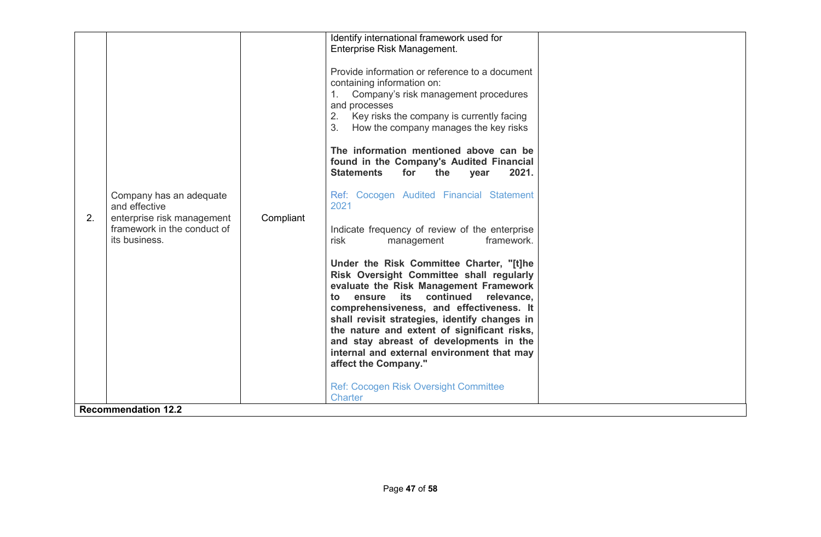| 2. | Company has an adequate<br>and effective<br>enterprise risk management<br>framework in the conduct of<br>its business.<br><b>Recommendation 12.2</b> | Compliant | Identify international framework used for<br>Enterprise Risk Management.<br>Provide information or reference to a document<br>containing information on:<br>Company's risk management procedures<br>and processes<br>2.<br>Key risks the company is currently facing<br>3.<br>How the company manages the key risks<br>The information mentioned above can be<br>found in the Company's Audited Financial<br><b>Statements</b><br>for<br>2021.<br>the<br>year<br>Ref: Cocogen Audited Financial Statement<br>2021<br>Indicate frequency of review of the enterprise<br>risk<br>framework.<br>management<br>Under the Risk Committee Charter, "[t]he<br>Risk Oversight Committee shall regularly<br>evaluate the Risk Management Framework<br>ensure its continued<br>to<br>relevance,<br>comprehensiveness, and effectiveness. It<br>shall revisit strategies, identify changes in<br>the nature and extent of significant risks,<br>and stay abreast of developments in the<br>internal and external environment that may<br>affect the Company."<br><b>Ref: Cocogen Risk Oversight Committee</b><br><b>Charter</b> |  |
|----|------------------------------------------------------------------------------------------------------------------------------------------------------|-----------|----------------------------------------------------------------------------------------------------------------------------------------------------------------------------------------------------------------------------------------------------------------------------------------------------------------------------------------------------------------------------------------------------------------------------------------------------------------------------------------------------------------------------------------------------------------------------------------------------------------------------------------------------------------------------------------------------------------------------------------------------------------------------------------------------------------------------------------------------------------------------------------------------------------------------------------------------------------------------------------------------------------------------------------------------------------------------------------------------------------------|--|
|----|------------------------------------------------------------------------------------------------------------------------------------------------------|-----------|----------------------------------------------------------------------------------------------------------------------------------------------------------------------------------------------------------------------------------------------------------------------------------------------------------------------------------------------------------------------------------------------------------------------------------------------------------------------------------------------------------------------------------------------------------------------------------------------------------------------------------------------------------------------------------------------------------------------------------------------------------------------------------------------------------------------------------------------------------------------------------------------------------------------------------------------------------------------------------------------------------------------------------------------------------------------------------------------------------------------|--|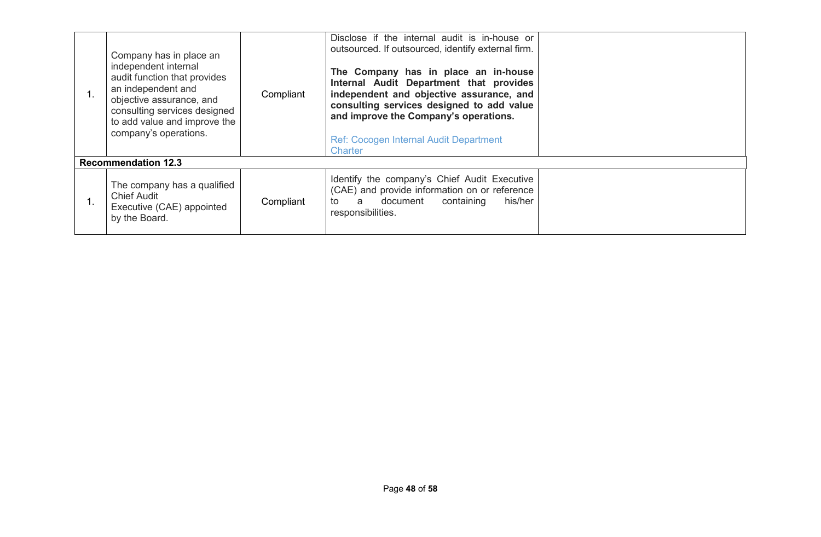| Company has in place an<br>independent internal<br>audit function that provides<br>an independent and<br>objective assurance, and<br>consulting services designed<br>to add value and improve the<br>company's operations. | Compliant | Disclose if the internal audit is in-house or<br>outsourced. If outsourced, identify external firm.<br>The Company has in place an in-house<br>Internal Audit Department that provides<br>independent and objective assurance, and<br>consulting services designed to add value<br>and improve the Company's operations.<br>Ref: Cocogen Internal Audit Department<br>Charter |  |
|----------------------------------------------------------------------------------------------------------------------------------------------------------------------------------------------------------------------------|-----------|-------------------------------------------------------------------------------------------------------------------------------------------------------------------------------------------------------------------------------------------------------------------------------------------------------------------------------------------------------------------------------|--|
| <b>Recommendation 12.3</b>                                                                                                                                                                                                 |           |                                                                                                                                                                                                                                                                                                                                                                               |  |
| The company has a qualified<br><b>Chief Audit</b><br>Executive (CAE) appointed<br>by the Board.                                                                                                                            | Compliant | Identify the company's Chief Audit Executive<br>(CAE) and provide information on or reference<br>a document<br>containing<br>his/her<br>to to<br>responsibilities.                                                                                                                                                                                                            |  |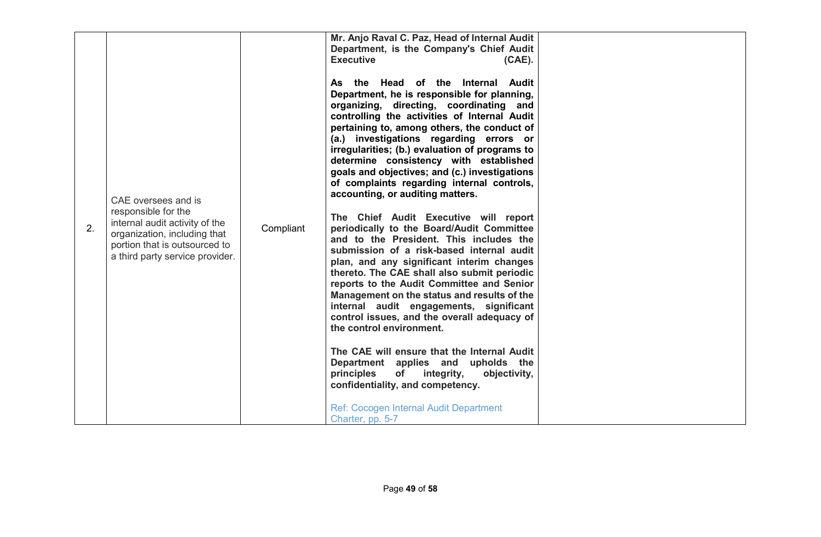| 2. | CAE oversees and is<br>responsible for the<br>internal audit activity of the<br>organization, including that<br>portion that is outsourced to<br>a third party service provider. | Compliant | Mr. Anjo Raval C. Paz, Head of Internal Audit<br>Department, is the Company's Chief Audit<br><b>Executive</b><br>$(CAE)$ .<br>As the Head of the Internal Audit<br>Department, he is responsible for planning,<br>organizing, directing, coordinating and<br>controlling the activities of Internal Audit<br>pertaining to, among others, the conduct of<br>(a.) investigations regarding errors or<br>irregularities; (b.) evaluation of programs to<br>determine consistency with established<br>goals and objectives; and (c.) investigations<br>of complaints regarding internal controls,<br>accounting, or auditing matters.<br>The Chief Audit Executive will report<br>periodically to the Board/Audit Committee<br>and to the President. This includes the<br>submission of a risk-based internal audit<br>plan, and any significant interim changes<br>thereto. The CAE shall also submit periodic<br>reports to the Audit Committee and Senior<br>Management on the status and results of the<br>internal audit engagements, significant<br>control issues, and the overall adequacy of<br>the control environment.<br>The CAE will ensure that the Internal Audit<br>Department applies and upholds the<br>principles<br><b>of</b><br>integrity,<br>objectivity,<br>confidentiality, and competency.<br>Ref: Cocogen Internal Audit Department<br>Charter, pp. 5-7 |  |
|----|----------------------------------------------------------------------------------------------------------------------------------------------------------------------------------|-----------|--------------------------------------------------------------------------------------------------------------------------------------------------------------------------------------------------------------------------------------------------------------------------------------------------------------------------------------------------------------------------------------------------------------------------------------------------------------------------------------------------------------------------------------------------------------------------------------------------------------------------------------------------------------------------------------------------------------------------------------------------------------------------------------------------------------------------------------------------------------------------------------------------------------------------------------------------------------------------------------------------------------------------------------------------------------------------------------------------------------------------------------------------------------------------------------------------------------------------------------------------------------------------------------------------------------------------------------------------------------------------------|--|
|----|----------------------------------------------------------------------------------------------------------------------------------------------------------------------------------|-----------|--------------------------------------------------------------------------------------------------------------------------------------------------------------------------------------------------------------------------------------------------------------------------------------------------------------------------------------------------------------------------------------------------------------------------------------------------------------------------------------------------------------------------------------------------------------------------------------------------------------------------------------------------------------------------------------------------------------------------------------------------------------------------------------------------------------------------------------------------------------------------------------------------------------------------------------------------------------------------------------------------------------------------------------------------------------------------------------------------------------------------------------------------------------------------------------------------------------------------------------------------------------------------------------------------------------------------------------------------------------------------------|--|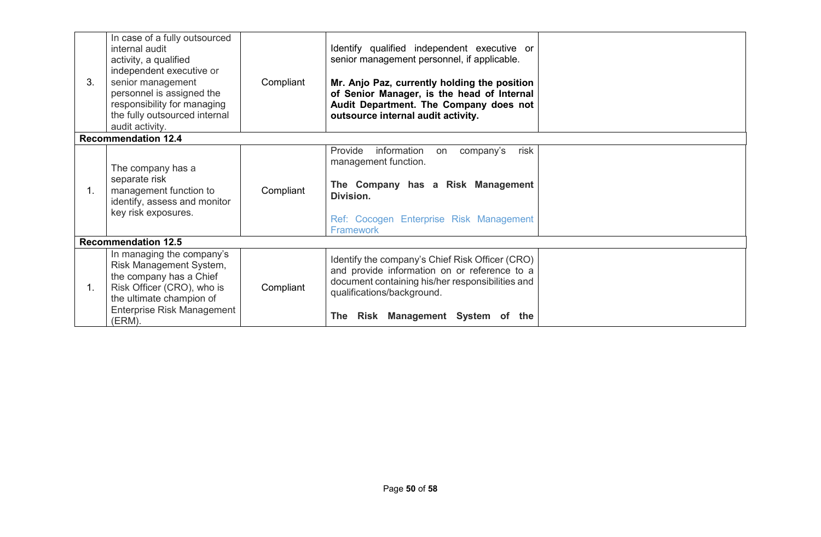| 3.             | In case of a fully outsourced<br>internal audit<br>activity, a qualified<br>independent executive or<br>senior management<br>personnel is assigned the<br>responsibility for managing<br>the fully outsourced internal<br>audit activity. | Compliant | Identify qualified independent executive or<br>senior management personnel, if applicable.<br>Mr. Anjo Paz, currently holding the position<br>of Senior Manager, is the head of Internal<br>Audit Department. The Company does not<br>outsource internal audit activity. |  |
|----------------|-------------------------------------------------------------------------------------------------------------------------------------------------------------------------------------------------------------------------------------------|-----------|--------------------------------------------------------------------------------------------------------------------------------------------------------------------------------------------------------------------------------------------------------------------------|--|
|                | <b>Recommendation 12.4</b>                                                                                                                                                                                                                |           |                                                                                                                                                                                                                                                                          |  |
| $\mathbf{1}$ . | The company has a<br>separate risk<br>management function to<br>identify, assess and monitor<br>key risk exposures.                                                                                                                       | Compliant | Provide<br>information<br>company's<br>risk<br>on<br>management function.<br>The Company has a Risk Management<br>Division.<br>Ref: Cocogen Enterprise Risk Management<br><b>Framework</b>                                                                               |  |
|                | <b>Recommendation 12.5</b>                                                                                                                                                                                                                |           |                                                                                                                                                                                                                                                                          |  |
| $\mathbf{1}$ . | In managing the company's<br>Risk Management System,<br>the company has a Chief<br>Risk Officer (CRO), who is<br>the ultimate champion of<br>Enterprise Risk Management<br>(ERM).                                                         | Compliant | Identify the company's Chief Risk Officer (CRO)<br>and provide information on or reference to a<br>document containing his/her responsibilities and<br>qualifications/background.<br>Risk Management System of the<br><b>The</b>                                         |  |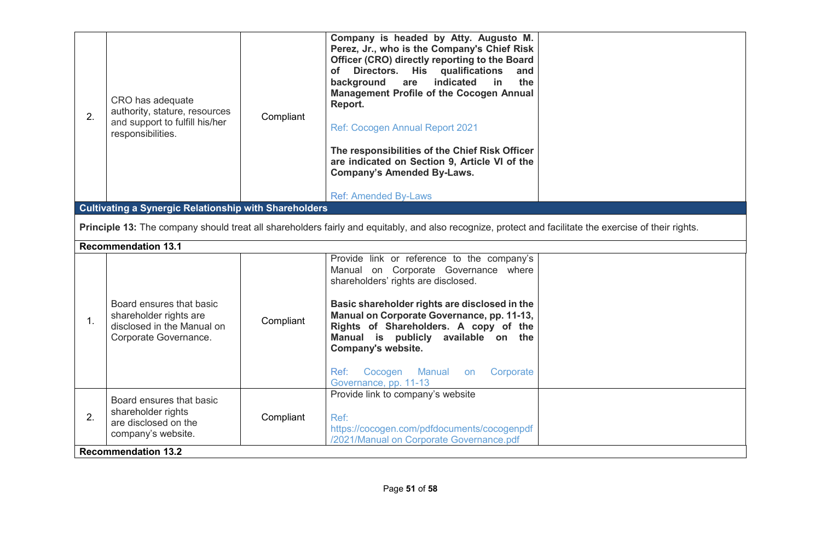| 2. | CRO has adequate<br>authority, stature, resources<br>and support to fulfill his/her<br>responsibilities.                   | Compliant | Company is headed by Atty. Augusto M.<br>Perez, Jr., who is the Company's Chief Risk<br>Officer (CRO) directly reporting to the Board<br>of Directors. His qualifications<br>and<br>indicated<br>background<br>the<br>are<br>in<br><b>Management Profile of the Cocogen Annual</b><br>Report.<br><b>Ref: Cocogen Annual Report 2021</b><br>The responsibilities of the Chief Risk Officer<br>are indicated on Section 9, Article VI of the<br><b>Company's Amended By-Laws.</b><br><b>Ref: Amended By-Laws</b> |  |
|----|----------------------------------------------------------------------------------------------------------------------------|-----------|----------------------------------------------------------------------------------------------------------------------------------------------------------------------------------------------------------------------------------------------------------------------------------------------------------------------------------------------------------------------------------------------------------------------------------------------------------------------------------------------------------------|--|
|    | <b>Cultivating a Synergic Relationship with Shareholders</b>                                                               |           |                                                                                                                                                                                                                                                                                                                                                                                                                                                                                                                |  |
|    |                                                                                                                            |           | Principle 13: The company should treat all shareholders fairly and equitably, and also recognize, protect and facilitate the exercise of their rights.                                                                                                                                                                                                                                                                                                                                                         |  |
|    |                                                                                                                            |           |                                                                                                                                                                                                                                                                                                                                                                                                                                                                                                                |  |
|    | <b>Recommendation 13.1</b>                                                                                                 |           |                                                                                                                                                                                                                                                                                                                                                                                                                                                                                                                |  |
| 1. | Board ensures that basic<br>shareholder rights are<br>disclosed in the Manual on<br>Corporate Governance.                  | Compliant | Provide link or reference to the company's<br>Manual on Corporate Governance where<br>shareholders' rights are disclosed.<br>Basic shareholder rights are disclosed in the<br>Manual on Corporate Governance, pp. 11-13,<br>Rights of Shareholders. A copy of the<br>Manual is publicly available on the<br>Company's website.<br>Cocogen<br>Manual<br>Ref:<br>Corporate<br>on<br>Governance, pp. 11-13                                                                                                        |  |
| 2. | Board ensures that basic<br>shareholder rights<br>are disclosed on the<br>company's website.<br><b>Recommendation 13.2</b> | Compliant | Provide link to company's website<br>Ref:<br>https://cocogen.com/pdfdocuments/cocogenpdf<br>/2021/Manual on Corporate Governance.pdf                                                                                                                                                                                                                                                                                                                                                                           |  |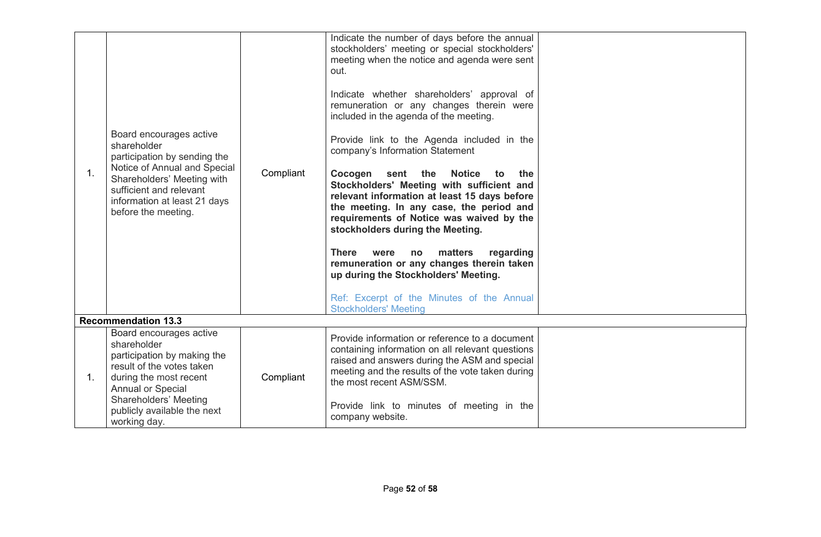| 1. | Board encourages active<br>shareholder<br>participation by sending the<br>Notice of Annual and Special<br>Shareholders' Meeting with<br>sufficient and relevant<br>information at least 21 days<br>before the meeting.    | Compliant | Indicate the number of days before the annual<br>stockholders' meeting or special stockholders'<br>meeting when the notice and agenda were sent<br>out.<br>Indicate whether shareholders' approval of<br>remuneration or any changes therein were<br>included in the agenda of the meeting.<br>Provide link to the Agenda included in the<br>company's Information Statement<br>Cocogen sent the<br><b>Notice</b><br>the<br>to<br>Stockholders' Meeting with sufficient and<br>relevant information at least 15 days before<br>the meeting. In any case, the period and<br>requirements of Notice was waived by the<br>stockholders during the Meeting.<br><b>There</b><br>matters<br>regarding<br>were<br>no<br>remuneration or any changes therein taken<br>up during the Stockholders' Meeting.<br>Ref: Excerpt of the Minutes of the Annual<br><b>Stockholders' Meeting</b> |  |
|----|---------------------------------------------------------------------------------------------------------------------------------------------------------------------------------------------------------------------------|-----------|---------------------------------------------------------------------------------------------------------------------------------------------------------------------------------------------------------------------------------------------------------------------------------------------------------------------------------------------------------------------------------------------------------------------------------------------------------------------------------------------------------------------------------------------------------------------------------------------------------------------------------------------------------------------------------------------------------------------------------------------------------------------------------------------------------------------------------------------------------------------------------|--|
|    | <b>Recommendation 13.3</b>                                                                                                                                                                                                |           |                                                                                                                                                                                                                                                                                                                                                                                                                                                                                                                                                                                                                                                                                                                                                                                                                                                                                 |  |
| 1. | Board encourages active<br>shareholder<br>participation by making the<br>result of the votes taken<br>during the most recent<br>Annual or Special<br>Shareholders' Meeting<br>publicly available the next<br>working day. | Compliant | Provide information or reference to a document<br>containing information on all relevant questions<br>raised and answers during the ASM and special<br>meeting and the results of the vote taken during<br>the most recent ASM/SSM.<br>Provide link to minutes of meeting in the<br>company website.                                                                                                                                                                                                                                                                                                                                                                                                                                                                                                                                                                            |  |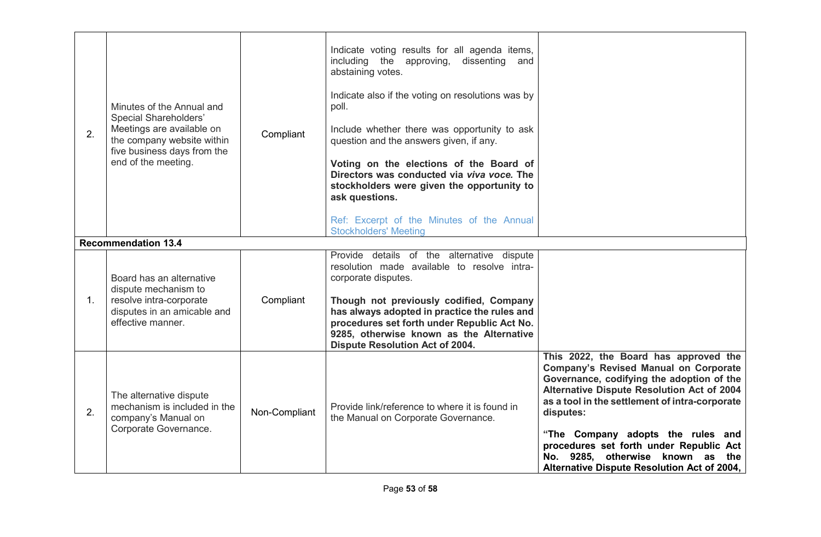| 2. | Minutes of the Annual and<br><b>Special Shareholders'</b><br>Meetings are available on<br>the company website within<br>five business days from the<br>end of the meeting.<br><b>Recommendation 13.4</b> | Compliant     | Indicate voting results for all agenda items,<br>including the approving,<br>dissenting and<br>abstaining votes.<br>Indicate also if the voting on resolutions was by<br>poll.<br>Include whether there was opportunity to ask<br>question and the answers given, if any.<br>Voting on the elections of the Board of<br>Directors was conducted via viva voce. The<br>stockholders were given the opportunity to<br>ask questions.<br>Ref: Excerpt of the Minutes of the Annual<br><b>Stockholders' Meeting</b> |                                                                                                                                                                                                                                                                                                                                                                                                                    |
|----|----------------------------------------------------------------------------------------------------------------------------------------------------------------------------------------------------------|---------------|-----------------------------------------------------------------------------------------------------------------------------------------------------------------------------------------------------------------------------------------------------------------------------------------------------------------------------------------------------------------------------------------------------------------------------------------------------------------------------------------------------------------|--------------------------------------------------------------------------------------------------------------------------------------------------------------------------------------------------------------------------------------------------------------------------------------------------------------------------------------------------------------------------------------------------------------------|
|    |                                                                                                                                                                                                          |               |                                                                                                                                                                                                                                                                                                                                                                                                                                                                                                                 |                                                                                                                                                                                                                                                                                                                                                                                                                    |
| 1. | Board has an alternative<br>dispute mechanism to<br>resolve intra-corporate<br>disputes in an amicable and<br>effective manner.                                                                          | Compliant     | Provide details of the alternative dispute<br>resolution made available to resolve intra-<br>corporate disputes.<br>Though not previously codified, Company<br>has always adopted in practice the rules and<br>procedures set forth under Republic Act No.<br>9285, otherwise known as the Alternative<br>Dispute Resolution Act of 2004.                                                                                                                                                                       |                                                                                                                                                                                                                                                                                                                                                                                                                    |
| 2. | The alternative dispute<br>mechanism is included in the<br>company's Manual on<br>Corporate Governance.                                                                                                  | Non-Compliant | Provide link/reference to where it is found in<br>the Manual on Corporate Governance.                                                                                                                                                                                                                                                                                                                                                                                                                           | This 2022, the Board has approved the<br><b>Company's Revised Manual on Corporate</b><br>Governance, codifying the adoption of the<br>Alternative Dispute Resolution Act of 2004<br>as a tool in the settlement of intra-corporate<br>disputes:<br>"The Company adopts the rules and<br>procedures set forth under Republic Act<br>No. 9285, otherwise known as the<br>Alternative Dispute Resolution Act of 2004, |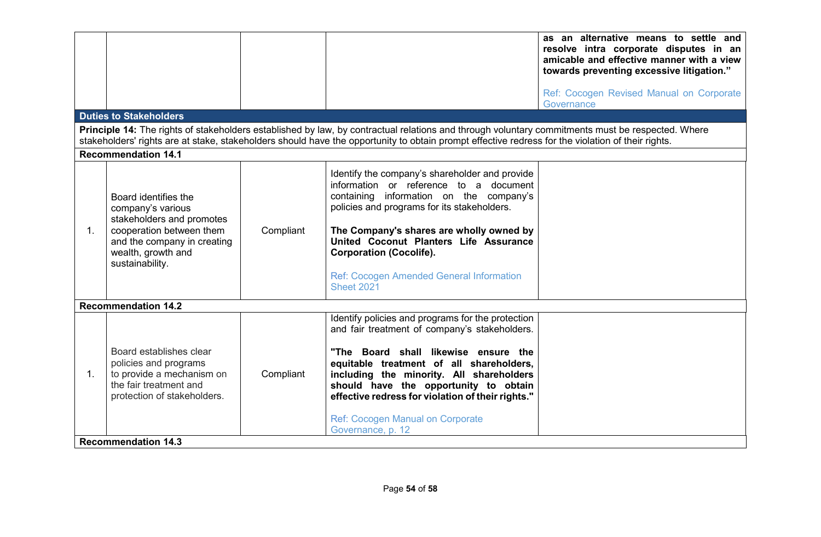|                |                                                                                                                                                                            |           |                                                                                                                                                                                                                                                                                                                                                                                           | as an alternative means to settle and<br>resolve intra corporate disputes in an<br>amicable and effective manner with a view<br>towards preventing excessive litigation."<br>Ref: Cocogen Revised Manual on Corporate |
|----------------|----------------------------------------------------------------------------------------------------------------------------------------------------------------------------|-----------|-------------------------------------------------------------------------------------------------------------------------------------------------------------------------------------------------------------------------------------------------------------------------------------------------------------------------------------------------------------------------------------------|-----------------------------------------------------------------------------------------------------------------------------------------------------------------------------------------------------------------------|
|                | <b>Duties to Stakeholders</b>                                                                                                                                              |           |                                                                                                                                                                                                                                                                                                                                                                                           | Governance                                                                                                                                                                                                            |
|                |                                                                                                                                                                            |           | Principle 14: The rights of stakeholders established by law, by contractual relations and through voluntary commitments must be respected. Where<br>stakeholders' rights are at stake, stakeholders should have the opportunity to obtain prompt effective redress for the violation of their rights.                                                                                     |                                                                                                                                                                                                                       |
|                | <b>Recommendation 14.1</b>                                                                                                                                                 |           |                                                                                                                                                                                                                                                                                                                                                                                           |                                                                                                                                                                                                                       |
| 1.             | Board identifies the<br>company's various<br>stakeholders and promotes<br>cooperation between them<br>and the company in creating<br>wealth, growth and<br>sustainability. | Compliant | Identify the company's shareholder and provide<br>information or reference to a document<br>containing information on the company's<br>policies and programs for its stakeholders.<br>The Company's shares are wholly owned by<br>United Coconut Planters Life Assurance<br><b>Corporation (Cocolife).</b><br>Ref: Cocogen Amended General Information<br><b>Sheet 2021</b>               |                                                                                                                                                                                                                       |
|                | <b>Recommendation 14.2</b>                                                                                                                                                 |           |                                                                                                                                                                                                                                                                                                                                                                                           |                                                                                                                                                                                                                       |
| $\mathbf{1}$ . | Board establishes clear<br>policies and programs<br>to provide a mechanism on<br>the fair treatment and<br>protection of stakeholders.                                     | Compliant | Identify policies and programs for the protection<br>and fair treatment of company's stakeholders.<br>"The Board shall likewise ensure the<br>equitable treatment of all shareholders,<br>including the minority. All shareholders<br>should have the opportunity to obtain<br>effective redress for violation of their rights."<br>Ref: Cocogen Manual on Corporate<br>Governance, p. 12 |                                                                                                                                                                                                                       |
|                | <b>Recommendation 14.3</b>                                                                                                                                                 |           |                                                                                                                                                                                                                                                                                                                                                                                           |                                                                                                                                                                                                                       |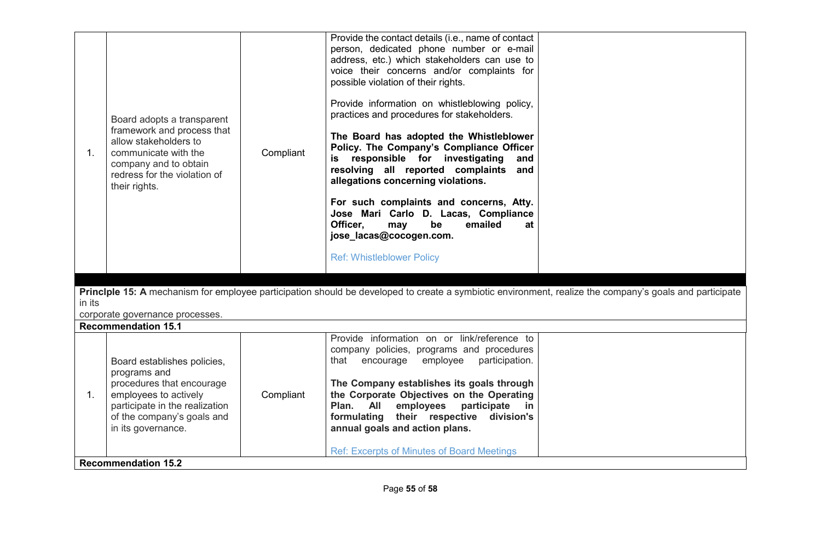| 1.     | Board adopts a transparent<br>framework and process that<br>allow stakeholders to<br>communicate with the<br>company and to obtain<br>redress for the violation of<br>their rights.     | Compliant | Provide the contact details (i.e., name of contact<br>person, dedicated phone number or e-mail<br>address, etc.) which stakeholders can use to<br>voice their concerns and/or complaints for<br>possible violation of their rights.<br>Provide information on whistleblowing policy,<br>practices and procedures for stakeholders.<br>The Board has adopted the Whistleblower<br>Policy. The Company's Compliance Officer<br>is responsible for investigating<br>and<br>resolving all reported complaints<br>and<br>allegations concerning violations.<br>For such complaints and concerns, Atty.<br>Jose Mari Carlo D. Lacas, Compliance<br>Officer.<br>emailed<br>be<br>may<br>at<br>jose_lacas@cocogen.com.<br><b>Ref: Whistleblower Policy</b><br>Princlple 15: A mechanism for employee participation should be developed to create a symbiotic environment, realize the company's goals and participate |  |  |  |
|--------|-----------------------------------------------------------------------------------------------------------------------------------------------------------------------------------------|-----------|---------------------------------------------------------------------------------------------------------------------------------------------------------------------------------------------------------------------------------------------------------------------------------------------------------------------------------------------------------------------------------------------------------------------------------------------------------------------------------------------------------------------------------------------------------------------------------------------------------------------------------------------------------------------------------------------------------------------------------------------------------------------------------------------------------------------------------------------------------------------------------------------------------------|--|--|--|
| in its |                                                                                                                                                                                         |           |                                                                                                                                                                                                                                                                                                                                                                                                                                                                                                                                                                                                                                                                                                                                                                                                                                                                                                               |  |  |  |
|        | corporate governance processes.                                                                                                                                                         |           |                                                                                                                                                                                                                                                                                                                                                                                                                                                                                                                                                                                                                                                                                                                                                                                                                                                                                                               |  |  |  |
|        | <b>Recommendation 15.1</b>                                                                                                                                                              |           |                                                                                                                                                                                                                                                                                                                                                                                                                                                                                                                                                                                                                                                                                                                                                                                                                                                                                                               |  |  |  |
| 1.     | Board establishes policies,<br>programs and<br>procedures that encourage<br>employees to actively<br>participate in the realization<br>of the company's goals and<br>in its governance. | Compliant | Provide information on or link/reference to<br>company policies, programs and procedures<br>employee<br>participation.<br>encourage<br>that<br>The Company establishes its goals through<br>the Corporate Objectives on the Operating<br>Plan.<br><b>All</b><br>employees<br>participate<br><u>in</u><br>formulating their respective<br>division's<br>annual goals and action plans.                                                                                                                                                                                                                                                                                                                                                                                                                                                                                                                         |  |  |  |
|        | <b>Ref: Excerpts of Minutes of Board Meetings</b><br><b>Recommendation 15.2</b>                                                                                                         |           |                                                                                                                                                                                                                                                                                                                                                                                                                                                                                                                                                                                                                                                                                                                                                                                                                                                                                                               |  |  |  |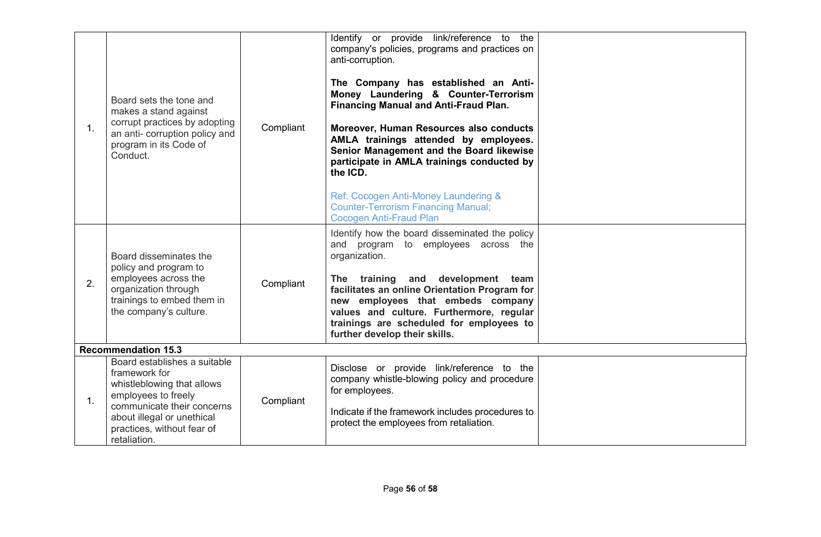| 1. | Board sets the tone and<br>makes a stand against<br>corrupt practices by adopting<br>an anti- corruption policy and<br>program in its Code of<br>Conduct.                                                    | Compliant | Identify or provide link/reference to the<br>company's policies, programs and practices on<br>anti-corruption.<br>The Company has established an Anti-<br>Money Laundering & Counter-Terrorism<br><b>Financing Manual and Anti-Fraud Plan.</b><br>Moreover, Human Resources also conducts<br>AMLA trainings attended by employees.<br>Senior Management and the Board likewise<br>participate in AMLA trainings conducted by<br>the ICD.<br>Ref: Cocogen Anti-Money Laundering &<br><b>Counter-Terrorism Financing Manual;</b><br><b>Cocogen Anti-Fraud Plan</b> |  |
|----|--------------------------------------------------------------------------------------------------------------------------------------------------------------------------------------------------------------|-----------|------------------------------------------------------------------------------------------------------------------------------------------------------------------------------------------------------------------------------------------------------------------------------------------------------------------------------------------------------------------------------------------------------------------------------------------------------------------------------------------------------------------------------------------------------------------|--|
| 2. | Board disseminates the<br>policy and program to<br>employees across the<br>organization through<br>trainings to embed them in<br>the company's culture.                                                      | Compliant | Identify how the board disseminated the policy<br>and program to employees across the<br>organization.<br>The training and development team<br>facilitates an online Orientation Program for<br>new employees that embeds company<br>values and culture. Furthermore, regular<br>trainings are scheduled for employees to<br>further develop their skills.                                                                                                                                                                                                       |  |
|    | <b>Recommendation 15.3</b>                                                                                                                                                                                   |           |                                                                                                                                                                                                                                                                                                                                                                                                                                                                                                                                                                  |  |
| 1. | Board establishes a suitable<br>framework for<br>whistleblowing that allows<br>employees to freely<br>communicate their concerns<br>about illegal or unethical<br>practices, without fear of<br>retaliation. | Compliant | Disclose or provide link/reference to the<br>company whistle-blowing policy and procedure<br>for employees.<br>Indicate if the framework includes procedures to<br>protect the employees from retaliation.                                                                                                                                                                                                                                                                                                                                                       |  |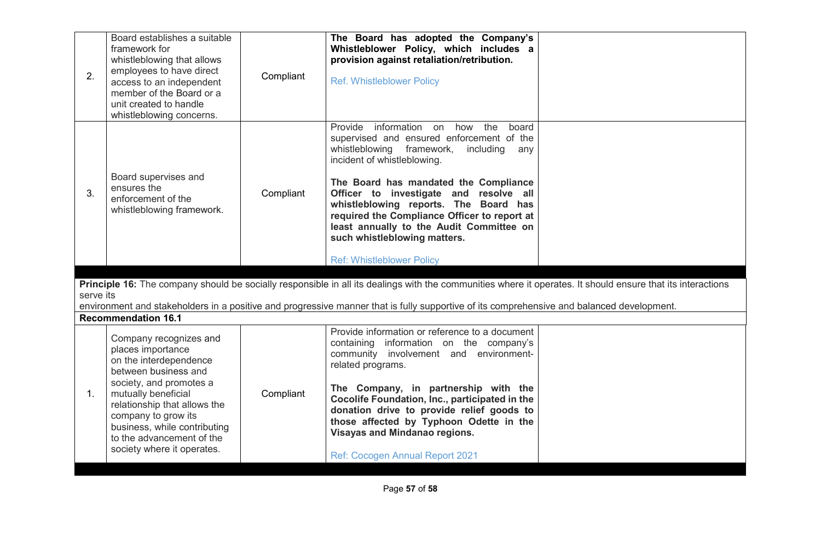| 2.                                                                                                        | Board establishes a suitable<br>framework for<br>whistleblowing that allows<br>employees to have direct<br>access to an independent<br>member of the Board or a<br>unit created to handle<br>whistleblowing concerns.                                                                             | Compliant | The Board has adopted the Company's<br>Whistleblower Policy, which includes a<br>provision against retaliation/retribution.<br><b>Ref. Whistleblower Policy</b>                                                                                                                                                                                                                                                                                                  |  |
|-----------------------------------------------------------------------------------------------------------|---------------------------------------------------------------------------------------------------------------------------------------------------------------------------------------------------------------------------------------------------------------------------------------------------|-----------|------------------------------------------------------------------------------------------------------------------------------------------------------------------------------------------------------------------------------------------------------------------------------------------------------------------------------------------------------------------------------------------------------------------------------------------------------------------|--|
| Board supervises and<br>ensures the<br>3.<br>Compliant<br>enforcement of the<br>whistleblowing framework. |                                                                                                                                                                                                                                                                                                   |           | Provide information on how the<br>board<br>supervised and ensured enforcement of the<br>whistleblowing framework,<br>including<br>any<br>incident of whistleblowing.<br>The Board has mandated the Compliance<br>Officer to investigate and resolve all<br>whistleblowing reports. The Board has<br>required the Compliance Officer to report at<br>least annually to the Audit Committee on<br>such whistleblowing matters.<br><b>Ref: Whistleblower Policy</b> |  |
|                                                                                                           |                                                                                                                                                                                                                                                                                                   |           | Principle 16: The company should be socially responsible in all its dealings with the communities where it operates. It should ensure that its interactions                                                                                                                                                                                                                                                                                                      |  |
| serve its                                                                                                 |                                                                                                                                                                                                                                                                                                   |           |                                                                                                                                                                                                                                                                                                                                                                                                                                                                  |  |
|                                                                                                           |                                                                                                                                                                                                                                                                                                   |           | environment and stakeholders in a positive and progressive manner that is fully supportive of its comprehensive and balanced development.                                                                                                                                                                                                                                                                                                                        |  |
|                                                                                                           | <b>Recommendation 16.1</b>                                                                                                                                                                                                                                                                        |           |                                                                                                                                                                                                                                                                                                                                                                                                                                                                  |  |
| $\mathbf{1}$ .                                                                                            | Company recognizes and<br>places importance<br>on the interdependence<br>between business and<br>society, and promotes a<br>mutually beneficial<br>relationship that allows the<br>company to grow its<br>business, while contributing<br>to the advancement of the<br>society where it operates. | Compliant | Provide information or reference to a document<br>containing information on the company's<br>community involvement and environment-<br>related programs.<br>The Company, in partnership with the<br>Cocolife Foundation, Inc., participated in the<br>donation drive to provide relief goods to<br>those affected by Typhoon Odette in the<br><b>Visayas and Mindanao regions.</b><br>Ref: Cocogen Annual Report 2021                                            |  |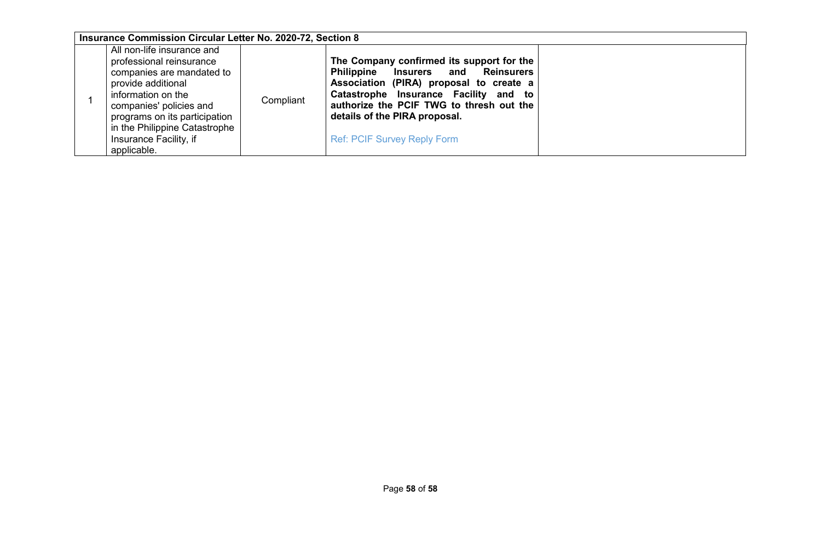| Insurance Commission Circular Letter No. 2020-72, Section 8                                                                                                                                                                                                           |           |                                                                                                                                                                                                                                                                                                  |  |
|-----------------------------------------------------------------------------------------------------------------------------------------------------------------------------------------------------------------------------------------------------------------------|-----------|--------------------------------------------------------------------------------------------------------------------------------------------------------------------------------------------------------------------------------------------------------------------------------------------------|--|
| All non-life insurance and<br>professional reinsurance<br>companies are mandated to<br>provide additional<br>information on the<br>companies' policies and<br>programs on its participation<br>in the Philippine Catastrophe<br>Insurance Facility, if<br>applicable. | Compliant | The Company confirmed its support for the<br>Philippine Insurers and<br><b>Reinsurers</b><br>Association (PIRA) proposal to create a<br>Catastrophe Insurance Facility and to<br>authorize the PCIF TWG to thresh out the<br>details of the PIRA proposal.<br><b>Ref: PCIF Survey Reply Form</b> |  |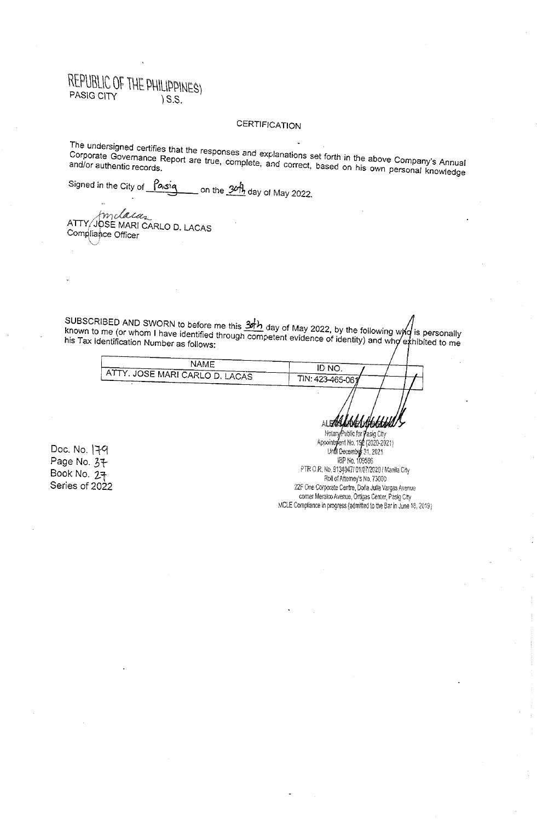## **CERTIFICATION**

The undersigned certifies that the responses and explanations set forth in the above Company's Annual Corporate Governance Report are true, complete, and correct, based on his own personal knowledge

Signed in the City of Pasiq on the 3ch, day of May 2022.

ATTY/JOSE MARI CARLO D. LACAS Compliance Officer

SUBSCRIBED AND SWORN to before me this  $\frac{3h}{2}$  day of May 2022, by the following who is personally known to me (or whom I have identified through competent evidence of identity) and who exhibited to me his Tax Identification Number as follows:

| NAME                                | NO.              |
|-------------------------------------|------------------|
| r f. JOSE MARI CARLO D. LACAS<br>AП |                  |
|                                     | TIN: 423-465-061 |

Doc. No. 179 Page No. 37 Book No. 27 Series of 2022

NotaryPublic for *Yasig City*<br>Appointment No. 192 (2020-2021) Undi December 31, 2021 PTR O.R. No. 9134047/ 01/07/2020 / Manila City Roll of Attorney's No. 73000 22F One Corporate Centre, Doña Julia Vargas Avenue comer Meralco Avenue, Ortigas Center, Pasig City MCLE Compliance in progress (admitted to the Bar in June 18, 2019)

NGAMA

ALSAR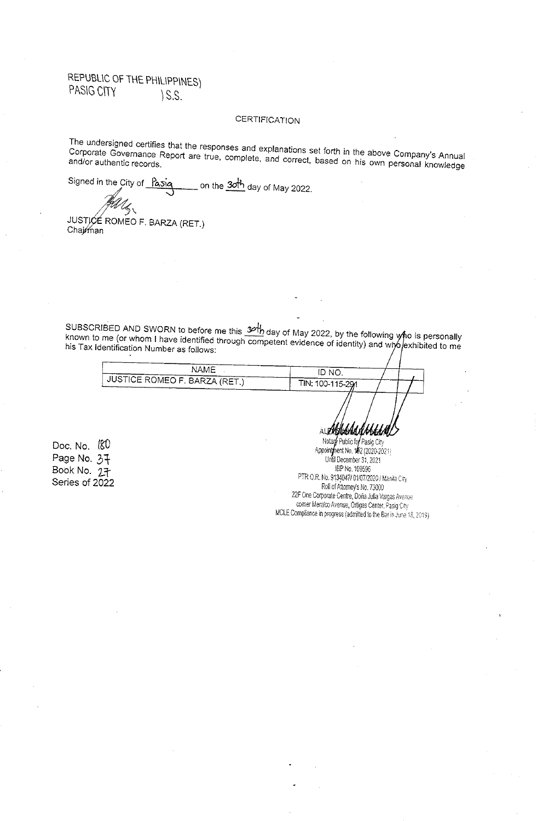## **CERTIFICATION**

The undersigned certifies that the responses and explanations set forth in the above Company's Annual Corporate Governance Report are true, complete, and correct, based on his own personal knowledge

Signed in the City of Pasiq on the  $30<sup>h</sup>$  day of May 2022.

JUSTICE ROMEO F. BARZA (RET.) Chairman

SUBSCRIBED AND SWORN to before me this  $36\frac{1}{2}$  day of May 2022, by the following who is personally known to me (or whom I have identified through competent evidence of identity) and who exhibited to me his Tax Identification Number as follows:

| <b>NAME</b>                     | <b>ID NO</b>     |  |
|---------------------------------|------------------|--|
| , JUSTICE ROMEO F. BARZA (RET.) | TIN: 100-115-291 |  |
|                                 |                  |  |

Doc. No. (80 Page No. 37 Book No. 27 Series of 2022

Notary Public for Pasig City<br>Appointment No. 182 (2020-2021) Until December 31, 2021 IBP No. 109596 PTR O.R. No. 9134047/ 01/07/2020 / Manila City Roll of Attorney's No. 73000 22F One Corporate Centre, Doña Julia Vargas Avenue comer Meraico Avenue, Ortigas Center, Pasig City MCLE Compliance in progress (admitted to the Bar in June 18, 2019).

真仁夏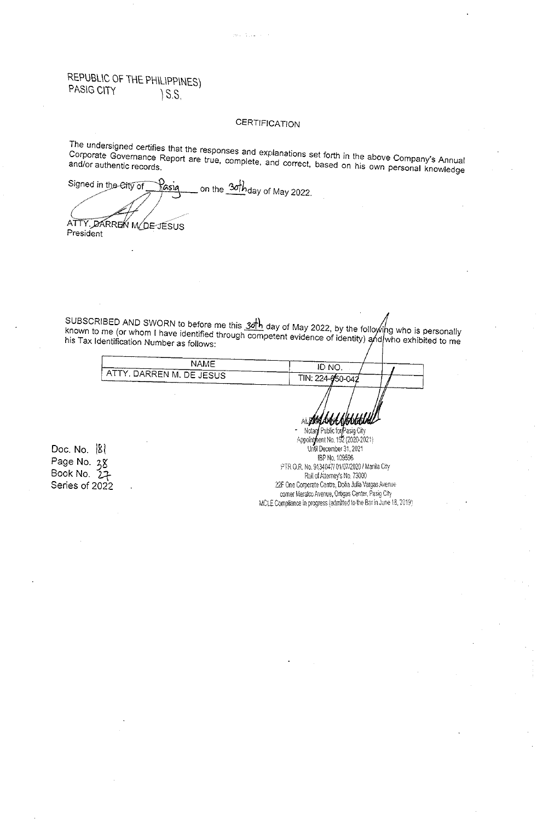#### **CERTIFICATION**

The undersigned certifies that the responses and explanations set forth in the above Company's Annual Corporate Governance Report are true, complete, and correct, based on his own personal knowledge

Signed in the City of on the 30 h day of May 2022. Rasia ATTY, DARREN M/DE-JESUS

President

SUBSCRIBED AND SWORN to before me this  $3\sigma h$  day of May 2022, by the following who is personally<br>known to me (or whom I have identified through competent evidence of identity) and who exhibited to me his Tax Identification Number as follows:

| NAME                            | ID NO            |  |
|---------------------------------|------------------|--|
| <b>ATTY. DARREN M. DE JESUS</b> | TIN: 224-050-042 |  |
|                                 |                  |  |

Doc. No.  $|8|$ Page No. 38 Book No. 27 Series of 2022

Notar Public for hent No. 192 (2020-2021) Appoint Until December 31, 2021 IBP No. 109596 PTR O.R. No. 9134047/ 01/07/2020 / Manila City Roll of Attomey's No. 73000 22F One Corporate Centre, Doña Julia Vargas Avenue corner Meralco Avenue, Ortigas Center, Pasig City MCLE Compliance in progress (admitted to the Bar in June 18, 2019)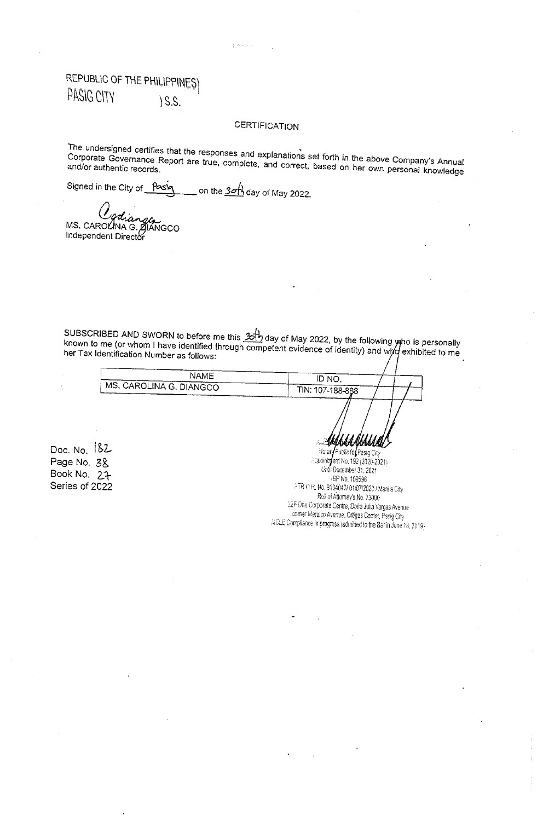### **CERTIFICATION**

أركب وروو

The undersigned certifies that the responses and explanations set forth in the above Company's Annual Corporate Governance Report are true, complete, and correct, based on her own personal knowledge

Signed in the City of Pasiq on the  $3$ *o*  $\overline{1}$  day of May 2022.

MS. CAROLINA G. DIANGCO Independent Director

SUBSCRIBED AND SWORN to before me this  $\frac{1}{20}$  day of May 2022, by the following who is personally known to me (or whom I have identified through competent evidence of identity) and who exhibited to me her Tax Identification Number as follows:

| NAME                    | ID NO.               |  |
|-------------------------|----------------------|--|
| MS. CAROLINA G. DIANGCO | TIN: 107-188-888     |  |
|                         |                      |  |
|                         |                      |  |
|                         | <b>Ablan Alan Al</b> |  |

Doc. No.  $182$ Page No. 3& Book No. 27 Series of 2022

Notan Public for Pasig City -ppointrent No. 192 (2020-2021) Undi December 31, 2021 IBP No. 109596 FTR O.R. No. 9134047/ 01/07/2020 / Manila City Roll of Attorney's No. 73000 22F One Corporate Centre, Dona Julia Vargas Avenue comer Meralco Avenue, Ortigas Center, Pasig City MCLE Compliance in progress (admitted to the Bar in June 18, 2019)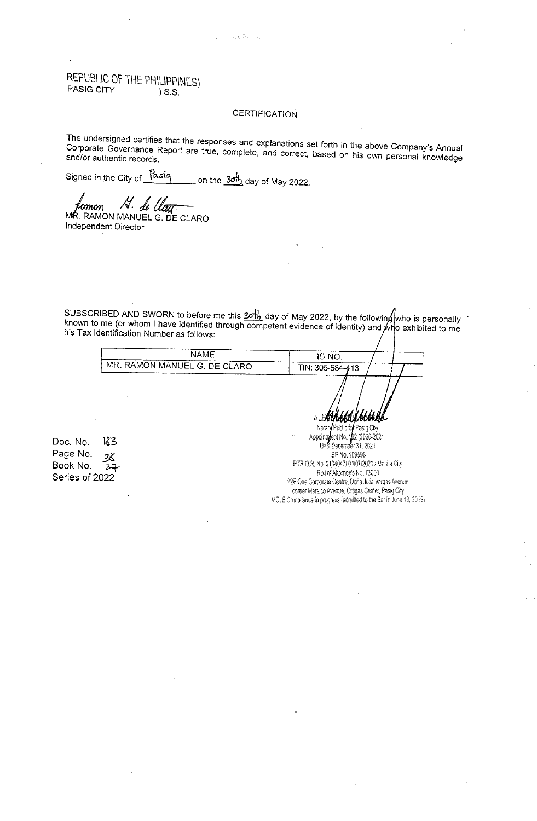### **CERTIFICATION**

 $\omega_2 \gtrsim 25 \mu m_\pi^2 = 12$ 

The undersigned certifies that the responses and explanations set forth in the above Company's Annual Corporate Governance Report are true, complete, and correct, based on his own personal knowledge

Signed in the City of Pasiq on the  $3$  $\frac{1}{2}$  day of May 2022.

Ĥ. 'omon di l

MR. RAMON MANUEL G. DE CLARO Independent Director

SUBSCRIBED AND SWORN to before me this  $201$  day of May 2022, by the following who is personally known to me (or whom I have identified through competent evidence of identity) and who exhibited to me his Tax Identification Number as follows:

|                                          | .                 |          |  |
|------------------------------------------|-------------------|----------|--|
| NAME                                     |                   |          |  |
| ------<br>, MR. RAMON MANUEL G. DE CLARO | [IN: 305-584-413] | ----     |  |
|                                          | -------           | -------- |  |

Doc. No. 183 Page No. 38 Book No.  $27$ Series of 2022

Notary Public for Pasig City  $\frac{1}{2}$ ent No.  $\frac{1}{2}$ 2 (2020-2021) Acoointn Until December 31, 2021 IBP No. 109596 PTR O.R. No. 9134047/ 01/07/2020 / Manila City Roll of Attorney's No. 73000 22F One Corporate Centre, Dona Julia Vargas Avenue comer Meralco Avenue, Ortigas Center, Pasig City MCLE Compliance in progress (admitted to the Bar in June 18, 2019).

ALEAN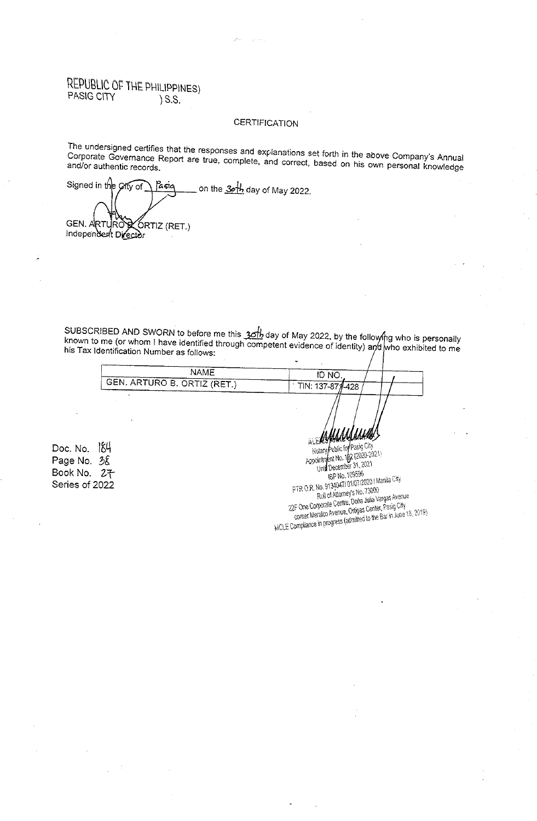# REPUBLIC OF THE PHILIPPINES)<br>PASIG CITY > S.S.  $\S$ .S.

### **CERTIFICATION**

The undersigned certifies that the responses and explanations set forth in the above Company's Annual Corporate Governance Report are true, complete, and correct, based on his own personal knowledge

Signed in the City of on the 3rth day of May 2022. Pasia **GEN. ARTL** ÓRTIZ (RET.) ļRO Independent Director

SUBSCRIBED AND SWORN to before me this  $3$ *ch* day of May 2022, by the following who is personally known to me (or whom I have identified through competent evidence of identity) and who exhibited to me his Tax Identification Number as follows:

| NAMF                        | ID NO            |  |  |
|-----------------------------|------------------|--|--|
| GEN. ARTURO B. ORTIZ (RET.) | TIN: 137-871-428 |  |  |
|                             |                  |  |  |

Doc. No. 184 Page No. 38 Book No. 2子 Series of 2022

Public for Pasig City Appointment No. 182 (2020-2021) Notary Und December 31, 2021 IBP No. 109596 PTR O.R. No. 91340471 01/07/2020 / Manila City Roll of Attorney's No. 73000 run ur minimey s mu. r 2000<br>22F One Corporate Centre, Doria Julia Vargas Avenue<br>comer Meralco Avenue, Ortigas Center, Pasig City Writer meaning of the Bar in June 18, 2019)

ái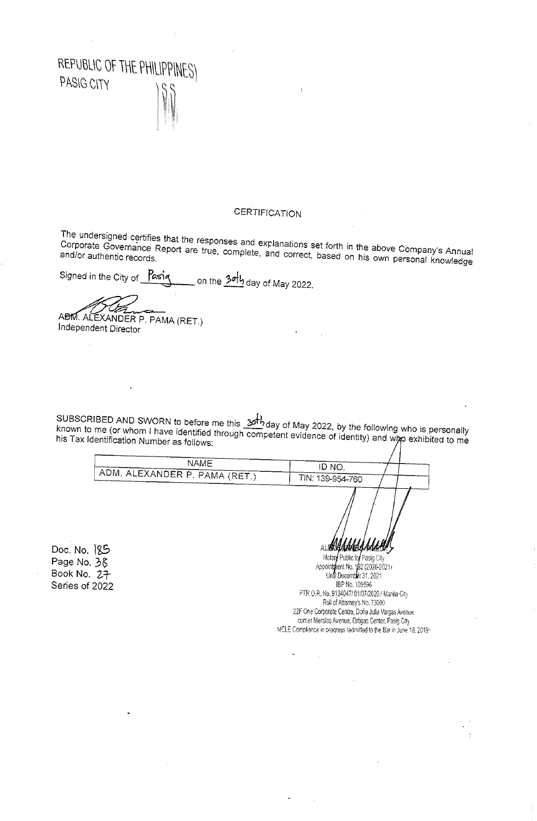

## **CERTIFICATION**

The undersigned certifies that the responses and explanations set forth in the above Company's Annual Corporate Governance Report are true, complete, and correct, based on his own personal knowledge

Signed in the City of Pasiq on the <mark>3o<sup>f</sup>b</mark> day of May 2022.

ABM. ALEXANDER P. PAMA (RET.) Independent Director

SUBSCRIBED AND SWORN to before me this  $201$  day of May 2022, by the following who is personally known to me (or whom I have identified through competent evidence of identity) and who exhibited to me his Tax Identification Number as follows:

**NAME** ID NO. ADM. ALEXANDER P. PAMA (RET.) TIN: 139-954-760 ALIKKAANNA Doc. No. 185 Notary Public for Pasig City Page No. 38 Appointment No. 182 (2020-2021) Book No. 27 Undi December 31, 2021 IBP No. 109596 Series of 2022 PTR O.R. No. 9134047/ 01/07/2020 / Manila City Roll of Attorney's No. 73000 22F One Corporate Centre, Doña Julia Vargas Avenue

comer Meralco Avenue, Ortigas Center, Pasig City MCLE Cornpliance in progress (admitted to the Bar in June 18, 2019).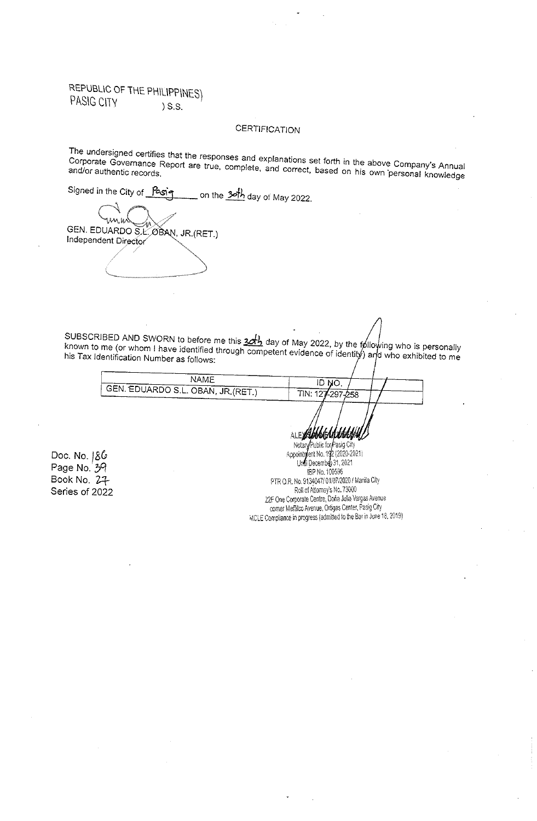### **CERTIFICATION**

The undersigned certifies that the responses and explanations set forth in the above Company's Annual Corporate Governance Report are true, complete, and correct, based on his own personal knowledge

Signed in the City of Pasig on the 3oth day of May 2022.

GEN. EDUARDO S.L. OBAN, JR. (RET.) Independent Director

SUBSCRIBED AND SWORN to before me this  $32\frac{1}{2}$  day of May 2022, by the following who is personally known to me (or whom I have identified through competent evidence of identity) and who exhibited to me

| NAME                                | , NC             |  |
|-------------------------------------|------------------|--|
| : GEN. EDUARDO S.L. OBAN, JR.(RET.) | TIN: 127-297-258 |  |
|                                     |                  |  |
|                                     |                  |  |

Doc. No.  $86$ Page No. 39 Book No. 27 Series of 2022

Notary Public for Pasig City Appoint *f*ent No. 192 (2020-2021) Undi December 31, 2021 IBP No. 109596 PTR O.R. No. 9134047/01/07/2020 / Manila City Roll of Attorney's No. 73000 22F One Corporate Centre, Doña Julia Vargas Avenue comer Meralco Avenue, Ortigas Center, Pasig City MCLE Compliance in progress (admitted to the Bar in June 18, 2019)

**ALEW**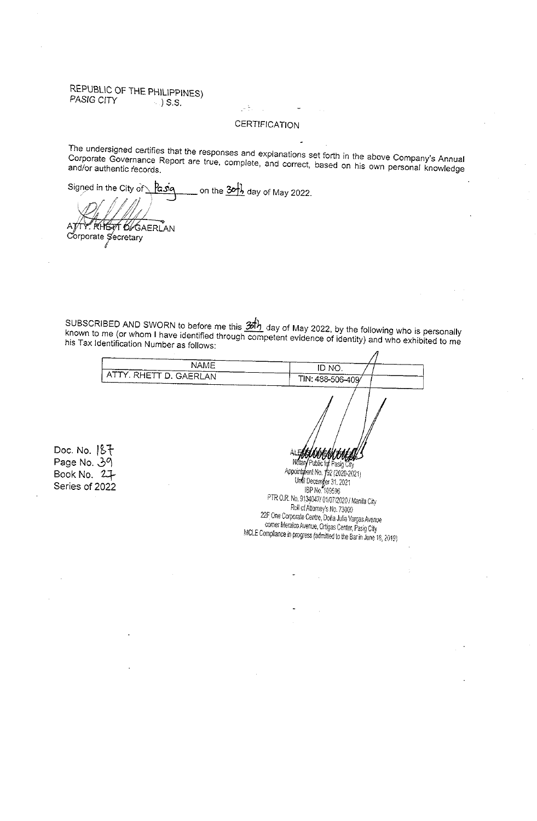#### REPUBLIC OF THE PHILIPPINES) PASIG CITY  $\rightarrow$  ) S.S.

## **CERTIFICATION**

 $\sim$   $\frac{5}{2}$  .

The undersigned certifies that the responses and explanations set forth in the above Company's Annual Corporate Governance Report are true, complete, and correct, based on his own personal knowledge and/or authentic records.

on the  $30\frac{1}{2}$  day of May 2022. Signed in the City of Pasia

 $\Delta$  T r Rheat 6/Gaerlan Corporate Secretary

SUBSCRIBED AND SWORN to before me this  $\frac{3\hbar}{2}$  day of May 2022, by the following who is personally known to me (or whom I have identified through competent evidence of identity) and who exhibited to me his Tax Identification Number as follows:  $\overline{a}$ 

| NAME<br>ID NO.<br>ATTY. RHETT D. GAERLAN<br>TIN: 488-506-409<br>Doc. No. $187$<br><b><i>STODIANT FOR LOWERY</i></b><br>Notary Public for Pasig City<br>Page No. 39 |             |                                                          |  |
|--------------------------------------------------------------------------------------------------------------------------------------------------------------------|-------------|----------------------------------------------------------|--|
|                                                                                                                                                                    |             |                                                          |  |
|                                                                                                                                                                    |             |                                                          |  |
| Series of 2022<br>IBP No. 109596<br>PTR O.R. No. 9134047/ 01/07/2020 / Manila City<br>Roll of Attorney's No. 73000                                                 | Book No. 27 | Appointment No. 192 (2020-2021)<br>Und Decemper 31, 2021 |  |
| 22F One Corporate Centre, Doña Julia Vargas Avenue<br>corner Meralco Avenue, Ortigas Center, Pasig City<br>$MDF$ Campliance is space $(1, 1, 0, 0, 0, 0)$          |             |                                                          |  |

MCLE Compliance in progress (admitted to the Bar in June 18, 2019)